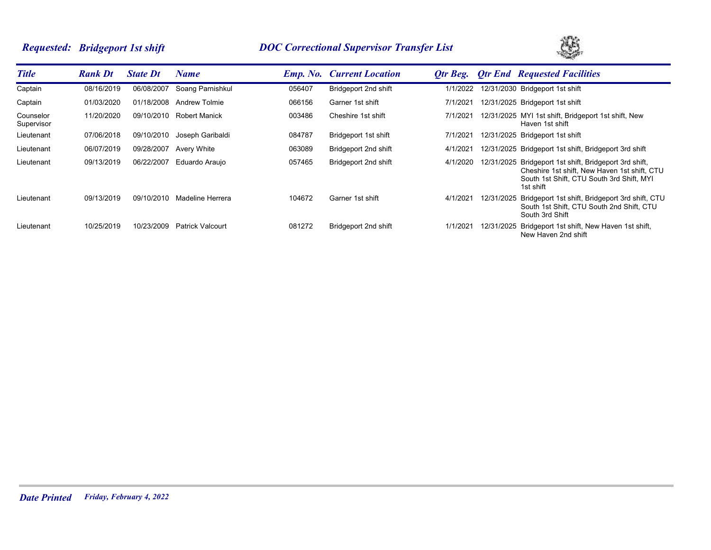# *Requested: Bridgeport 1st shift DOC Correctional Supervisor Transfer List*



| <b>Title</b>            | <b>Rank Dt</b> | <b>State Dt</b> | Name                    |        | <b>Emp. No. Current Location</b> | Otr Beg. |            | <b>Otr End Requested Facilities</b>                                                                                                                              |
|-------------------------|----------------|-----------------|-------------------------|--------|----------------------------------|----------|------------|------------------------------------------------------------------------------------------------------------------------------------------------------------------|
| Captain                 | 08/16/2019     | 06/08/2007      | Soang Parnishkul        | 056407 | Bridgeport 2nd shift             | 1/1/2022 |            | 12/31/2030 Bridgeport 1st shift                                                                                                                                  |
| Captain                 | 01/03/2020     | 01/18/2008      | <b>Andrew Tolmie</b>    | 066156 | Garner 1st shift                 | 7/1/2021 |            | 12/31/2025 Bridgeport 1st shift                                                                                                                                  |
| Counselor<br>Supervisor | 11/20/2020     | 09/10/2010      | <b>Robert Manick</b>    | 003486 | Cheshire 1st shift               | 7/1/2021 |            | 12/31/2025 MYI 1st shift, Bridgeport 1st shift, New<br>Haven 1st shift                                                                                           |
| Lieutenant              | 07/06/2018     | 09/10/2010      | Joseph Garibaldi        | 084787 | Bridgeport 1st shift             | 7/1/2021 |            | 12/31/2025 Bridgeport 1st shift                                                                                                                                  |
| Lieutenant              | 06/07/2019     | 09/28/2007      | Avery White             | 063089 | Bridgeport 2nd shift             | 4/1/2021 |            | 12/31/2025 Bridgeport 1st shift, Bridgeport 3rd shift                                                                                                            |
| Lieutenant              | 09/13/2019     | 06/22/2007      | Eduardo Araujo          | 057465 | Bridgeport 2nd shift             | 4/1/2020 |            | 12/31/2025 Bridgeport 1st shift, Bridgeport 3rd shift,<br>Cheshire 1st shift, New Haven 1st shift, CTU<br>South 1st Shift, CTU South 3rd Shift, MYI<br>1st shift |
| Lieutenant              | 09/13/2019     | 09/10/2010      | Madeline Herrera        | 104672 | Garner 1st shift                 | 4/1/2021 | 12/31/2025 | Bridgeport 1st shift, Bridgeport 3rd shift, CTU<br>South 1st Shift, CTU South 2nd Shift, CTU<br>South 3rd Shift                                                  |
| Lieutenant              | 10/25/2019     | 10/23/2009      | <b>Patrick Valcourt</b> | 081272 | Bridgeport 2nd shift             | 1/1/2021 | 12/31/2025 | Bridgeport 1st shift, New Haven 1st shift,<br>New Haven 2nd shift                                                                                                |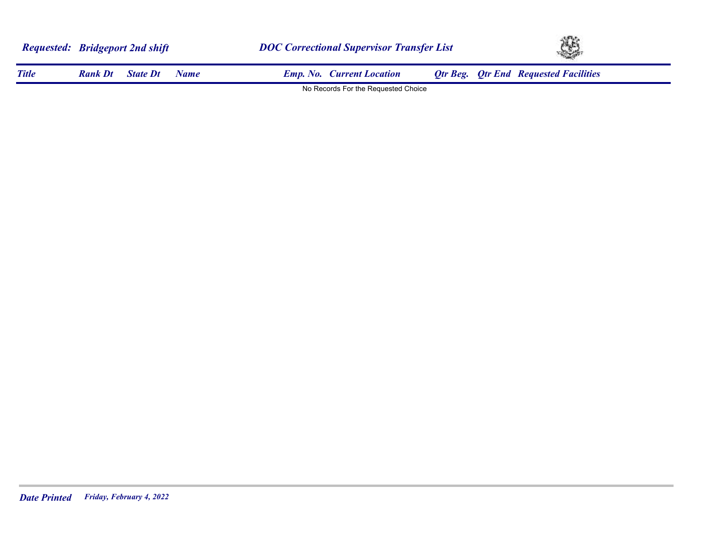|              | <b>Requested: Bridgeport 2nd shift</b> |                 | <b>DOC Correctional Supervisor Transfer List</b> |                                     |  | LE. |                                              |  |
|--------------|----------------------------------------|-----------------|--------------------------------------------------|-------------------------------------|--|-----|----------------------------------------------|--|
| <b>Title</b> | <b>Rank Dt</b>                         | <b>State Dt</b> | Name.                                            | <b>Emp. No. Current Location</b>    |  |     | <b>Otr Beg.</b> Otr End Requested Facilities |  |
|              |                                        |                 |                                                  | No Records For the Requested Choice |  |     |                                              |  |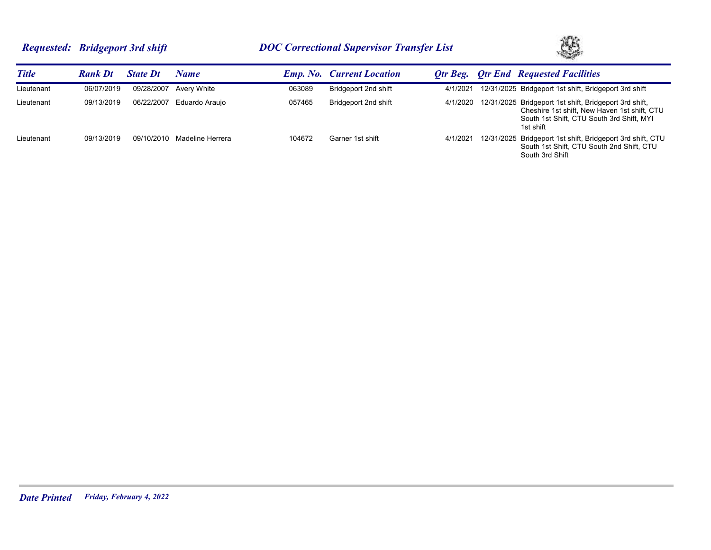# *Requested: Bridgeport 3rd shift DOC Correctional Supervisor Transfer List*



| <b>Title</b> | <b>Rank Dt</b> | <b>State Dt</b> | Name             |        | <b>Emp. No.</b> Current Location |          | <b>Otr Beg.</b> Otr End Requested Facilities                                                                                                                     |
|--------------|----------------|-----------------|------------------|--------|----------------------------------|----------|------------------------------------------------------------------------------------------------------------------------------------------------------------------|
| Lieutenant   | 06/07/2019     | 09/28/2007      | Avery White      | 063089 | Bridgeport 2nd shift             | 4/1/2021 | 12/31/2025 Bridgeport 1st shift, Bridgeport 3rd shift                                                                                                            |
| Lieutenant   | 09/13/2019     | 06/22/2007      | Eduardo Arauio   | 057465 | Bridgeport 2nd shift             | 4/1/2020 | 12/31/2025 Bridgeport 1st shift, Bridgeport 3rd shift,<br>Cheshire 1st shift, New Haven 1st shift, CTU<br>South 1st Shift, CTU South 3rd Shift, MYI<br>1st shift |
| Lieutenant   | 09/13/2019     | 09/10/2010      | Madeline Herrera | 104672 | Garner 1st shift                 | 4/1/2021 | 12/31/2025 Bridgeport 1st shift, Bridgeport 3rd shift, CTU<br>South 1st Shift, CTU South 2nd Shift, CTU<br>South 3rd Shift                                       |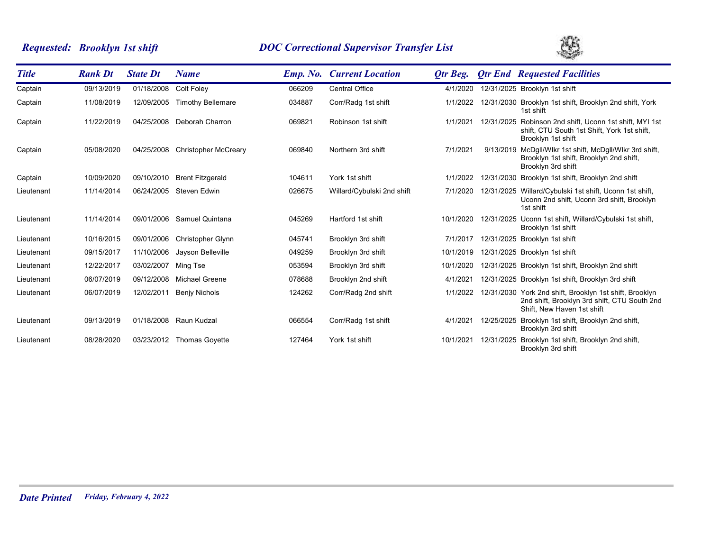# *Requested: Brooklyn 1st shift DOC Correctional Supervisor Transfer List*



| <b>Title</b> | <b>Rank Dt</b> | <b>State Dt</b> | <b>Name</b>                 | <b>Emp.</b> No. | <b>Current Location</b>    | <b>Qtr Beg.</b> |            | <b>Qtr End Requested Facilities</b>                                                                                                   |
|--------------|----------------|-----------------|-----------------------------|-----------------|----------------------------|-----------------|------------|---------------------------------------------------------------------------------------------------------------------------------------|
| Captain      | 09/13/2019     | 01/18/2008      | Colt Foley                  | 066209          | <b>Central Office</b>      | 4/1/2020        |            | 12/31/2025 Brooklyn 1st shift                                                                                                         |
| Captain      | 11/08/2019     | 12/09/2005      | <b>Timothy Bellemare</b>    | 034887          | Corr/Radg 1st shift        | 1/1/2022        |            | 12/31/2030 Brooklyn 1st shift, Brooklyn 2nd shift, York<br>1st shift                                                                  |
| Captain      | 11/22/2019     | 04/25/2008      | Deborah Charron             | 069821          | Robinson 1st shift         | 1/1/2021        |            | 12/31/2025 Robinson 2nd shift, Uconn 1st shift, MYI 1st<br>shift, CTU South 1st Shift, York 1st shift,<br>Brooklyn 1st shift          |
| Captain      | 05/08/2020     | 04/25/2008      | <b>Christopher McCreary</b> | 069840          | Northern 3rd shift         | 7/1/2021        | 9/13/2019  | McDgll/Wikr 1st shift, McDgll/Wikr 3rd shift,<br>Brooklyn 1st shift, Brooklyn 2nd shift,<br>Brooklyn 3rd shift                        |
| Captain      | 10/09/2020     | 09/10/2010      | <b>Brent Fitzgerald</b>     | 104611          | York 1st shift             | 1/1/2022        |            | 12/31/2030 Brooklyn 1st shift, Brooklyn 2nd shift                                                                                     |
| Lieutenant   | 11/14/2014     | 06/24/2005      | Steven Edwin                | 026675          | Willard/Cybulski 2nd shift | 7/1/2020        |            | 12/31/2025 Willard/Cybulski 1st shift, Uconn 1st shift,<br>Uconn 2nd shift, Uconn 3rd shift, Brooklyn<br>1st shift                    |
| Lieutenant   | 11/14/2014     | 09/01/2006      | <b>Samuel Quintana</b>      | 045269          | Hartford 1st shift         | 10/1/2020       |            | 12/31/2025 Uconn 1st shift, Willard/Cybulski 1st shift,<br>Brooklyn 1st shift                                                         |
| Lieutenant   | 10/16/2015     | 09/01/2006      | <b>Christopher Glynn</b>    | 045741          | Brooklyn 3rd shift         | 7/1/2017        |            | 12/31/2025 Brooklyn 1st shift                                                                                                         |
| Lieutenant   | 09/15/2017     | 11/10/2006      | Jayson Belleville           | 049259          | Brooklyn 3rd shift         | 10/1/2019       |            | 12/31/2025 Brooklyn 1st shift                                                                                                         |
| Lieutenant   | 12/22/2017     | 03/02/2007      | Ming Tse                    | 053594          | Brooklyn 3rd shift         | 10/1/2020       |            | 12/31/2025 Brooklyn 1st shift, Brooklyn 2nd shift                                                                                     |
| Lieutenant   | 06/07/2019     | 09/12/2008      | <b>Michael Greene</b>       | 078688          | Brooklyn 2nd shift         | 4/1/202'        |            | 12/31/2025 Brooklyn 1st shift, Brooklyn 3rd shift                                                                                     |
| Lieutenant   | 06/07/2019     | 12/02/2011      | <b>Benjy Nichols</b>        | 124262          | Corr/Radg 2nd shift        | 1/1/2022        |            | 12/31/2030 York 2nd shift, Brooklyn 1st shift, Brooklyn<br>2nd shift, Brooklyn 3rd shift, CTU South 2nd<br>Shift. New Haven 1st shift |
| Lieutenant   | 09/13/2019     | 01/18/2008      | Raun Kudzal                 | 066554          | Corr/Radg 1st shift        | 4/1/2021        | 12/25/2025 | Brooklyn 1st shift, Brooklyn 2nd shift,<br>Brooklyn 3rd shift                                                                         |
| Lieutenant   | 08/28/2020     | 03/23/2012      | <b>Thomas Govette</b>       | 127464          | York 1st shift             | 10/1/2021       | 12/31/2025 | Brooklyn 1st shift, Brooklyn 2nd shift,<br>Brooklyn 3rd shift                                                                         |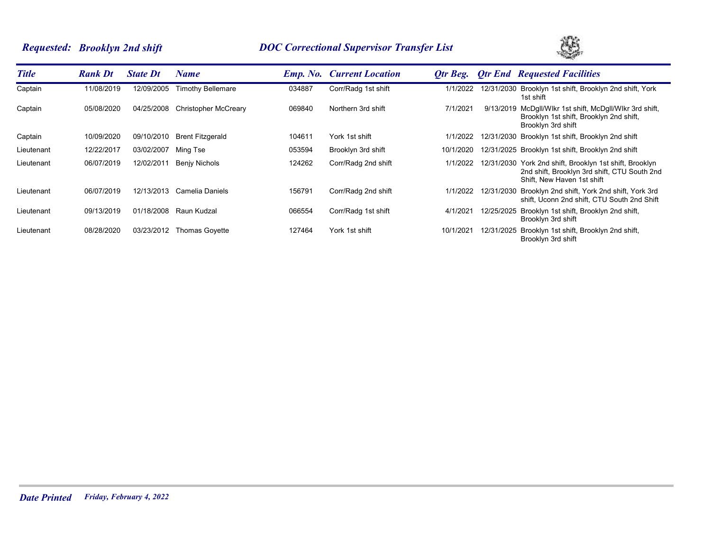# *Requested: Brooklyn 2nd shift DOC Correctional Supervisor Transfer List*



| <b>Title</b> | <b>Rank Dt</b> | <b>State Dt</b> | Name                        |        | <b>Emp. No.</b> Current Location | Otr Beg.  |            | <b>Otr End Requested Facilities</b>                                                                                                   |
|--------------|----------------|-----------------|-----------------------------|--------|----------------------------------|-----------|------------|---------------------------------------------------------------------------------------------------------------------------------------|
| Captain      | 11/08/2019     | 12/09/2005      | <b>Timothy Bellemare</b>    | 034887 | Corr/Radg 1st shift              | 1/1/2022  |            | 12/31/2030 Brooklyn 1st shift, Brooklyn 2nd shift, York<br>1st shift                                                                  |
| Captain      | 05/08/2020     | 04/25/2008      | <b>Christopher McCreary</b> | 069840 | Northern 3rd shift               | 7/1/2021  | 9/13/2019  | McDgll/Wikr 1st shift, McDgll/Wikr 3rd shift,<br>Brooklyn 1st shift, Brooklyn 2nd shift,<br>Brooklyn 3rd shift                        |
| Captain      | 10/09/2020     | 09/10/2010      | <b>Brent Fitzgerald</b>     | 104611 | York 1st shift                   | 1/1/2022  |            | 12/31/2030 Brooklyn 1st shift, Brooklyn 2nd shift                                                                                     |
| Lieutenant   | 12/22/2017     | 03/02/2007      | Ming Tse                    | 053594 | Brooklyn 3rd shift               | 10/1/2020 |            | 12/31/2025 Brooklyn 1st shift, Brooklyn 2nd shift                                                                                     |
| Lieutenant   | 06/07/2019     | 12/02/2011      | <b>Benjy Nichols</b>        | 124262 | Corr/Radg 2nd shift              | 1/1/2022  |            | 12/31/2030 York 2nd shift, Brooklyn 1st shift, Brooklyn<br>2nd shift, Brooklyn 3rd shift, CTU South 2nd<br>Shift. New Haven 1st shift |
| Lieutenant   | 06/07/2019     | 12/13/2013      | Camelia Daniels             | 156791 | Corr/Radg 2nd shift              | 1/1/2022  |            | 12/31/2030 Brooklyn 2nd shift, York 2nd shift, York 3rd<br>shift, Uconn 2nd shift, CTU South 2nd Shift                                |
| Lieutenant   | 09/13/2019     | 01/18/2008      | Raun Kudzal                 | 066554 | Corr/Radg 1st shift              | 4/1/2021  | 12/25/2025 | Brooklyn 1st shift, Brooklyn 2nd shift,<br>Brooklyn 3rd shift                                                                         |
| Lieutenant   | 08/28/2020     | 03/23/2012      | Thomas Goyette              | 127464 | York 1st shift                   | 10/1/2021 | 12/31/2025 | Brooklyn 1st shift, Brooklyn 2nd shift,<br>Brooklyn 3rd shift                                                                         |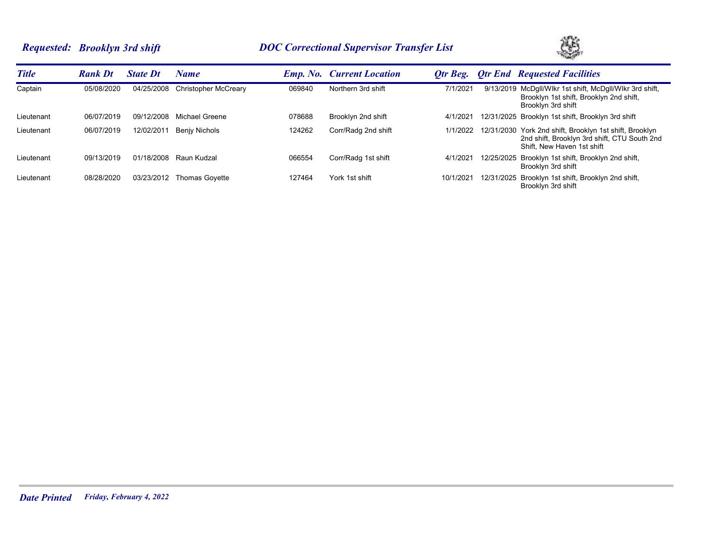# *Requested: Brooklyn 3rd shift DOC Correctional Supervisor Transfer List*



| <b>Title</b> | <b>Rank Dt</b> | <b>State Dt</b> | Name                  |        | <b>Emp. No.</b> Current Location | Otr Beg. | <b>Otr End Requested Facilities</b>                                                                                                   |
|--------------|----------------|-----------------|-----------------------|--------|----------------------------------|----------|---------------------------------------------------------------------------------------------------------------------------------------|
| Captain      | 05/08/2020     | 04/25/2008      | Christopher McCreary  | 069840 | Northern 3rd shift               | 7/1/2021 | 9/13/2019 McDgll/Wlkr 1st shift, McDgll/Wlkr 3rd shift,<br>Brooklyn 1st shift, Brooklyn 2nd shift,<br>Brooklyn 3rd shift              |
| Lieutenant   | 06/07/2019     | 09/12/2008      | Michael Greene        | 078688 | Brooklyn 2nd shift               | 4/1/202  | 12/31/2025 Brooklyn 1st shift, Brooklyn 3rd shift                                                                                     |
| Lieutenant   | 06/07/2019     | 12/02/2011      | Benjy Nichols         | 124262 | Corr/Radg 2nd shift              | 1/1/2022 | 12/31/2030 York 2nd shift, Brooklyn 1st shift, Brooklyn<br>2nd shift, Brooklyn 3rd shift, CTU South 2nd<br>Shift. New Haven 1st shift |
| Lieutenant   | 09/13/2019     | 01/18/2008      | Raun Kudzal           | 066554 | Corr/Radg 1st shift              | 4/1/202  | 12/25/2025 Brooklyn 1st shift, Brooklyn 2nd shift,<br>Brooklyn 3rd shift                                                              |
| Lieutenant   | 08/28/2020     | 03/23/2012      | <b>Thomas Govette</b> | 127464 | York 1st shift                   | 10/1/202 | 12/31/2025 Brooklyn 1st shift, Brooklyn 2nd shift,<br>Brooklyn 3rd shift                                                              |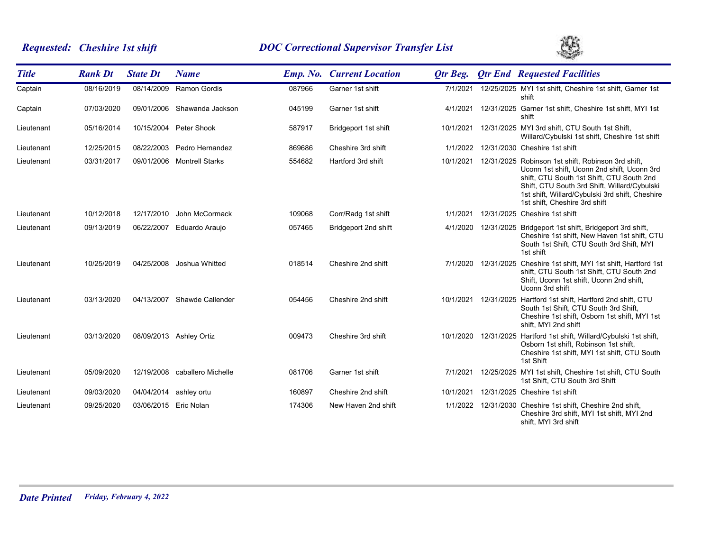# *Requested: Cheshire 1st shift DOC Correctional Supervisor Transfer List*



| <b>Title</b> | <b>Rank Dt</b> | <b>State Dt</b>       | <b>Name</b>                   |        | <b>Emp. No. Current Location</b> | Otr Beg.  |                      | <b>Otr End Requested Facilities</b>                                                                                                                                                                                                                                                          |
|--------------|----------------|-----------------------|-------------------------------|--------|----------------------------------|-----------|----------------------|----------------------------------------------------------------------------------------------------------------------------------------------------------------------------------------------------------------------------------------------------------------------------------------------|
| Captain      | 08/16/2019     | 08/14/2009            | <b>Ramon Gordis</b>           | 087966 | Garner 1st shift                 | 7/1/2021  |                      | 12/25/2025 MYI 1st shift, Cheshire 1st shift, Garner 1st<br>shift                                                                                                                                                                                                                            |
| Captain      | 07/03/2020     | 09/01/2006            | Shawanda Jackson              | 045199 | Garner 1st shift                 | 4/1/2021  |                      | 12/31/2025 Garner 1st shift, Cheshire 1st shift, MYI 1st<br>shift                                                                                                                                                                                                                            |
| Lieutenant   | 05/16/2014     |                       | 10/15/2004 Peter Shook        | 587917 | Bridgeport 1st shift             | 10/1/2021 |                      | 12/31/2025 MYI 3rd shift, CTU South 1st Shift,<br>Willard/Cybulski 1st shift, Cheshire 1st shift                                                                                                                                                                                             |
| Lieutenant   | 12/25/2015     | 08/22/2003            | Pedro Hernandez               | 869686 | Cheshire 3rd shift               | 1/1/2022  |                      | 12/31/2030 Cheshire 1st shift                                                                                                                                                                                                                                                                |
| Lieutenant   | 03/31/2017     | 09/01/2006            | <b>Montrell Starks</b>        | 554682 | Hartford 3rd shift               |           |                      | 10/1/2021 12/31/2025 Robinson 1st shift, Robinson 3rd shift,<br>Uconn 1st shift, Uconn 2nd shift, Uconn 3rd<br>shift, CTU South 1st Shift, CTU South 2nd<br>Shift, CTU South 3rd Shift, Willard/Cybulski<br>1st shift, Willard/Cybulski 3rd shift, Cheshire<br>1st shift. Cheshire 3rd shift |
| Lieutenant   | 10/12/2018     | 12/17/2010            | John McCormack                | 109068 | Corr/Radg 1st shift              | 1/1/2021  |                      | 12/31/2025 Cheshire 1st shift                                                                                                                                                                                                                                                                |
| Lieutenant   | 09/13/2019     | 06/22/2007            | Eduardo Araujo                | 057465 | Bridgeport 2nd shift             |           |                      | 4/1/2020 12/31/2025 Bridgeport 1st shift, Bridgeport 3rd shift,<br>Cheshire 1st shift, New Haven 1st shift, CTU<br>South 1st Shift, CTU South 3rd Shift, MYI<br>1st shift                                                                                                                    |
| Lieutenant   | 10/25/2019     | 04/25/2008            | Joshua Whitted                | 018514 | Cheshire 2nd shift               |           | 7/1/2020 12/31/2025  | Cheshire 1st shift, MYI 1st shift, Hartford 1st<br>shift, CTU South 1st Shift, CTU South 2nd<br>Shift, Uconn 1st shift, Uconn 2nd shift,<br>Uconn 3rd shift                                                                                                                                  |
| Lieutenant   | 03/13/2020     | 04/13/2007            | Shawde Callender              | 054456 | Cheshire 2nd shift               | 10/1/2021 | 12/31/2025           | Hartford 1st shift, Hartford 2nd shift, CTU<br>South 1st Shift, CTU South 3rd Shift,<br>Cheshire 1st shift, Osborn 1st shift, MYI 1st<br>shift, MYI 2nd shift                                                                                                                                |
| Lieutenant   | 03/13/2020     |                       | 08/09/2013 Ashley Ortiz       | 009473 | Cheshire 3rd shift               |           | 10/1/2020 12/31/2025 | Hartford 1st shift, Willard/Cybulski 1st shift,<br>Osborn 1st shift, Robinson 1st shift,<br>Cheshire 1st shift, MYI 1st shift, CTU South<br>1st Shift                                                                                                                                        |
| Lieutenant   | 05/09/2020     |                       | 12/19/2008 caballero Michelle | 081706 | Garner 1st shift                 | 7/1/2021  |                      | 12/25/2025 MYI 1st shift, Cheshire 1st shift, CTU South<br>1st Shift, CTU South 3rd Shift                                                                                                                                                                                                    |
| Lieutenant   | 09/03/2020     | 04/04/2014            | ashley ortu                   | 160897 | Cheshire 2nd shift               | 10/1/2021 |                      | 12/31/2025 Cheshire 1st shift                                                                                                                                                                                                                                                                |
| Lieutenant   | 09/25/2020     | 03/06/2015 Eric Nolan |                               | 174306 | New Haven 2nd shift              |           |                      | 1/1/2022 12/31/2030 Cheshire 1st shift, Cheshire 2nd shift,<br>Cheshire 3rd shift, MYI 1st shift, MYI 2nd<br>shift. MYI 3rd shift                                                                                                                                                            |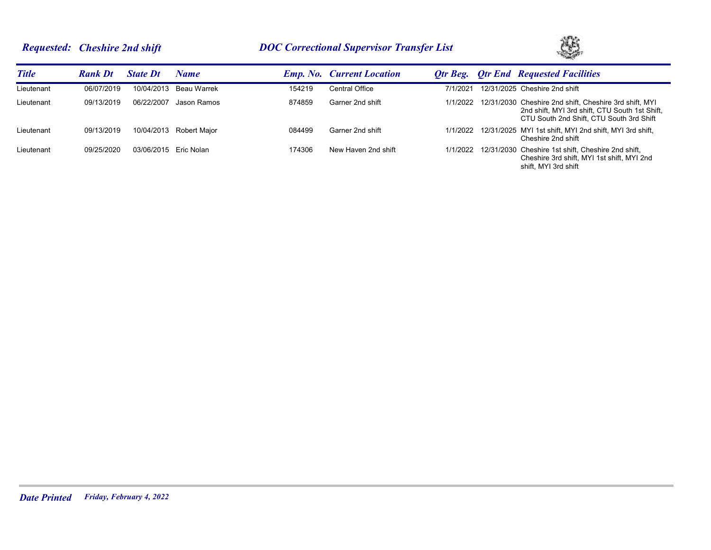# *Requested: Cheshire 2nd shift DOC Correctional Supervisor Transfer List*



| <b>Title</b> | <b>Rank Dt</b> | <b>State Dt</b> | Name         |        | <b>Emp. No. Current Location</b> | Otr Beg. | <b>Otr End Requested Facilities</b>                                                                                                                           |
|--------------|----------------|-----------------|--------------|--------|----------------------------------|----------|---------------------------------------------------------------------------------------------------------------------------------------------------------------|
| Lieutenant   | 06/07/2019     | 10/04/2013      | Beau Warrek  | 154219 | <b>Central Office</b>            | 7/1/2021 | 12/31/2025 Cheshire 2nd shift                                                                                                                                 |
| Lieutenant   | 09/13/2019     | 06/22/2007      | Jason Ramos  | 874859 | Garner 2nd shift                 |          | 1/1/2022 12/31/2030 Cheshire 2nd shift, Cheshire 3rd shift, MYI<br>2nd shift, MYI 3rd shift, CTU South 1st Shift,<br>CTU South 2nd Shift. CTU South 3rd Shift |
| Lieutenant   | 09/13/2019     | 10/04/2013      | Robert Maior | 084499 | Garner 2nd shift                 |          | 1/1/2022 12/31/2025 MYI 1st shift, MYI 2nd shift, MYI 3rd shift,<br>Cheshire 2nd shift                                                                        |
| Lieutenant   | 09/25/2020     | 03/06/2015      | Eric Nolan   | 174306 | New Haven 2nd shift              |          | 1/1/2022 12/31/2030 Cheshire 1st shift, Cheshire 2nd shift,<br>Cheshire 3rd shift, MYI 1st shift, MYI 2nd<br>shift. MYI 3rd shift                             |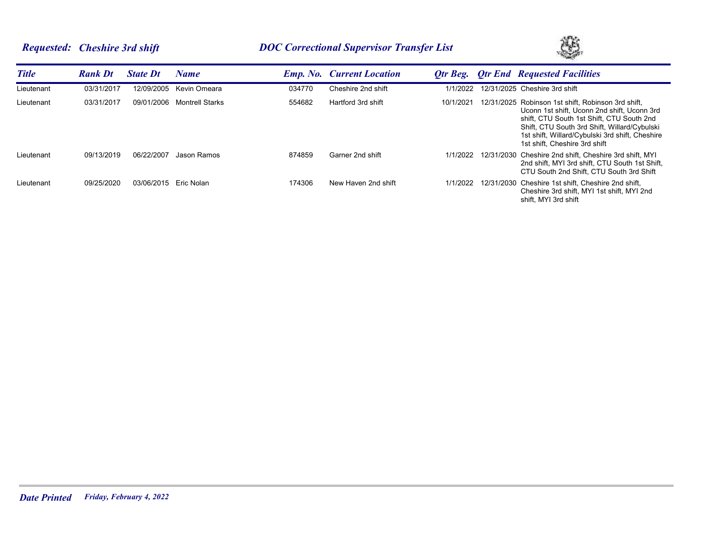# *Requested: Cheshire 3rd shift DOC Correctional Supervisor Transfer List*



| <b>Title</b> | <b>Rank Dt</b> | <b>State Dt</b>       | Name                   |        | <b>Emp. No.</b> Current Location | Otr Beg.  | <b>Otr End Requested Facilities</b>                                                                                                                                                                                                                                                |
|--------------|----------------|-----------------------|------------------------|--------|----------------------------------|-----------|------------------------------------------------------------------------------------------------------------------------------------------------------------------------------------------------------------------------------------------------------------------------------------|
| Lieutenant   | 03/31/2017     | 12/09/2005            | Kevin Omeara           | 034770 | Cheshire 2nd shift               | 1/1/2022  | 12/31/2025 Cheshire 3rd shift                                                                                                                                                                                                                                                      |
| Lieutenant   | 03/31/2017     | 09/01/2006            | <b>Montrell Starks</b> | 554682 | Hartford 3rd shift               | 10/1/2021 | 12/31/2025 Robinson 1st shift, Robinson 3rd shift,<br>Uconn 1st shift. Uconn 2nd shift. Uconn 3rd<br>shift, CTU South 1st Shift, CTU South 2nd<br>Shift, CTU South 3rd Shift, Willard/Cybulski<br>1st shift, Willard/Cybulski 3rd shift, Cheshire<br>1st shift, Cheshire 3rd shift |
| Lieutenant   | 09/13/2019     | 06/22/2007            | Jason Ramos            | 874859 | Garner 2nd shift                 | 1/1/2022  | 12/31/2030 Cheshire 2nd shift. Cheshire 3rd shift. MYI<br>2nd shift, MYI 3rd shift, CTU South 1st Shift,<br>CTU South 2nd Shift. CTU South 3rd Shift                                                                                                                               |
| Lieutenant   | 09/25/2020     | 03/06/2015 Eric Nolan |                        | 174306 | New Haven 2nd shift              | 1/1/2022  | 12/31/2030 Cheshire 1st shift, Cheshire 2nd shift,<br>Cheshire 3rd shift. MYI 1st shift. MYI 2nd<br>shift. MYI 3rd shift                                                                                                                                                           |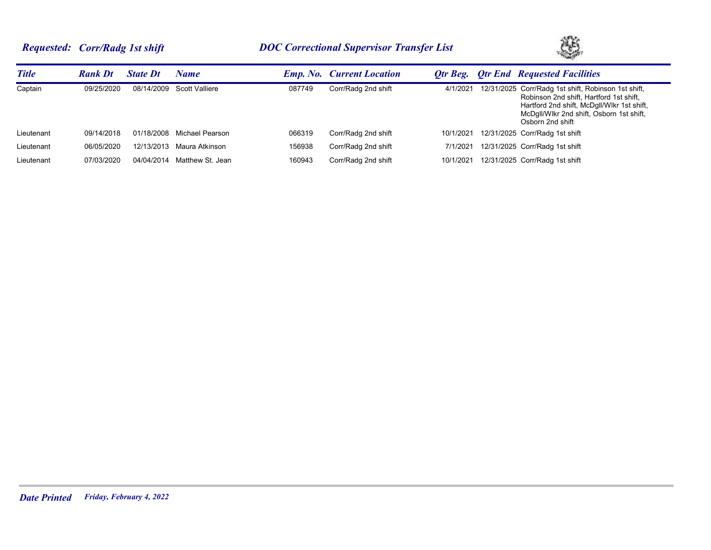# *Requested: Corr/Radg 1st shift DOC Correctional Supervisor Transfer List*



| <b>Title</b> | <b>Rank Dt</b> | <b>State Dt</b> | <b>Name</b>      |        | <b>Emp. No. Current Location</b> | Otr Beg.  | <b>Qtr End Requested Facilities</b>                                                                                                                                                                          |
|--------------|----------------|-----------------|------------------|--------|----------------------------------|-----------|--------------------------------------------------------------------------------------------------------------------------------------------------------------------------------------------------------------|
| Captain      | 09/25/2020     | 08/14/2009      | Scott Valliere   | 087749 | Corr/Radg 2nd shift              | 4/1/2021  | 12/31/2025 Corr/Radg 1st shift, Robinson 1st shift,<br>Robinson 2nd shift, Hartford 1st shift,<br>Hartford 2nd shift, McDgll/Wlkr 1st shift,<br>McDgll/Wlkr 2nd shift, Osborn 1st shift,<br>Osborn 2nd shift |
| Lieutenant   | 09/14/2018     | 01/18/2008      | Michael Pearson  | 066319 | Corr/Radg 2nd shift              | 10/1/2021 | 12/31/2025 Corr/Radg 1st shift                                                                                                                                                                               |
| Lieutenant   | 06/05/2020     | 12/13/2013      | Maura Atkinson   | 156938 | Corr/Radg 2nd shift              | 7/1/2021  | 12/31/2025 Corr/Radg 1st shift                                                                                                                                                                               |
| Lieutenant   | 07/03/2020     | 04/04/2014      | Matthew St. Jean | 160943 | Corr/Radg 2nd shift              | 10/1/2021 | 12/31/2025 Corr/Radg 1st shift                                                                                                                                                                               |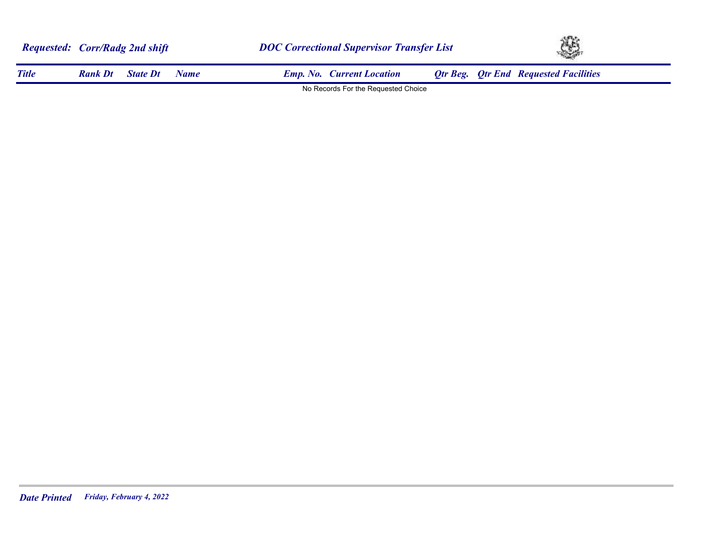|              | <b>Requested: Corr/Radg 2nd shift</b> |                 | <b>DOC Correctional Supervisor Transfer List</b> |  |                                     | Œ, |  |                                              |
|--------------|---------------------------------------|-----------------|--------------------------------------------------|--|-------------------------------------|----|--|----------------------------------------------|
| <b>Title</b> | <b>Rank Dt</b>                        | <b>State Dt</b> | Name                                             |  | <b>Emp. No. Current Location</b>    |    |  | <b>Qtr Beg. Qtr End Requested Facilities</b> |
|              |                                       |                 |                                                  |  | No Records For the Requested Choice |    |  |                                              |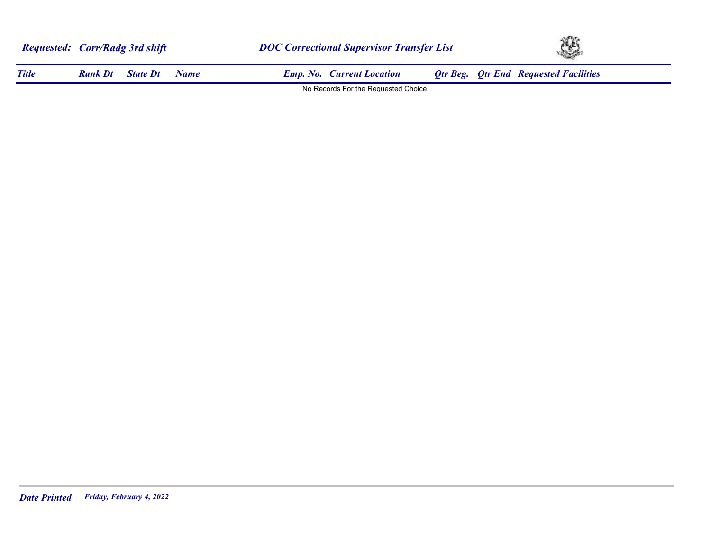|              | <b>Requested: Corr/Radg 3rd shift</b> |                 |             | <b>DOC Correctional Supervisor Transfer List</b> |  |  | Œ,                                           |  |  |
|--------------|---------------------------------------|-----------------|-------------|--------------------------------------------------|--|--|----------------------------------------------|--|--|
| <b>Title</b> | <b>Rank Dt</b>                        | <b>State Dt</b> | <b>Name</b> | <b>Emp. No. Current Location</b>                 |  |  | <b>Qtr Beg. Qtr End Requested Facilities</b> |  |  |
|              |                                       |                 |             | No Records For the Requested Choice              |  |  |                                              |  |  |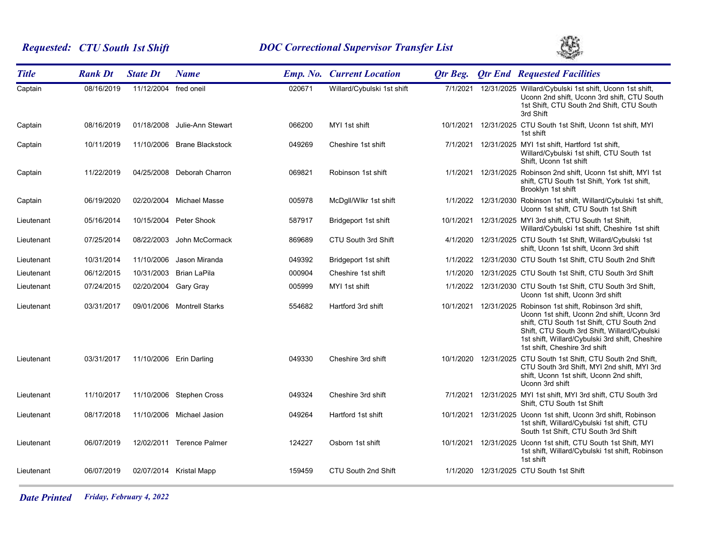# *Requested: CTU South 1st Shift DOC Correctional Supervisor Transfer List*



| <b>Title</b> | <b>Rank Dt</b> | <b>State Dt</b>       | <b>Name</b>                 |        | <b>Emp. No. Current Location</b> | Otr Beg.  | <b>Qtr End Requested Facilities</b>                                                                                                                                                                                                                                                |
|--------------|----------------|-----------------------|-----------------------------|--------|----------------------------------|-----------|------------------------------------------------------------------------------------------------------------------------------------------------------------------------------------------------------------------------------------------------------------------------------------|
| Captain      | 08/16/2019     | 11/12/2004 fred oneil |                             | 020671 | Willard/Cybulski 1st shift       | 7/1/2021  | 12/31/2025 Willard/Cybulski 1st shift, Uconn 1st shift,<br>Uconn 2nd shift, Uconn 3rd shift, CTU South<br>1st Shift, CTU South 2nd Shift, CTU South<br>3rd Shift                                                                                                                   |
| Captain      | 08/16/2019     | 01/18/2008            | Julie-Ann Stewart           | 066200 | MYI 1st shift                    | 10/1/2021 | 12/31/2025 CTU South 1st Shift, Uconn 1st shift, MYI<br>1st shift                                                                                                                                                                                                                  |
| Captain      | 10/11/2019     |                       | 11/10/2006 Brane Blackstock | 049269 | Cheshire 1st shift               | 7/1/2021  | 12/31/2025 MYI 1st shift, Hartford 1st shift,<br>Willard/Cybulski 1st shift, CTU South 1st<br>Shift, Uconn 1st shift                                                                                                                                                               |
| Captain      | 11/22/2019     |                       | 04/25/2008 Deborah Charron  | 069821 | Robinson 1st shift               | 1/1/2021  | 12/31/2025 Robinson 2nd shift, Uconn 1st shift, MYI 1st<br>shift, CTU South 1st Shift, York 1st shift,<br>Brooklyn 1st shift                                                                                                                                                       |
| Captain      | 06/19/2020     |                       | 02/20/2004 Michael Masse    | 005978 | McDgll/Wlkr 1st shift            | 1/1/2022  | 12/31/2030 Robinson 1st shift, Willard/Cybulski 1st shift,<br>Uconn 1st shift, CTU South 1st Shift                                                                                                                                                                                 |
| Lieutenant   | 05/16/2014     |                       | 10/15/2004 Peter Shook      | 587917 | Bridgeport 1st shift             | 10/1/2021 | 12/31/2025 MYI 3rd shift, CTU South 1st Shift,<br>Willard/Cybulski 1st shift, Cheshire 1st shift                                                                                                                                                                                   |
| Lieutenant   | 07/25/2014     | 08/22/2003            | John McCormack              | 869689 | CTU South 3rd Shift              | 4/1/2020  | 12/31/2025 CTU South 1st Shift, Willard/Cybulski 1st<br>shift, Uconn 1st shift, Uconn 3rd shift                                                                                                                                                                                    |
| Lieutenant   | 10/31/2014     | 11/10/2006            | Jason Miranda               | 049392 | Bridgeport 1st shift             | 1/1/2022  | 12/31/2030 CTU South 1st Shift, CTU South 2nd Shift                                                                                                                                                                                                                                |
| Lieutenant   | 06/12/2015     |                       | 10/31/2003 Brian LaPila     | 000904 | Cheshire 1st shift               | 1/1/2020  | 12/31/2025 CTU South 1st Shift, CTU South 3rd Shift                                                                                                                                                                                                                                |
| Lieutenant   | 07/24/2015     | 02/20/2004 Gary Gray  |                             | 005999 | MYI 1st shift                    |           | 1/1/2022 12/31/2030 CTU South 1st Shift, CTU South 3rd Shift,<br>Uconn 1st shift, Uconn 3rd shift                                                                                                                                                                                  |
| Lieutenant   | 03/31/2017     |                       | 09/01/2006 Montrell Starks  | 554682 | Hartford 3rd shift               | 10/1/2021 | 12/31/2025 Robinson 1st shift, Robinson 3rd shift,<br>Uconn 1st shift, Uconn 2nd shift, Uconn 3rd<br>shift, CTU South 1st Shift, CTU South 2nd<br>Shift, CTU South 3rd Shift, Willard/Cybulski<br>1st shift, Willard/Cybulski 3rd shift, Cheshire<br>1st shift, Cheshire 3rd shift |
| Lieutenant   | 03/31/2017     |                       | 11/10/2006 Erin Darling     | 049330 | Cheshire 3rd shift               |           | 10/1/2020 12/31/2025 CTU South 1st Shift, CTU South 2nd Shift,<br>CTU South 3rd Shift, MYI 2nd shift, MYI 3rd<br>shift, Uconn 1st shift, Uconn 2nd shift,<br>Uconn 3rd shift                                                                                                       |
| Lieutenant   | 11/10/2017     |                       | 11/10/2006 Stephen Cross    | 049324 | Cheshire 3rd shift               | 7/1/2021  | 12/31/2025 MYI 1st shift, MYI 3rd shift, CTU South 3rd<br>Shift, CTU South 1st Shift                                                                                                                                                                                               |
| Lieutenant   | 08/17/2018     |                       | 11/10/2006 Michael Jasion   | 049264 | Hartford 1st shift               | 10/1/2021 | 12/31/2025 Uconn 1st shift, Uconn 3rd shift, Robinson<br>1st shift, Willard/Cybulski 1st shift, CTU<br>South 1st Shift, CTU South 3rd Shift                                                                                                                                        |
| Lieutenant   | 06/07/2019     |                       | 12/02/2011 Terence Palmer   | 124227 | Osborn 1st shift                 | 10/1/2021 | 12/31/2025 Uconn 1st shift, CTU South 1st Shift, MYI<br>1st shift, Willard/Cybulski 1st shift, Robinson<br>1st shift                                                                                                                                                               |
| Lieutenant   | 06/07/2019     |                       | 02/07/2014 Kristal Mapp     | 159459 | CTU South 2nd Shift              | 1/1/2020  | 12/31/2025 CTU South 1st Shift                                                                                                                                                                                                                                                     |

*Date Printed Friday, February 4, 2022*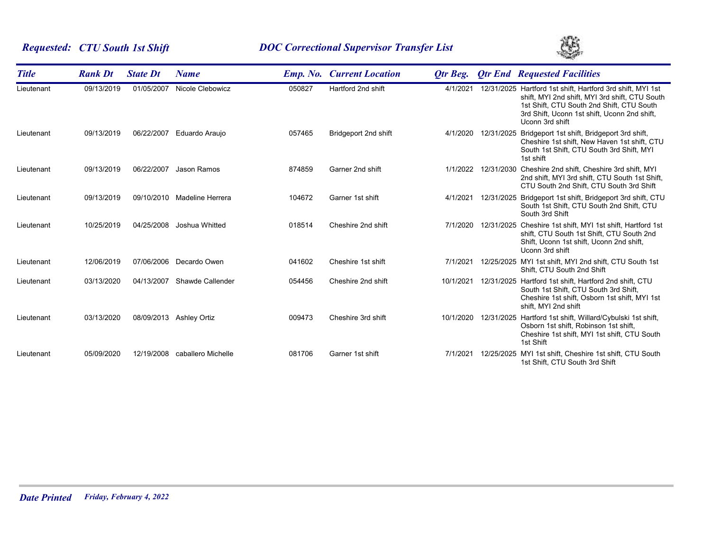# *Requested: CTU South 1st Shift DOC Correctional Supervisor Transfer List*



| <b>Title</b> | <b>Rank Dt</b> | <b>State Dt</b> | <b>Name</b>        |        | <b>Emp. No. Current Location</b> | Otr Beg.  |            | <b>Qtr End Requested Facilities</b>                                                                                                                                                                                          |
|--------------|----------------|-----------------|--------------------|--------|----------------------------------|-----------|------------|------------------------------------------------------------------------------------------------------------------------------------------------------------------------------------------------------------------------------|
| Lieutenant   | 09/13/2019     | 01/05/2007      | Nicole Clebowicz   | 050827 | Hartford 2nd shift               | 4/1/2021  |            | 12/31/2025 Hartford 1st shift, Hartford 3rd shift, MYI 1st<br>shift, MYI 2nd shift, MYI 3rd shift, CTU South<br>1st Shift, CTU South 2nd Shift, CTU South<br>3rd Shift, Uconn 1st shift, Uconn 2nd shift,<br>Uconn 3rd shift |
| Lieutenant   | 09/13/2019     | 06/22/2007      | Eduardo Araujo     | 057465 | Bridgeport 2nd shift             | 4/1/2020  | 12/31/2025 | Bridgeport 1st shift, Bridgeport 3rd shift,<br>Cheshire 1st shift, New Haven 1st shift, CTU<br>South 1st Shift, CTU South 3rd Shift, MYI<br>1st shift                                                                        |
| Lieutenant   | 09/13/2019     | 06/22/2007      | Jason Ramos        | 874859 | Garner 2nd shift                 | 1/1/2022  |            | 12/31/2030 Cheshire 2nd shift, Cheshire 3rd shift, MYI<br>2nd shift, MYI 3rd shift, CTU South 1st Shift,<br>CTU South 2nd Shift, CTU South 3rd Shift                                                                         |
| Lieutenant   | 09/13/2019     | 09/10/2010      | Madeline Herrera   | 104672 | Garner 1st shift                 | 4/1/2021  | 12/31/2025 | Bridgeport 1st shift, Bridgeport 3rd shift, CTU<br>South 1st Shift, CTU South 2nd Shift, CTU<br>South 3rd Shift                                                                                                              |
| Lieutenant   | 10/25/2019     | 04/25/2008      | Joshua Whitted     | 018514 | Cheshire 2nd shift               | 7/1/2020  | 12/31/2025 | Cheshire 1st shift, MYI 1st shift, Hartford 1st<br>shift, CTU South 1st Shift, CTU South 2nd<br>Shift, Uconn 1st shift, Uconn 2nd shift,<br>Uconn 3rd shift                                                                  |
| Lieutenant   | 12/06/2019     | 07/06/2006      | Decardo Owen       | 041602 | Cheshire 1st shift               | 7/1/2021  |            | 12/25/2025 MYI 1st shift, MYI 2nd shift, CTU South 1st<br>Shift, CTU South 2nd Shift                                                                                                                                         |
| Lieutenant   | 03/13/2020     | 04/13/2007      | Shawde Callender   | 054456 | Cheshire 2nd shift               | 10/1/2021 | 12/31/2025 | Hartford 1st shift, Hartford 2nd shift, CTU<br>South 1st Shift, CTU South 3rd Shift,<br>Cheshire 1st shift, Osborn 1st shift, MYI 1st<br>shift, MYI 2nd shift                                                                |
| Lieutenant   | 03/13/2020     | 08/09/2013      | Ashley Ortiz       | 009473 | Cheshire 3rd shift               | 10/1/2020 | 12/31/2025 | Hartford 1st shift, Willard/Cybulski 1st shift,<br>Osborn 1st shift, Robinson 1st shift,<br>Cheshire 1st shift, MYI 1st shift, CTU South<br>1st Shift                                                                        |
| Lieutenant   | 05/09/2020     | 12/19/2008      | caballero Michelle | 081706 | Garner 1st shift                 | 7/1/2021  | 12/25/2025 | MYI 1st shift, Cheshire 1st shift, CTU South<br>1st Shift, CTU South 3rd Shift                                                                                                                                               |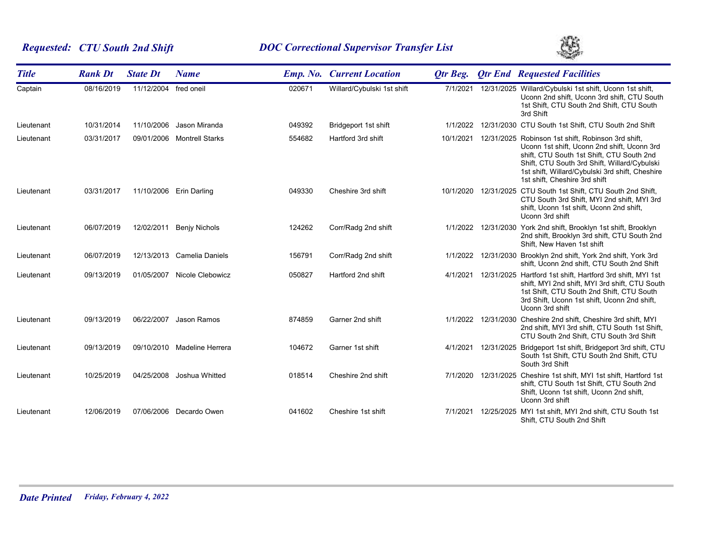# *Requested: CTU South 2nd Shift DOC Correctional Supervisor Transfer List*



| <b>Title</b> | <b>Rank Dt</b> | <b>State Dt</b>       | <b>Name</b>                 |        | <b>Emp. No. Current Location</b> | Otr Beg.  |            | <b>Qtr End Requested Facilities</b>                                                                                                                                                                                                                                                |
|--------------|----------------|-----------------------|-----------------------------|--------|----------------------------------|-----------|------------|------------------------------------------------------------------------------------------------------------------------------------------------------------------------------------------------------------------------------------------------------------------------------------|
| Captain      | 08/16/2019     | 11/12/2004 fred oneil |                             | 020671 | Willard/Cybulski 1st shift       | 7/1/2021  |            | 12/31/2025 Willard/Cybulski 1st shift, Uconn 1st shift,<br>Uconn 2nd shift, Uconn 3rd shift, CTU South<br>1st Shift, CTU South 2nd Shift, CTU South<br>3rd Shift                                                                                                                   |
| Lieutenant   | 10/31/2014     | 11/10/2006            | Jason Miranda               | 049392 | Bridgeport 1st shift             | 1/1/2022  |            | 12/31/2030 CTU South 1st Shift, CTU South 2nd Shift                                                                                                                                                                                                                                |
| Lieutenant   | 03/31/2017     |                       | 09/01/2006 Montrell Starks  | 554682 | Hartford 3rd shift               | 10/1/2021 |            | 12/31/2025 Robinson 1st shift, Robinson 3rd shift,<br>Uconn 1st shift, Uconn 2nd shift, Uconn 3rd<br>shift, CTU South 1st Shift, CTU South 2nd<br>Shift, CTU South 3rd Shift, Willard/Cybulski<br>1st shift, Willard/Cybulski 3rd shift, Cheshire<br>1st shift, Cheshire 3rd shift |
| Lieutenant   | 03/31/2017     | 11/10/2006            | Erin Darling                | 049330 | Cheshire 3rd shift               | 10/1/2020 |            | 12/31/2025 CTU South 1st Shift, CTU South 2nd Shift,<br>CTU South 3rd Shift, MYI 2nd shift, MYI 3rd<br>shift, Uconn 1st shift, Uconn 2nd shift,<br>Uconn 3rd shift                                                                                                                 |
| Lieutenant   | 06/07/2019     | 12/02/2011            | <b>Benjy Nichols</b>        | 124262 | Corr/Radg 2nd shift              | 1/1/2022  |            | 12/31/2030 York 2nd shift, Brooklyn 1st shift, Brooklyn<br>2nd shift, Brooklyn 3rd shift, CTU South 2nd<br>Shift, New Haven 1st shift                                                                                                                                              |
| Lieutenant   | 06/07/2019     |                       | 12/13/2013 Camelia Daniels  | 156791 | Corr/Radg 2nd shift              |           |            | 1/1/2022 12/31/2030 Brooklyn 2nd shift, York 2nd shift, York 3rd<br>shift, Uconn 2nd shift, CTU South 2nd Shift                                                                                                                                                                    |
| Lieutenant   | 09/13/2019     | 01/05/2007            | Nicole Clebowicz            | 050827 | Hartford 2nd shift               | 4/1/2021  |            | 12/31/2025 Hartford 1st shift, Hartford 3rd shift, MYI 1st<br>shift, MYI 2nd shift, MYI 3rd shift, CTU South<br>1st Shift, CTU South 2nd Shift, CTU South<br>3rd Shift, Uconn 1st shift, Uconn 2nd shift,<br>Uconn 3rd shift                                                       |
| Lieutenant   | 09/13/2019     | 06/22/2007            | Jason Ramos                 | 874859 | Garner 2nd shift                 | 1/1/2022  |            | 12/31/2030 Cheshire 2nd shift, Cheshire 3rd shift, MYI<br>2nd shift, MYI 3rd shift, CTU South 1st Shift,<br>CTU South 2nd Shift, CTU South 3rd Shift                                                                                                                               |
| Lieutenant   | 09/13/2019     |                       | 09/10/2010 Madeline Herrera | 104672 | Garner 1st shift                 | 4/1/2021  |            | 12/31/2025 Bridgeport 1st shift, Bridgeport 3rd shift, CTU<br>South 1st Shift, CTU South 2nd Shift, CTU<br>South 3rd Shift                                                                                                                                                         |
| Lieutenant   | 10/25/2019     | 04/25/2008            | Joshua Whitted              | 018514 | Cheshire 2nd shift               | 7/1/2020  | 12/31/2025 | Cheshire 1st shift, MYI 1st shift, Hartford 1st<br>shift, CTU South 1st Shift, CTU South 2nd<br>Shift, Uconn 1st shift, Uconn 2nd shift,<br>Uconn 3rd shift                                                                                                                        |
| Lieutenant   | 12/06/2019     | 07/06/2006            | Decardo Owen                | 041602 | Cheshire 1st shift               | 7/1/2021  | 12/25/2025 | MYI 1st shift, MYI 2nd shift, CTU South 1st<br>Shift, CTU South 2nd Shift                                                                                                                                                                                                          |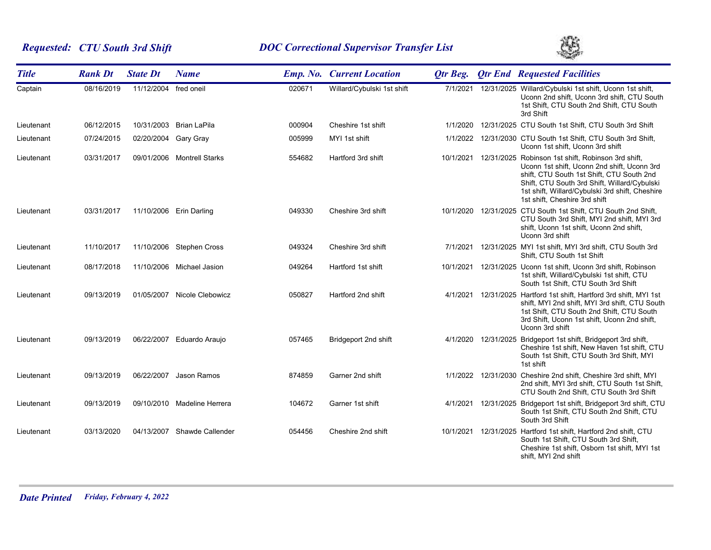# *Requested: CTU South 3rd Shift DOC Correctional Supervisor Transfer List*



| <b>Title</b> | <b>Rank Dt</b> | <b>State Dt</b>       | <b>Name</b>                 |        | <b>Emp. No. Current Location</b> | <b>Qtr Beg.</b> |                     | <b>Qtr End Requested Facilities</b>                                                                                                                                                                                                                                                |
|--------------|----------------|-----------------------|-----------------------------|--------|----------------------------------|-----------------|---------------------|------------------------------------------------------------------------------------------------------------------------------------------------------------------------------------------------------------------------------------------------------------------------------------|
| Captain      | 08/16/2019     | 11/12/2004 fred oneil |                             | 020671 | Willard/Cybulski 1st shift       | 7/1/2021        |                     | 12/31/2025 Willard/Cybulski 1st shift, Uconn 1st shift,<br>Uconn 2nd shift, Uconn 3rd shift, CTU South<br>1st Shift, CTU South 2nd Shift, CTU South<br>3rd Shift                                                                                                                   |
| Lieutenant   | 06/12/2015     | 10/31/2003            | Brian LaPila                | 000904 | Cheshire 1st shift               | 1/1/2020        |                     | 12/31/2025 CTU South 1st Shift, CTU South 3rd Shift                                                                                                                                                                                                                                |
| Lieutenant   | 07/24/2015     | 02/20/2004 Gary Gray  |                             | 005999 | MYI 1st shift                    |                 |                     | 1/1/2022 12/31/2030 CTU South 1st Shift, CTU South 3rd Shift,<br>Uconn 1st shift, Uconn 3rd shift                                                                                                                                                                                  |
| Lieutenant   | 03/31/2017     |                       | 09/01/2006 Montrell Starks  | 554682 | Hartford 3rd shift               | 10/1/2021       |                     | 12/31/2025 Robinson 1st shift, Robinson 3rd shift,<br>Uconn 1st shift, Uconn 2nd shift, Uconn 3rd<br>shift, CTU South 1st Shift, CTU South 2nd<br>Shift, CTU South 3rd Shift, Willard/Cybulski<br>1st shift, Willard/Cybulski 3rd shift, Cheshire<br>1st shift, Cheshire 3rd shift |
| Lieutenant   | 03/31/2017     |                       | 11/10/2006 Erin Darling     | 049330 | Cheshire 3rd shift               |                 |                     | 10/1/2020 12/31/2025 CTU South 1st Shift, CTU South 2nd Shift,<br>CTU South 3rd Shift, MYI 2nd shift, MYI 3rd<br>shift, Uconn 1st shift, Uconn 2nd shift,<br>Uconn 3rd shift                                                                                                       |
| Lieutenant   | 11/10/2017     |                       | 11/10/2006 Stephen Cross    | 049324 | Cheshire 3rd shift               | 7/1/2021        |                     | 12/31/2025 MYI 1st shift, MYI 3rd shift, CTU South 3rd<br>Shift, CTU South 1st Shift                                                                                                                                                                                               |
| Lieutenant   | 08/17/2018     |                       | 11/10/2006 Michael Jasion   | 049264 | Hartford 1st shift               | 10/1/2021       |                     | 12/31/2025 Uconn 1st shift, Uconn 3rd shift, Robinson<br>1st shift, Willard/Cybulski 1st shift, CTU<br>South 1st Shift, CTU South 3rd Shift                                                                                                                                        |
| Lieutenant   | 09/13/2019     |                       | 01/05/2007 Nicole Clebowicz | 050827 | Hartford 2nd shift               | 4/1/2021        |                     | 12/31/2025 Hartford 1st shift, Hartford 3rd shift, MYI 1st<br>shift, MYI 2nd shift, MYI 3rd shift, CTU South<br>1st Shift, CTU South 2nd Shift, CTU South<br>3rd Shift, Uconn 1st shift, Uconn 2nd shift,<br>Uconn 3rd shift                                                       |
| Lieutenant   | 09/13/2019     | 06/22/2007            | Eduardo Araujo              | 057465 | Bridgeport 2nd shift             |                 | 4/1/2020 12/31/2025 | Bridgeport 1st shift, Bridgeport 3rd shift,<br>Cheshire 1st shift, New Haven 1st shift, CTU<br>South 1st Shift, CTU South 3rd Shift, MYI<br>1st shift                                                                                                                              |
| Lieutenant   | 09/13/2019     | 06/22/2007            | Jason Ramos                 | 874859 | Garner 2nd shift                 |                 |                     | 1/1/2022 12/31/2030 Cheshire 2nd shift, Cheshire 3rd shift, MYI<br>2nd shift, MYI 3rd shift, CTU South 1st Shift,<br>CTU South 2nd Shift, CTU South 3rd Shift                                                                                                                      |
| Lieutenant   | 09/13/2019     |                       | 09/10/2010 Madeline Herrera | 104672 | Garner 1st shift                 | 4/1/2021        |                     | 12/31/2025 Bridgeport 1st shift, Bridgeport 3rd shift, CTU<br>South 1st Shift, CTU South 2nd Shift, CTU<br>South 3rd Shift                                                                                                                                                         |
| Lieutenant   | 03/13/2020     |                       | 04/13/2007 Shawde Callender | 054456 | Cheshire 2nd shift               | 10/1/2021       |                     | 12/31/2025 Hartford 1st shift, Hartford 2nd shift, CTU<br>South 1st Shift, CTU South 3rd Shift,<br>Cheshire 1st shift, Osborn 1st shift, MYI 1st<br>shift, MYI 2nd shift                                                                                                           |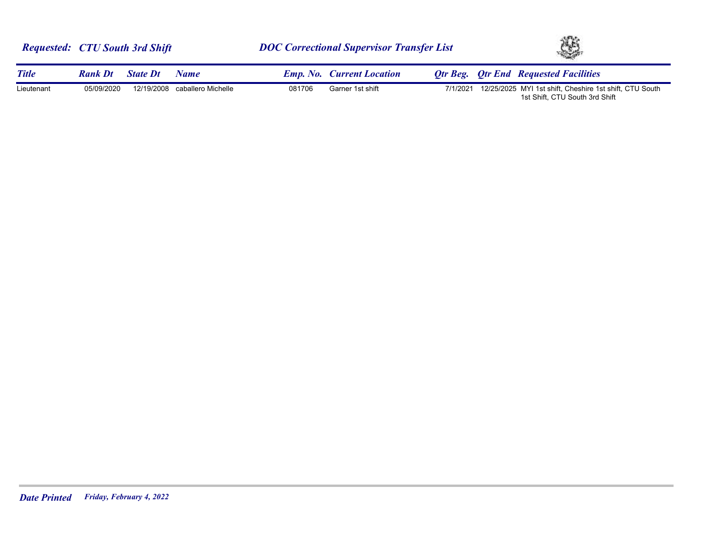|              | <b>Requested: CTU South 3rd Shift</b> |                 |                               | <b>DOC Correctional Supervisor Transfer List</b> |                                  |          | XB. |                                                                                           |
|--------------|---------------------------------------|-----------------|-------------------------------|--------------------------------------------------|----------------------------------|----------|-----|-------------------------------------------------------------------------------------------|
| <b>Title</b> | <b>Rank Dt</b>                        | <b>State Dt</b> | Name                          |                                                  | <b>Emp. No. Current Location</b> |          |     | <b>Otr Beg.</b> Otr End Requested Facilities                                              |
| Lieutenant   | 05/09/2020                            |                 | 12/19/2008 caballero Michelle | 081706                                           | Garner 1st shift                 | 7/1/2021 |     | 12/25/2025 MYI 1st shift, Cheshire 1st shift, CTU South<br>1st Shift, CTU South 3rd Shift |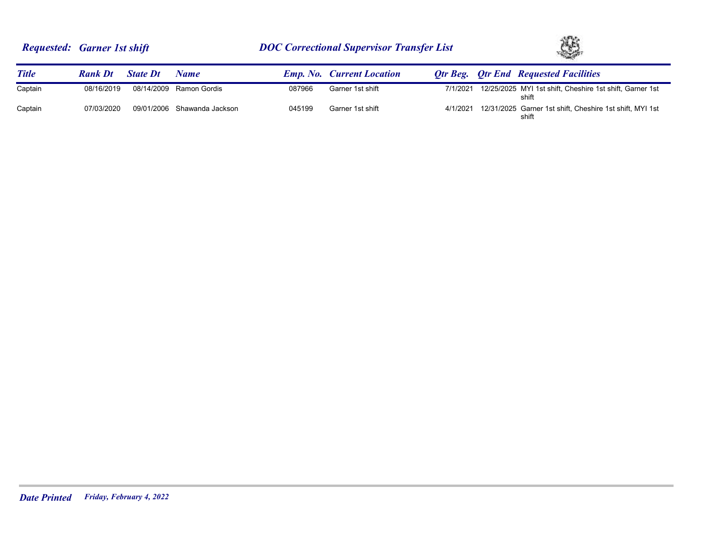

| <b>Title</b> | <b>Rank Dt</b> | <b>State Dt</b> | Name                        |        | <b>Emp. No. Current Location</b> |          | <b>Otr Beg.</b> Otr End Requested Facilities                      |
|--------------|----------------|-----------------|-----------------------------|--------|----------------------------------|----------|-------------------------------------------------------------------|
| Captain      | 08/16/2019     |                 | 08/14/2009 Ramon Gordis     | 087966 | Garner 1st shift                 | 7/1/2021 | 12/25/2025 MYI 1st shift, Cheshire 1st shift, Garner 1st<br>shift |
| Captain      | 07/03/2020     |                 | 09/01/2006 Shawanda Jackson | 045199 | Garner 1st shift                 | 4/1/2021 | 12/31/2025 Garner 1st shift, Cheshire 1st shift, MYI 1st<br>shift |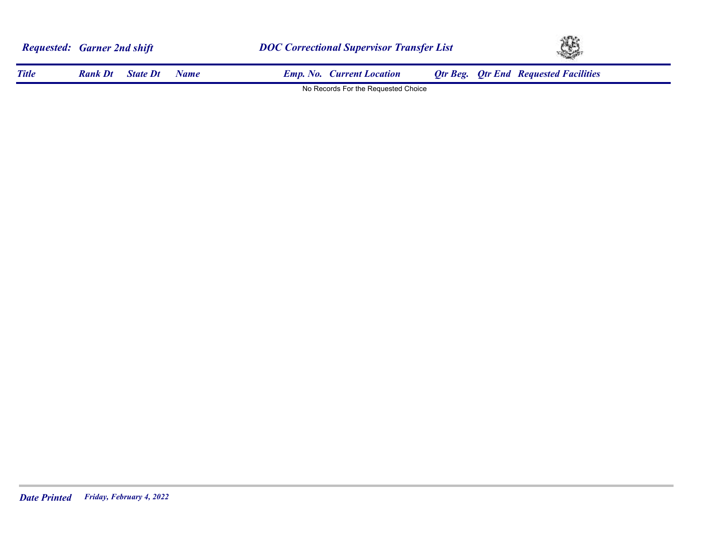|              | <b>Requested: Garner 2nd shift</b> |                 |      | <b>DOC Correctional Supervisor Transfer List</b> |                                     |  | Ą, |                                              |  |
|--------------|------------------------------------|-----------------|------|--------------------------------------------------|-------------------------------------|--|----|----------------------------------------------|--|
| <b>Title</b> | <b>Rank Dt</b>                     | <b>State Dt</b> | Name |                                                  | <b>Emp. No.</b> Current Location    |  |    | <b>Qtr Beg. Qtr End Requested Facilities</b> |  |
|              |                                    |                 |      |                                                  | No Records For the Requested Choice |  |    |                                              |  |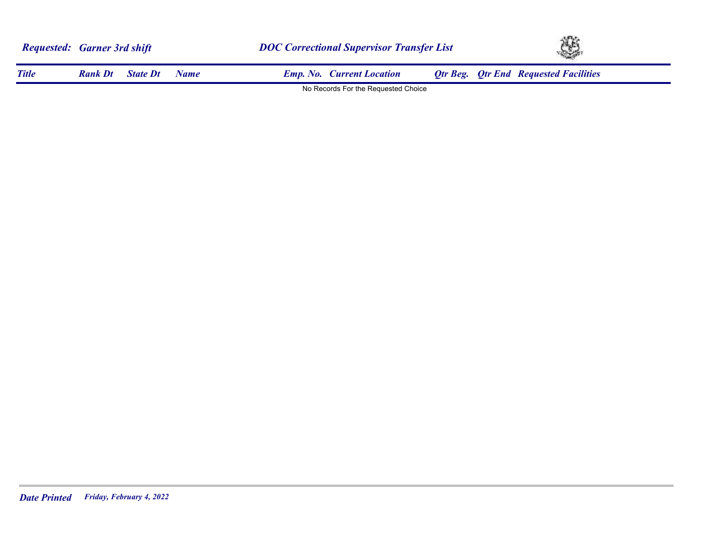|              | <b>Requested: Garner 3rd shift</b> |                 |      | <b>DOC Correctional Supervisor Transfer List</b> |                                     |  | $\mathbb{C}$ |                                              |  |
|--------------|------------------------------------|-----------------|------|--------------------------------------------------|-------------------------------------|--|--------------|----------------------------------------------|--|
| <b>Title</b> | <b>Rank Dt</b>                     | <b>State Dt</b> | Name |                                                  | <b>Emp. No. Current Location</b>    |  |              | <b>Qtr Beg. Qtr End Requested Facilities</b> |  |
|              |                                    |                 |      |                                                  | No Records For the Requested Choice |  |              |                                              |  |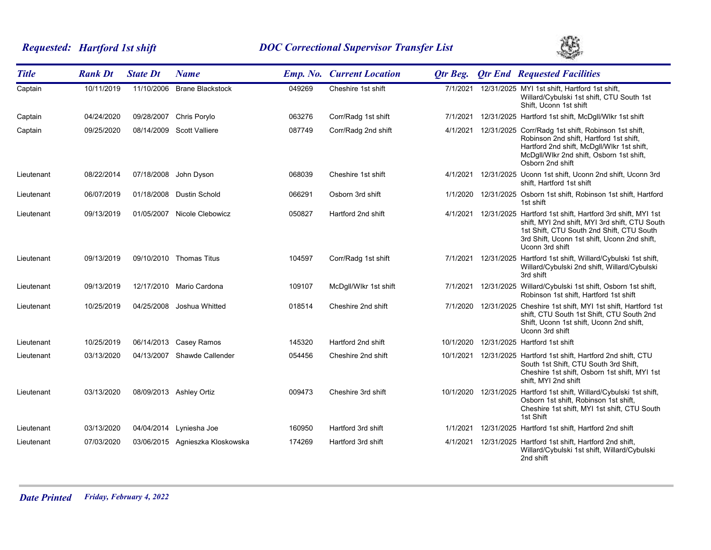# *Requested: Hartford 1st shift DOC Correctional Supervisor Transfer List*



| <b>Title</b> | <b>Rank Dt</b> | <b>State Dt</b> | <b>Name</b>                     |        | <b>Emp. No. Current Location</b> | <b>Qtr Beg.</b> | <b>Qtr End Requested Facilities</b>                                                                                                                                                                                          |
|--------------|----------------|-----------------|---------------------------------|--------|----------------------------------|-----------------|------------------------------------------------------------------------------------------------------------------------------------------------------------------------------------------------------------------------------|
| Captain      | 10/11/2019     |                 | 11/10/2006 Brane Blackstock     | 049269 | Cheshire 1st shift               | 7/1/2021        | 12/31/2025 MYI 1st shift, Hartford 1st shift,<br>Willard/Cybulski 1st shift, CTU South 1st<br>Shift, Uconn 1st shift                                                                                                         |
| Captain      | 04/24/2020     | 09/28/2007      | Chris Porylo                    | 063276 | Corr/Radg 1st shift              | 7/1/2021        | 12/31/2025 Hartford 1st shift, McDgll/Wlkr 1st shift                                                                                                                                                                         |
| Captain      | 09/25/2020     |                 | 08/14/2009 Scott Valliere       | 087749 | Corr/Radg 2nd shift              | 4/1/2021        | 12/31/2025 Corr/Radg 1st shift, Robinson 1st shift,<br>Robinson 2nd shift, Hartford 1st shift,<br>Hartford 2nd shift, McDgll/Wlkr 1st shift,<br>McDgll/Wlkr 2nd shift, Osborn 1st shift,<br>Osborn 2nd shift                 |
| Lieutenant   | 08/22/2014     | 07/18/2008      | John Dyson                      | 068039 | Cheshire 1st shift               | 4/1/2021        | 12/31/2025 Uconn 1st shift, Uconn 2nd shift, Uconn 3rd<br>shift, Hartford 1st shift                                                                                                                                          |
| Lieutenant   | 06/07/2019     |                 | 01/18/2008 Dustin Schold        | 066291 | Osborn 3rd shift                 | 1/1/2020        | 12/31/2025 Osborn 1st shift, Robinson 1st shift, Hartford<br>1st shift                                                                                                                                                       |
| Lieutenant   | 09/13/2019     |                 | 01/05/2007 Nicole Clebowicz     | 050827 | Hartford 2nd shift               | 4/1/2021        | 12/31/2025 Hartford 1st shift, Hartford 3rd shift, MYI 1st<br>shift, MYI 2nd shift, MYI 3rd shift, CTU South<br>1st Shift, CTU South 2nd Shift, CTU South<br>3rd Shift, Uconn 1st shift, Uconn 2nd shift,<br>Uconn 3rd shift |
| Lieutenant   | 09/13/2019     |                 | 09/10/2010 Thomas Titus         | 104597 | Corr/Radg 1st shift              |                 | 7/1/2021 12/31/2025 Hartford 1st shift, Willard/Cybulski 1st shift,<br>Willard/Cybulski 2nd shift, Willard/Cybulski<br>3rd shift                                                                                             |
| Lieutenant   | 09/13/2019     |                 | 12/17/2010 Mario Cardona        | 109107 | McDgll/Wlkr 1st shift            | 7/1/2021        | 12/31/2025 Willard/Cybulski 1st shift, Osborn 1st shift,<br>Robinson 1st shift, Hartford 1st shift                                                                                                                           |
| Lieutenant   | 10/25/2019     | 04/25/2008      | Joshua Whitted                  | 018514 | Cheshire 2nd shift               | 7/1/2020        | 12/31/2025 Cheshire 1st shift, MYI 1st shift, Hartford 1st<br>shift, CTU South 1st Shift, CTU South 2nd<br>Shift, Uconn 1st shift, Uconn 2nd shift,<br>Uconn 3rd shift                                                       |
| Lieutenant   | 10/25/2019     |                 | 06/14/2013 Casey Ramos          | 145320 | Hartford 2nd shift               | 10/1/2020       | 12/31/2025 Hartford 1st shift                                                                                                                                                                                                |
| Lieutenant   | 03/13/2020     |                 | 04/13/2007 Shawde Callender     | 054456 | Cheshire 2nd shift               | 10/1/2021       | 12/31/2025 Hartford 1st shift, Hartford 2nd shift, CTU<br>South 1st Shift, CTU South 3rd Shift,<br>Cheshire 1st shift, Osborn 1st shift, MYI 1st<br>shift, MYI 2nd shift                                                     |
| Lieutenant   | 03/13/2020     |                 | 08/09/2013 Ashley Ortiz         | 009473 | Cheshire 3rd shift               |                 | 10/1/2020 12/31/2025 Hartford 1st shift, Willard/Cybulski 1st shift,<br>Osborn 1st shift, Robinson 1st shift,<br>Cheshire 1st shift, MYI 1st shift, CTU South<br>1st Shift                                                   |
| Lieutenant   | 03/13/2020     |                 | 04/04/2014 Lyniesha Joe         | 160950 | Hartford 3rd shift               | 1/1/2021        | 12/31/2025 Hartford 1st shift, Hartford 2nd shift                                                                                                                                                                            |
| Lieutenant   | 07/03/2020     |                 | 03/06/2015 Agnieszka Kloskowska | 174269 | Hartford 3rd shift               |                 | 4/1/2021 12/31/2025 Hartford 1st shift, Hartford 2nd shift,<br>Willard/Cybulski 1st shift, Willard/Cybulski<br>2nd shift                                                                                                     |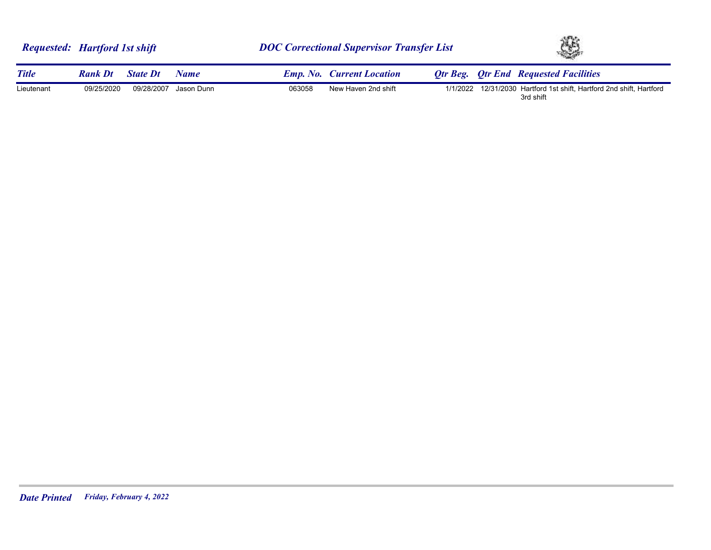|              | <b>Requested:</b> Hartford 1st shift |        | <b>DOC Correctional Supervisor Transfer List</b> | YS.                                                                      |  |
|--------------|--------------------------------------|--------|--------------------------------------------------|--------------------------------------------------------------------------|--|
| <b>Title</b> | <b>Rank Dt</b><br><b>State Dt</b>    | Name   | <b>Emp. No. Current Location</b>                 | <b>Qtr Beg. Qtr End Requested Facilities</b>                             |  |
| Lieutenant   | 09/28/2007 Jason Dunn<br>09/25/2020  | 063058 | New Haven 2nd shift<br>1/1/2022                  | 12/31/2030 Hartford 1st shift, Hartford 2nd shift, Hartford<br>3rd shift |  |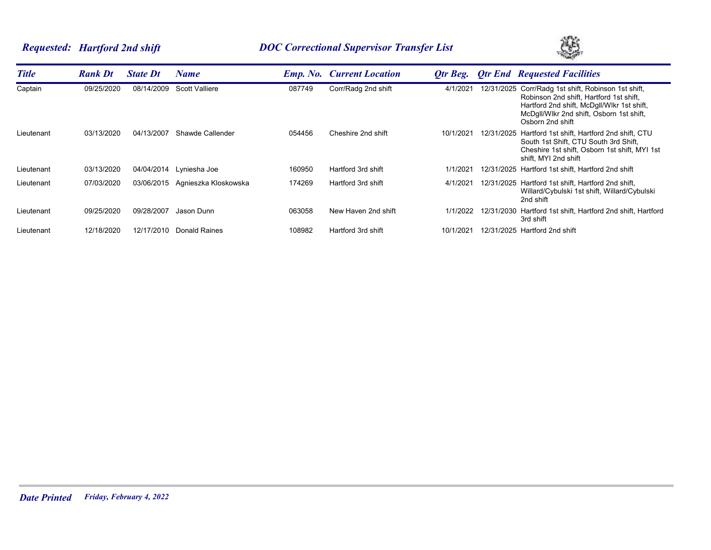# *Requested: Hartford 2nd shift DOC Correctional Supervisor Transfer List*



| <b>Title</b> | <b>Rank Dt</b> | <b>State Dt</b> | Name                  |        | <b>Emp. No. Current Location</b> | Otr Beg.  |            | <b>Otr End Requested Facilities</b>                                                                                                                                                               |
|--------------|----------------|-----------------|-----------------------|--------|----------------------------------|-----------|------------|---------------------------------------------------------------------------------------------------------------------------------------------------------------------------------------------------|
| Captain      | 09/25/2020     | 08/14/2009      | <b>Scott Valliere</b> | 087749 | Corr/Radg 2nd shift              | 4/1/2021  | 12/31/2025 | Corr/Radg 1st shift, Robinson 1st shift,<br>Robinson 2nd shift, Hartford 1st shift,<br>Hartford 2nd shift, McDgII/WIkr 1st shift,<br>McDgll/Wikr 2nd shift, Osborn 1st shift,<br>Osborn 2nd shift |
| Lieutenant   | 03/13/2020     | 04/13/2007      | Shawde Callender      | 054456 | Cheshire 2nd shift               | 10/1/2021 |            | 12/31/2025 Hartford 1st shift, Hartford 2nd shift, CTU<br>South 1st Shift, CTU South 3rd Shift,<br>Cheshire 1st shift, Osborn 1st shift, MYI 1st<br>shift, MYI 2nd shift                          |
| Lieutenant   | 03/13/2020     | 04/04/2014      | Lyniesha Joe          | 160950 | Hartford 3rd shift               | 1/1/2021  |            | 12/31/2025 Hartford 1st shift, Hartford 2nd shift                                                                                                                                                 |
| Lieutenant   | 07/03/2020     | 03/06/2015      | Agnieszka Kloskowska  | 174269 | Hartford 3rd shift               | 4/1/2021  |            | 12/31/2025 Hartford 1st shift, Hartford 2nd shift,<br>Willard/Cybulski 1st shift, Willard/Cybulski<br>2nd shift                                                                                   |
| Lieutenant   | 09/25/2020     | 09/28/2007      | Jason Dunn            | 063058 | New Haven 2nd shift              | 1/1/2022  |            | 12/31/2030 Hartford 1st shift, Hartford 2nd shift, Hartford<br>3rd shift                                                                                                                          |
| Lieutenant   | 12/18/2020     | 12/17/2010      | <b>Donald Raines</b>  | 108982 | Hartford 3rd shift               | 10/1/2021 |            | 12/31/2025 Hartford 2nd shift                                                                                                                                                                     |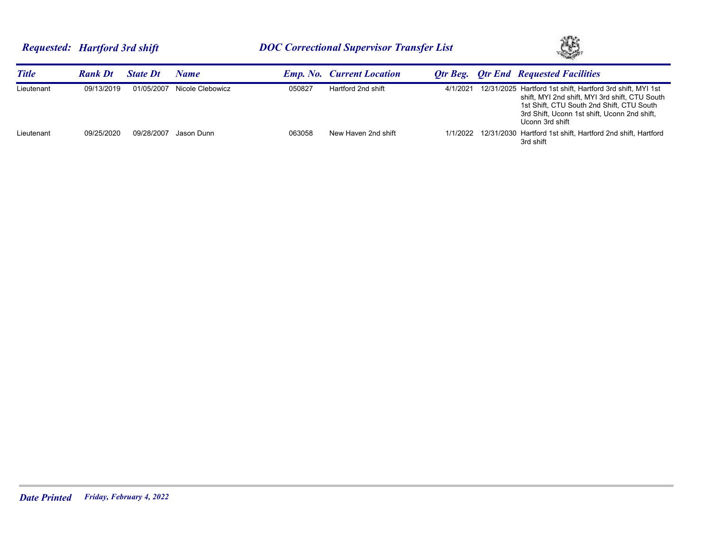

| <b>Title</b> | <b>Rank Dt</b> | <b>State Dt</b> | Name             |        | <b>Emp. No. Current Location</b> |          | <b>Otr Beg.</b> Otr End Requested Facilities                                                                                                                                                                                 |
|--------------|----------------|-----------------|------------------|--------|----------------------------------|----------|------------------------------------------------------------------------------------------------------------------------------------------------------------------------------------------------------------------------------|
| Lieutenant   | 09/13/2019     | 01/05/2007      | Nicole Clebowicz | 050827 | Hartford 2nd shift               | 4/1/2021 | 12/31/2025 Hartford 1st shift, Hartford 3rd shift, MYI 1st<br>shift, MYI 2nd shift, MYI 3rd shift, CTU South<br>1st Shift, CTU South 2nd Shift, CTU South<br>3rd Shift, Uconn 1st shift, Uconn 2nd shift,<br>Uconn 3rd shift |
| Lieutenant   | 09/25/2020     | 09/28/2007      | Jason Dunn       | 063058 | New Haven 2nd shift              |          | 1/1/2022 12/31/2030 Hartford 1st shift, Hartford 2nd shift, Hartford<br>3rd shift                                                                                                                                            |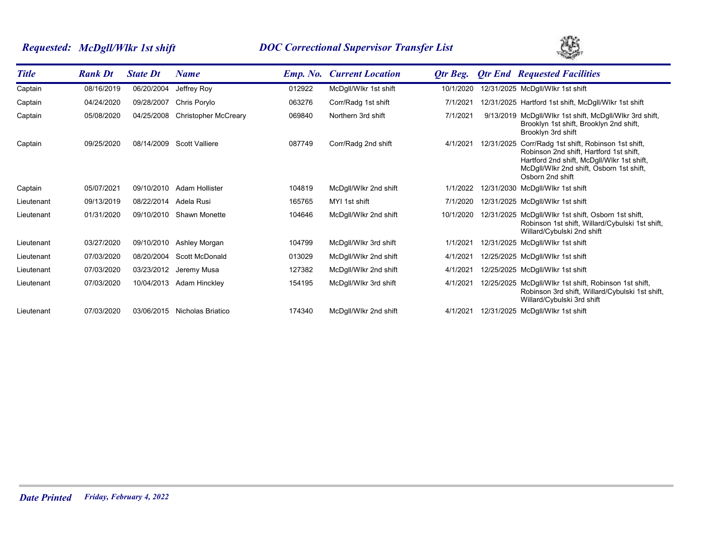# *Requested: McDgll/Wlkr 1st shift DOC Correctional Supervisor Transfer List*



| <b>Title</b> | <b>Rank Dt</b> | <b>State Dt</b> | <b>Name</b>                 | <b>Emp. No.</b> | <b>Current Location</b> | Otr Beg.  |            | <b>Qtr End Requested Facilities</b>                                                                                                                                                               |
|--------------|----------------|-----------------|-----------------------------|-----------------|-------------------------|-----------|------------|---------------------------------------------------------------------------------------------------------------------------------------------------------------------------------------------------|
| Captain      | 08/16/2019     | 06/20/2004      | Jeffrey Roy                 | 012922          | McDgll/Wlkr 1st shift   | 10/1/2020 |            | 12/31/2025 McDgll/Wlkr 1st shift                                                                                                                                                                  |
| Captain      | 04/24/2020     | 09/28/2007      | Chris Porylo                | 063276          | Corr/Radg 1st shift     | 7/1/2021  |            | 12/31/2025 Hartford 1st shift, McDgII/WIkr 1st shift                                                                                                                                              |
| Captain      | 05/08/2020     | 04/25/2008      | <b>Christopher McCreary</b> | 069840          | Northern 3rd shift      | 7/1/2021  |            | 9/13/2019 McDgII/Wikr 1st shift, McDgII/Wikr 3rd shift,<br>Brooklyn 1st shift, Brooklyn 2nd shift,<br>Brooklyn 3rd shift                                                                          |
| Captain      | 09/25/2020     | 08/14/2009      | <b>Scott Valliere</b>       | 087749          | Corr/Radg 2nd shift     | 4/1/2021  | 12/31/2025 | Corr/Radg 1st shift, Robinson 1st shift,<br>Robinson 2nd shift, Hartford 1st shift,<br>Hartford 2nd shift, McDgll/Wlkr 1st shift,<br>McDgll/Wlkr 2nd shift, Osborn 1st shift,<br>Osborn 2nd shift |
| Captain      | 05/07/2021     | 09/10/2010      | Adam Hollister              | 104819          | McDgll/Wlkr 2nd shift   | 1/1/2022  |            | 12/31/2030 McDgll/Wlkr 1st shift                                                                                                                                                                  |
| Lieutenant   | 09/13/2019     | 08/22/2014      | Adela Rusi                  | 165765          | MYI 1st shift           | 7/1/2020  |            | 12/31/2025 McDgll/Wlkr 1st shift                                                                                                                                                                  |
| Lieutenant   | 01/31/2020     | 09/10/2010      | Shawn Monette               | 104646          | McDgll/Wlkr 2nd shift   | 10/1/2020 |            | 12/31/2025 McDgll/Wlkr 1st shift, Osborn 1st shift,<br>Robinson 1st shift, Willard/Cybulski 1st shift,<br>Willard/Cybulski 2nd shift                                                              |
| Lieutenant   | 03/27/2020     | 09/10/2010      | Ashley Morgan               | 104799          | McDgll/Wlkr 3rd shift   | 1/1/2021  |            | 12/31/2025 McDgll/Wlkr 1st shift                                                                                                                                                                  |
| Lieutenant   | 07/03/2020     | 08/20/2004      | Scott McDonald              | 013029          | McDgll/Wlkr 2nd shift   | 4/1/2021  |            | 12/25/2025 McDgll/Wlkr 1st shift                                                                                                                                                                  |
| Lieutenant   | 07/03/2020     | 03/23/2012      | Jeremy Musa                 | 127382          | McDgll/Wlkr 2nd shift   | 4/1/2021  |            | 12/25/2025 McDgll/Wlkr 1st shift                                                                                                                                                                  |
| Lieutenant   | 07/03/2020     | 10/04/2013      | Adam Hinckley               | 154195          | McDgll/Wlkr 3rd shift   | 4/1/2021  |            | 12/25/2025 McDgll/Wlkr 1st shift, Robinson 1st shift,<br>Robinson 3rd shift, Willard/Cybulski 1st shift,<br>Willard/Cybulski 3rd shift                                                            |
| Lieutenant   | 07/03/2020     | 03/06/2015      | Nicholas Briatico           | 174340          | McDgll/Wlkr 2nd shift   | 4/1/2021  |            | 12/31/2025 McDgll/Wlkr 1st shift                                                                                                                                                                  |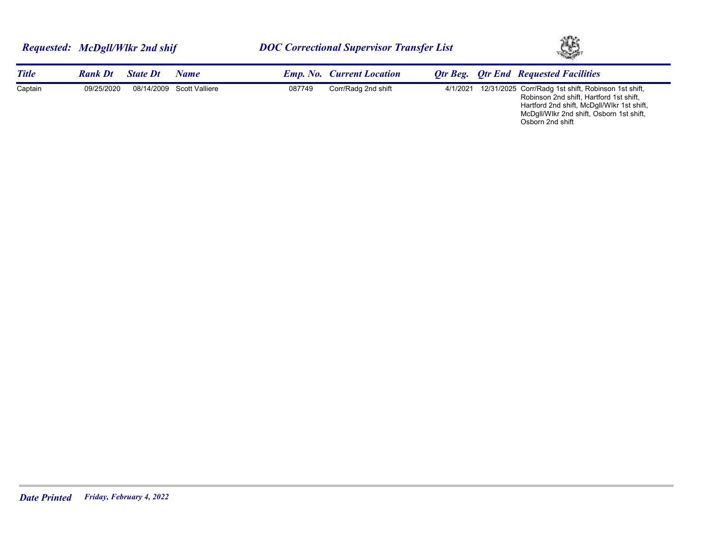| Requested: McDgll/Wlkr 2nd shif |                |                 | <b>DOC Correctional Supervisor Transfer List</b> |        |                                  |          | Ą, |                                                                                                                                                                                          |
|---------------------------------|----------------|-----------------|--------------------------------------------------|--------|----------------------------------|----------|----|------------------------------------------------------------------------------------------------------------------------------------------------------------------------------------------|
| <b>Title</b>                    | <b>Rank Dt</b> | <b>State Dt</b> | <b>Name</b>                                      |        | <b>Emp. No. Current Location</b> |          |    | <b>Qtr Beg. Qtr End Requested Facilities</b>                                                                                                                                             |
| Captain                         | 09/25/2020     |                 | 08/14/2009 Scott Valliere                        | 087749 | Corr/Radg 2nd shift              | 4/1/2021 |    | 12/31/2025 Corr/Radg 1st shift, Robinson 1st shift,<br>Robinson 2nd shift, Hartford 1st shift,<br>Hartford 2nd shift, McDgll/Wlkr 1st shift,<br>McDgll/Wikr 2nd shift, Osborn 1st shift, |

Osborn 2nd shift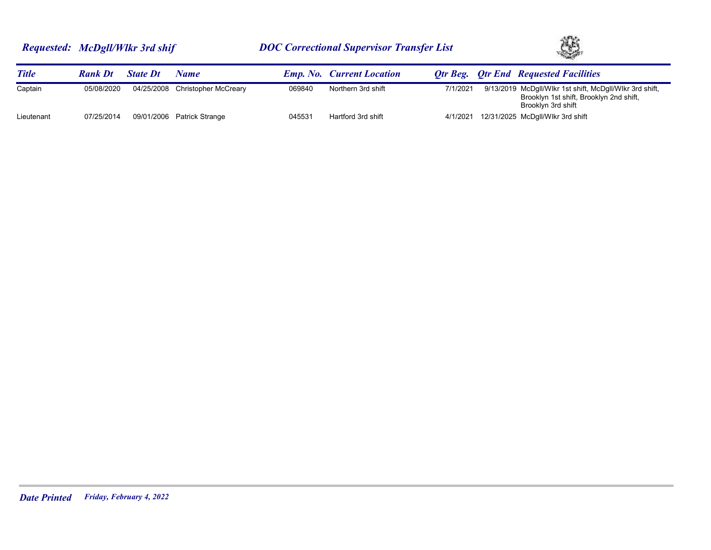

| <b>Title</b> | <b>Rank Dt</b> | <b>State Dt</b> | Name                            |        | <b>Emp. No.</b> Current Location |          | <b>Otr Beg.</b> Otr End Requested Facilities                                                                             |
|--------------|----------------|-----------------|---------------------------------|--------|----------------------------------|----------|--------------------------------------------------------------------------------------------------------------------------|
| Captain      | 05/08/2020     |                 | 04/25/2008 Christopher McCreary | 069840 | Northern 3rd shift               | 7/1/2021 | 9/13/2019 McDgll/Wikr 1st shift, McDgll/Wikr 3rd shift,<br>Brooklyn 1st shift, Brooklyn 2nd shift,<br>Brooklyn 3rd shift |
| Lieutenant   | 07/25/2014     |                 | 09/01/2006 Patrick Strange      | 045531 | Hartford 3rd shift               | 4/1/2021 | 12/31/2025 McDgll/Wlkr 3rd shift                                                                                         |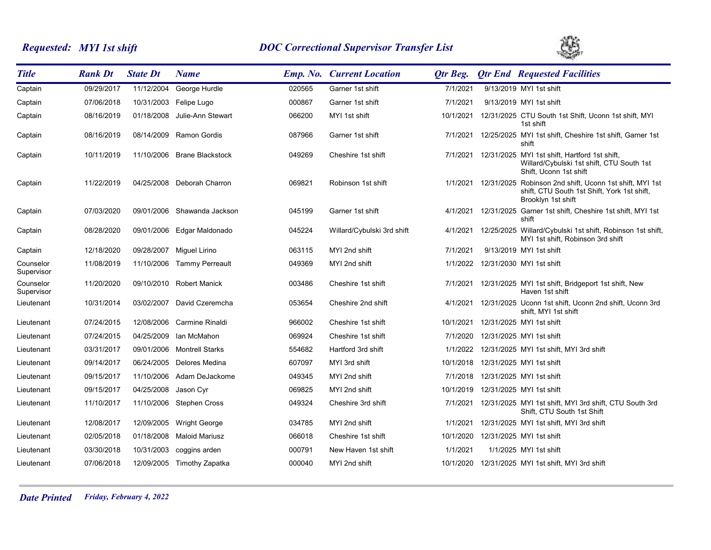# *Requested: MYI 1st shift DOC Correctional Supervisor Transfer List*



| <b>Title</b>            | <b>Rank Dt</b> | <b>State Dt</b> | <b>Name</b>                |        | <b>Emp. No. Current Location</b> | Otr Beg.  | <b>Qtr End Requested Facilities</b>                                                                                                   |
|-------------------------|----------------|-----------------|----------------------------|--------|----------------------------------|-----------|---------------------------------------------------------------------------------------------------------------------------------------|
| Captain                 | 09/29/2017     | 11/12/2004      | George Hurdle              | 020565 | Garner 1st shift                 | 7/1/2021  | 9/13/2019 MYI 1st shift                                                                                                               |
| Captain                 | 07/06/2018     | 10/31/2003      | Felipe Lugo                | 000867 | Garner 1st shift                 | 7/1/2021  | 9/13/2019 MYI 1st shift                                                                                                               |
| Captain                 | 08/16/2019     | 01/18/2008      | Julie-Ann Stewart          | 066200 | MYI 1st shift                    | 10/1/2021 | 12/31/2025 CTU South 1st Shift, Uconn 1st shift, MYI<br>1st shift                                                                     |
| Captain                 | 08/16/2019     | 08/14/2009      | Ramon Gordis               | 087966 | Garner 1st shift                 | 7/1/2021  | 12/25/2025 MYI 1st shift, Cheshire 1st shift, Garner 1st<br>shift                                                                     |
| Captain                 | 10/11/2019     | 11/10/2006      | <b>Brane Blackstock</b>    | 049269 | Cheshire 1st shift               | 7/1/2021  | 12/31/2025 MYI 1st shift, Hartford 1st shift,<br>Willard/Cybulski 1st shift, CTU South 1st<br>Shift, Uconn 1st shift                  |
| Captain                 | 11/22/2019     |                 | 04/25/2008 Deborah Charron | 069821 | Robinson 1st shift               |           | 1/1/2021 12/31/2025 Robinson 2nd shift, Uconn 1st shift, MYI 1st<br>shift, CTU South 1st Shift, York 1st shift,<br>Brooklyn 1st shift |
| Captain                 | 07/03/2020     | 09/01/2006      | Shawanda Jackson           | 045199 | Garner 1st shift                 | 4/1/2021  | 12/31/2025 Garner 1st shift, Cheshire 1st shift, MYI 1st<br>shift                                                                     |
| Captain                 | 08/28/2020     | 09/01/2006      | Edgar Maldonado            | 045224 | Willard/Cybulski 3rd shift       | 4/1/2021  | 12/25/2025 Willard/Cybulski 1st shift, Robinson 1st shift,<br>MYI 1st shift, Robinson 3rd shift                                       |
| Captain                 | 12/18/2020     | 09/28/2007      | Miguel Lirino              | 063115 | MYI 2nd shift                    | 7/1/2021  | 9/13/2019 MYI 1st shift                                                                                                               |
| Counselor<br>Supervisor | 11/08/2019     | 11/10/2006      | <b>Tammy Perreault</b>     | 049369 | MYI 2nd shift                    | 1/1/2022  | 12/31/2030 MYI 1st shift                                                                                                              |
| Counselor<br>Supervisor | 11/20/2020     | 09/10/2010      | Robert Manick              | 003486 | Cheshire 1st shift               | 7/1/2021  | 12/31/2025 MYI 1st shift, Bridgeport 1st shift, New<br>Haven 1st shift                                                                |
| Lieutenant              | 10/31/2014     | 03/02/2007      | David Czeremcha            | 053654 | Cheshire 2nd shift               | 4/1/2021  | 12/31/2025 Uconn 1st shift, Uconn 2nd shift, Uconn 3rd<br>shift, MYI 1st shift                                                        |
| Lieutenant              | 07/24/2015     |                 | 12/08/2006 Carmine Rinaldi | 966002 | Cheshire 1st shift               | 10/1/2021 | 12/31/2025 MYI 1st shift                                                                                                              |
| Lieutenant              | 07/24/2015     | 04/25/2009      | Ian McMahon                | 069924 | Cheshire 1st shift               | 7/1/2020  | 12/31/2025 MYI 1st shift                                                                                                              |
| Lieutenant              | 03/31/2017     |                 | 09/01/2006 Montrell Starks | 554682 | Hartford 3rd shift               | 1/1/2022  | 12/31/2025 MYI 1st shift, MYI 3rd shift                                                                                               |
| Lieutenant              | 09/14/2017     | 06/24/2005      | Delores Medina             | 607097 | MYI 3rd shift                    | 10/1/2018 | 12/31/2025 MYI 1st shift                                                                                                              |
| Lieutenant              | 09/15/2017     | 11/10/2006      | Adam DeJackome             | 049345 | MYI 2nd shift                    | 7/1/2018  | 12/31/2025 MYI 1st shift                                                                                                              |
| Lieutenant              | 09/15/2017     | 04/25/2008      | Jason Cyr                  | 069825 | MYI 2nd shift                    | 10/1/2019 | 12/31/2025 MYI 1st shift                                                                                                              |
| Lieutenant              | 11/10/2017     | 11/10/2006      | <b>Stephen Cross</b>       | 049324 | Cheshire 3rd shift               | 7/1/2021  | 12/31/2025 MYI 1st shift, MYI 3rd shift, CTU South 3rd<br>Shift, CTU South 1st Shift                                                  |
| Lieutenant              | 12/08/2017     | 12/09/2005      | <b>Wright George</b>       | 034785 | MYI 2nd shift                    | 1/1/2021  | 12/31/2025 MYI 1st shift, MYI 3rd shift                                                                                               |
| Lieutenant              | 02/05/2018     | 01/18/2008      | <b>Maloid Mariusz</b>      | 066018 | Cheshire 1st shift               | 10/1/2020 | 12/31/2025 MYI 1st shift                                                                                                              |
| Lieutenant              | 03/30/2018     | 10/31/2003      | coggins arden              | 000791 | New Haven 1st shift              | 1/1/2021  | 1/1/2025 MYI 1st shift                                                                                                                |
| Lieutenant              | 07/06/2018     |                 | 12/09/2005 Timothy Zapatka | 000040 | MYI 2nd shift                    |           | 10/1/2020 12/31/2025 MYI 1st shift, MYI 3rd shift                                                                                     |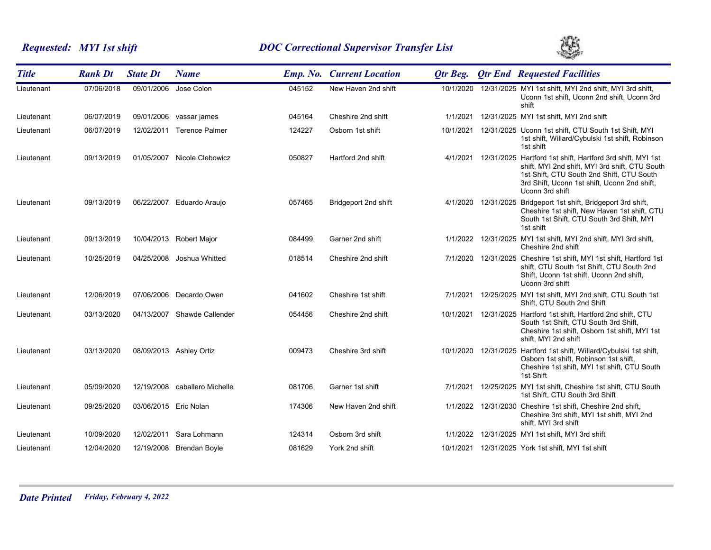# *Requested: MYI 1st shift DOC Correctional Supervisor Transfer List*



| <b>Title</b> | <b>Rank Dt</b> | <b>State Dt</b>       | <b>Name</b>                   |        | <b>Emp. No. Current Location</b> | Otr Beg.  | <b>Qtr End Requested Facilities</b>                                                                                                                                                                                          |
|--------------|----------------|-----------------------|-------------------------------|--------|----------------------------------|-----------|------------------------------------------------------------------------------------------------------------------------------------------------------------------------------------------------------------------------------|
| Lieutenant   | 07/06/2018     |                       | 09/01/2006 Jose Colon         | 045152 | New Haven 2nd shift              | 10/1/2020 | 12/31/2025 MYI 1st shift, MYI 2nd shift, MYI 3rd shift,<br>Uconn 1st shift, Uconn 2nd shift, Uconn 3rd<br>shift                                                                                                              |
| Lieutenant   | 06/07/2019     |                       | 09/01/2006 vassar james       | 045164 | Cheshire 2nd shift               | 1/1/2021  | 12/31/2025 MYI 1st shift, MYI 2nd shift                                                                                                                                                                                      |
| Lieutenant   | 06/07/2019     |                       | 12/02/2011 Terence Palmer     | 124227 | Osborn 1st shift                 | 10/1/2021 | 12/31/2025 Uconn 1st shift, CTU South 1st Shift, MYI<br>1st shift, Willard/Cybulski 1st shift, Robinson<br>1st shift                                                                                                         |
| Lieutenant   | 09/13/2019     |                       | 01/05/2007 Nicole Clebowicz   | 050827 | Hartford 2nd shift               | 4/1/2021  | 12/31/2025 Hartford 1st shift, Hartford 3rd shift, MYI 1st<br>shift, MYI 2nd shift, MYI 3rd shift, CTU South<br>1st Shift, CTU South 2nd Shift, CTU South<br>3rd Shift, Uconn 1st shift, Uconn 2nd shift,<br>Uconn 3rd shift |
| Lieutenant   | 09/13/2019     | 06/22/2007            | Eduardo Araujo                | 057465 | Bridgeport 2nd shift             | 4/1/2020  | 12/31/2025 Bridgeport 1st shift, Bridgeport 3rd shift,<br>Cheshire 1st shift, New Haven 1st shift, CTU<br>South 1st Shift, CTU South 3rd Shift, MYI<br>1st shift                                                             |
| Lieutenant   | 09/13/2019     |                       | 10/04/2013 Robert Major       | 084499 | Garner 2nd shift                 |           | 1/1/2022 12/31/2025 MYI 1st shift, MYI 2nd shift, MYI 3rd shift,<br>Cheshire 2nd shift                                                                                                                                       |
| Lieutenant   | 10/25/2019     | 04/25/2008            | Joshua Whitted                | 018514 | Cheshire 2nd shift               | 7/1/2020  | 12/31/2025 Cheshire 1st shift, MYI 1st shift, Hartford 1st<br>shift, CTU South 1st Shift, CTU South 2nd<br>Shift, Uconn 1st shift, Uconn 2nd shift,<br>Uconn 3rd shift                                                       |
| Lieutenant   | 12/06/2019     |                       | 07/06/2006 Decardo Owen       | 041602 | Cheshire 1st shift               | 7/1/2021  | 12/25/2025 MYI 1st shift, MYI 2nd shift, CTU South 1st<br>Shift, CTU South 2nd Shift                                                                                                                                         |
| Lieutenant   | 03/13/2020     |                       | 04/13/2007 Shawde Callender   | 054456 | Cheshire 2nd shift               | 10/1/2021 | 12/31/2025 Hartford 1st shift, Hartford 2nd shift, CTU<br>South 1st Shift, CTU South 3rd Shift,<br>Cheshire 1st shift, Osborn 1st shift, MYI 1st<br>shift, MYI 2nd shift                                                     |
| Lieutenant   | 03/13/2020     |                       | 08/09/2013 Ashley Ortiz       | 009473 | Cheshire 3rd shift               | 10/1/2020 | 12/31/2025 Hartford 1st shift, Willard/Cybulski 1st shift,<br>Osborn 1st shift, Robinson 1st shift,<br>Cheshire 1st shift, MYI 1st shift, CTU South<br>1st Shift                                                             |
| Lieutenant   | 05/09/2020     |                       | 12/19/2008 caballero Michelle | 081706 | Garner 1st shift                 | 7/1/2021  | 12/25/2025 MYI 1st shift, Cheshire 1st shift, CTU South<br>1st Shift, CTU South 3rd Shift                                                                                                                                    |
| Lieutenant   | 09/25/2020     | 03/06/2015 Eric Nolan |                               | 174306 | New Haven 2nd shift              |           | 1/1/2022 12/31/2030 Cheshire 1st shift, Cheshire 2nd shift,<br>Cheshire 3rd shift, MYI 1st shift, MYI 2nd<br>shift, MYI 3rd shift                                                                                            |
| Lieutenant   | 10/09/2020     |                       | 12/02/2011 Sara Lohmann       | 124314 | Osborn 3rd shift                 | 1/1/2022  | 12/31/2025 MYI 1st shift, MYI 3rd shift                                                                                                                                                                                      |
| Lieutenant   | 12/04/2020     |                       | 12/19/2008 Brendan Boyle      | 081629 | York 2nd shift                   |           | 10/1/2021  12/31/2025  York 1st shift, MYI 1st shift                                                                                                                                                                         |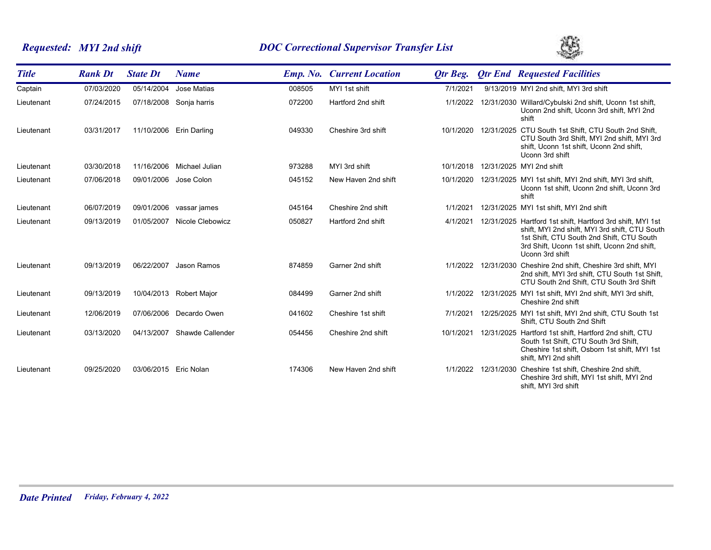# *Requested: MYI 2nd shift DOC Correctional Supervisor Transfer List*



| <b>Title</b> | <b>Rank Dt</b> | <b>State Dt</b>       | <b>Name</b>         |        | <b>Emp. No. Current Location</b> | Otr Beg.  | <b>Qtr End Requested Facilities</b>                                                                                                                                                                                          |
|--------------|----------------|-----------------------|---------------------|--------|----------------------------------|-----------|------------------------------------------------------------------------------------------------------------------------------------------------------------------------------------------------------------------------------|
| Captain      | 07/03/2020     | 05/14/2004            | Jose Matias         | 008505 | MYI 1st shift                    | 7/1/2021  | 9/13/2019 MYI 2nd shift, MYI 3rd shift                                                                                                                                                                                       |
| Lieutenant   | 07/24/2015     | 07/18/2008            | Sonja harris        | 072200 | Hartford 2nd shift               | 1/1/2022  | 12/31/2030 Willard/Cybulski 2nd shift, Uconn 1st shift,<br>Uconn 2nd shift, Uconn 3rd shift, MYI 2nd<br>shift                                                                                                                |
| Lieutenant   | 03/31/2017     | 11/10/2006            | <b>Erin Darling</b> | 049330 | Cheshire 3rd shift               | 10/1/2020 | 12/31/2025 CTU South 1st Shift. CTU South 2nd Shift.<br>CTU South 3rd Shift, MYI 2nd shift, MYI 3rd<br>shift, Uconn 1st shift, Uconn 2nd shift,<br>Uconn 3rd shift                                                           |
| Lieutenant   | 03/30/2018     | 11/16/2006            | Michael Julian      | 973288 | MYI 3rd shift                    | 10/1/2018 | 12/31/2025 MYI 2nd shift                                                                                                                                                                                                     |
| Lieutenant   | 07/06/2018     | 09/01/2006            | Jose Colon          | 045152 | New Haven 2nd shift              | 10/1/2020 | 12/31/2025 MYI 1st shift, MYI 2nd shift, MYI 3rd shift,<br>Uconn 1st shift, Uconn 2nd shift, Uconn 3rd<br>shift                                                                                                              |
| Lieutenant   | 06/07/2019     | 09/01/2006            | vassar james        | 045164 | Cheshire 2nd shift               | 1/1/2021  | 12/31/2025 MYI 1st shift, MYI 2nd shift                                                                                                                                                                                      |
| Lieutenant   | 09/13/2019     | 01/05/2007            | Nicole Clebowicz    | 050827 | Hartford 2nd shift               | 4/1/2021  | 12/31/2025 Hartford 1st shift, Hartford 3rd shift, MYI 1st<br>shift, MYI 2nd shift, MYI 3rd shift, CTU South<br>1st Shift, CTU South 2nd Shift, CTU South<br>3rd Shift, Uconn 1st shift, Uconn 2nd shift,<br>Uconn 3rd shift |
| Lieutenant   | 09/13/2019     | 06/22/2007            | Jason Ramos         | 874859 | Garner 2nd shift                 | 1/1/2022  | 12/31/2030 Cheshire 2nd shift, Cheshire 3rd shift, MYI<br>2nd shift, MYI 3rd shift, CTU South 1st Shift,<br>CTU South 2nd Shift, CTU South 3rd Shift                                                                         |
| Lieutenant   | 09/13/2019     | 10/04/2013            | Robert Major        | 084499 | Garner 2nd shift                 | 1/1/2022  | 12/31/2025 MYI 1st shift, MYI 2nd shift, MYI 3rd shift,<br>Cheshire 2nd shift                                                                                                                                                |
| Lieutenant   | 12/06/2019     | 07/06/2006            | Decardo Owen        | 041602 | Cheshire 1st shift               | 7/1/2021  | 12/25/2025 MYI 1st shift, MYI 2nd shift, CTU South 1st<br>Shift, CTU South 2nd Shift                                                                                                                                         |
| Lieutenant   | 03/13/2020     | 04/13/2007            | Shawde Callender    | 054456 | Cheshire 2nd shift               | 10/1/2021 | 12/31/2025 Hartford 1st shift, Hartford 2nd shift, CTU<br>South 1st Shift, CTU South 3rd Shift,<br>Cheshire 1st shift, Osborn 1st shift, MYI 1st<br>shift. MYI 2nd shift                                                     |
| Lieutenant   | 09/25/2020     | 03/06/2015 Eric Nolan |                     | 174306 | New Haven 2nd shift              |           | 1/1/2022 12/31/2030 Cheshire 1st shift, Cheshire 2nd shift,<br>Cheshire 3rd shift, MYI 1st shift, MYI 2nd<br>shift, MYI 3rd shift                                                                                            |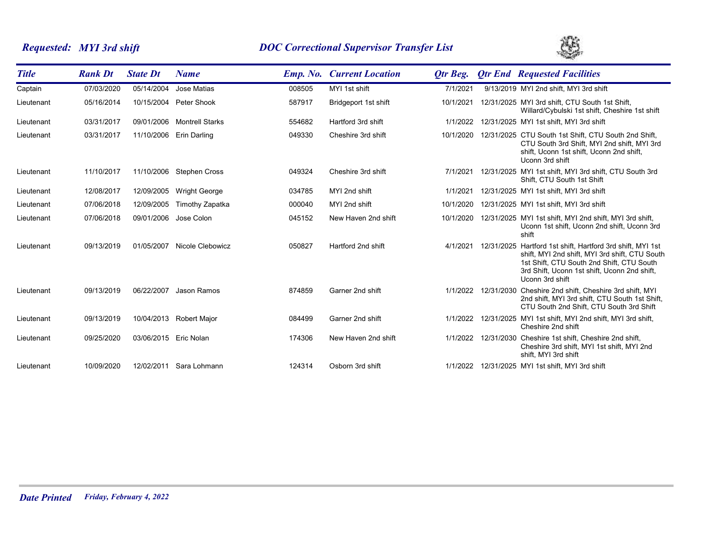# *Requested: MYI 3rd shift DOC Correctional Supervisor Transfer List*



| <b>Title</b> | <b>Rank Dt</b> | <b>State Dt</b>       | <b>Name</b>              |        | <b>Emp. No. Current Location</b> | Otr Beg.  | <b>Qtr End Requested Facilities</b>                                                                                                                                                                                                   |
|--------------|----------------|-----------------------|--------------------------|--------|----------------------------------|-----------|---------------------------------------------------------------------------------------------------------------------------------------------------------------------------------------------------------------------------------------|
| Captain      | 07/03/2020     | 05/14/2004            | Jose Matias              | 008505 | MYI 1st shift                    | 7/1/2021  | 9/13/2019 MYI 2nd shift, MYI 3rd shift                                                                                                                                                                                                |
| Lieutenant   | 05/16/2014     | 10/15/2004            | Peter Shook              | 587917 | Bridgeport 1st shift             | 10/1/2021 | 12/31/2025 MYI 3rd shift, CTU South 1st Shift,<br>Willard/Cybulski 1st shift, Cheshire 1st shift                                                                                                                                      |
| Lieutenant   | 03/31/2017     | 09/01/2006            | <b>Montrell Starks</b>   | 554682 | Hartford 3rd shift               | 1/1/2022  | 12/31/2025 MYI 1st shift, MYI 3rd shift                                                                                                                                                                                               |
| Lieutenant   | 03/31/2017     | 11/10/2006            | Erin Darling             | 049330 | Cheshire 3rd shift               |           | 10/1/2020 12/31/2025 CTU South 1st Shift, CTU South 2nd Shift,<br>CTU South 3rd Shift, MYI 2nd shift, MYI 3rd<br>shift, Uconn 1st shift, Uconn 2nd shift,<br>Uconn 3rd shift                                                          |
| Lieutenant   | 11/10/2017     |                       | 11/10/2006 Stephen Cross | 049324 | Cheshire 3rd shift               | 7/1/2021  | 12/31/2025 MYI 1st shift, MYI 3rd shift, CTU South 3rd<br>Shift, CTU South 1st Shift                                                                                                                                                  |
| Lieutenant   | 12/08/2017     | 12/09/2005            | <b>Wright George</b>     | 034785 | MYI 2nd shift                    | 1/1/2021  | 12/31/2025 MYI 1st shift, MYI 3rd shift                                                                                                                                                                                               |
| Lieutenant   | 07/06/2018     | 12/09/2005            | Timothy Zapatka          | 000040 | MYI 2nd shift                    | 10/1/2020 | 12/31/2025 MYI 1st shift, MYI 3rd shift                                                                                                                                                                                               |
| Lieutenant   | 07/06/2018     | 09/01/2006            | Jose Colon               | 045152 | New Haven 2nd shift              |           | 10/1/2020 12/31/2025 MYI 1st shift, MYI 2nd shift, MYI 3rd shift,<br>Uconn 1st shift, Uconn 2nd shift, Uconn 3rd<br>shift                                                                                                             |
| Lieutenant   | 09/13/2019     | 01/05/2007            | Nicole Clebowicz         | 050827 | Hartford 2nd shift               |           | 4/1/2021 12/31/2025 Hartford 1st shift. Hartford 3rd shift. MYI 1st<br>shift, MYI 2nd shift, MYI 3rd shift, CTU South<br>1st Shift, CTU South 2nd Shift, CTU South<br>3rd Shift, Uconn 1st shift, Uconn 2nd shift,<br>Uconn 3rd shift |
| Lieutenant   | 09/13/2019     | 06/22/2007            | Jason Ramos              | 874859 | Garner 2nd shift                 |           | 1/1/2022 12/31/2030 Cheshire 2nd shift, Cheshire 3rd shift, MYI<br>2nd shift, MYI 3rd shift, CTU South 1st Shift,<br>CTU South 2nd Shift, CTU South 3rd Shift                                                                         |
| Lieutenant   | 09/13/2019     |                       | 10/04/2013 Robert Major  | 084499 | Garner 2nd shift                 | 1/1/2022  | 12/31/2025 MYI 1st shift, MYI 2nd shift, MYI 3rd shift,<br>Cheshire 2nd shift                                                                                                                                                         |
| Lieutenant   | 09/25/2020     | 03/06/2015 Eric Nolan |                          | 174306 | New Haven 2nd shift              |           | 1/1/2022 12/31/2030 Cheshire 1st shift, Cheshire 2nd shift,<br>Cheshire 3rd shift, MYI 1st shift, MYI 2nd<br>shift, MYI 3rd shift                                                                                                     |
| Lieutenant   | 10/09/2020     |                       | 12/02/2011 Sara Lohmann  | 124314 | Osborn 3rd shift                 |           | 1/1/2022 12/31/2025 MYI 1st shift, MYI 3rd shift                                                                                                                                                                                      |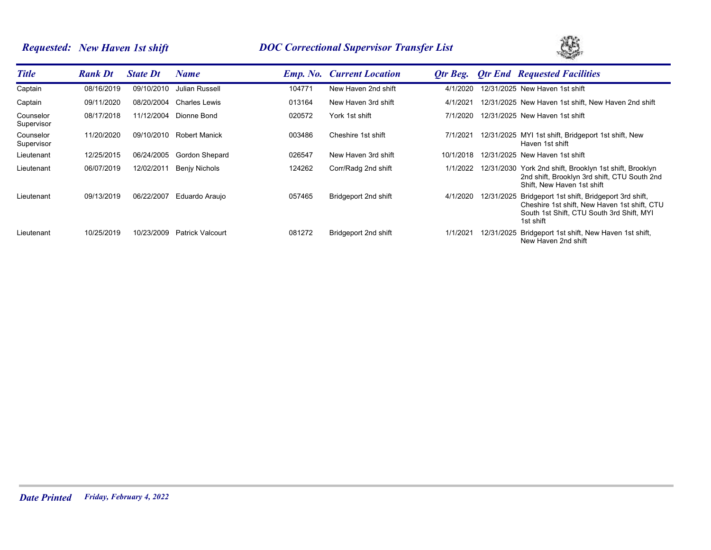# *Requested: New Haven 1st shift DOC Correctional Supervisor Transfer List*



| <b>Title</b>            | <b>Rank Dt</b> | <b>State Dt</b> | Name                    |        | <b>Emp. No. Current Location</b> | Otr Beg.  |            | <b>Otr End Requested Facilities</b>                                                                                                                   |
|-------------------------|----------------|-----------------|-------------------------|--------|----------------------------------|-----------|------------|-------------------------------------------------------------------------------------------------------------------------------------------------------|
| Captain                 | 08/16/2019     | 09/10/2010      | Julian Russell          | 104771 | New Haven 2nd shift              | 4/1/2020  |            | 12/31/2025 New Haven 1st shift                                                                                                                        |
| Captain                 | 09/11/2020     | 08/20/2004      | Charles Lewis           | 013164 | New Haven 3rd shift              | 4/1/2021  |            | 12/31/2025 New Haven 1st shift, New Haven 2nd shift                                                                                                   |
| Counselor<br>Supervisor | 08/17/2018     | 11/12/2004      | Dionne Bond             | 020572 | York 1st shift                   | 7/1/2020  |            | 12/31/2025 New Haven 1st shift                                                                                                                        |
| Counselor<br>Supervisor | 11/20/2020     | 09/10/2010      | <b>Robert Manick</b>    | 003486 | Cheshire 1st shift               | 7/1/2021  |            | 12/31/2025 MYI 1st shift, Bridgeport 1st shift, New<br>Haven 1st shift                                                                                |
| Lieutenant              | 12/25/2015     | 06/24/2005      | Gordon Shepard          | 026547 | New Haven 3rd shift              | 10/1/2018 |            | 12/31/2025 New Haven 1st shift                                                                                                                        |
| Lieutenant              | 06/07/2019     | 12/02/2011      | Benjy Nichols           | 124262 | Corr/Radg 2nd shift              | 1/1/2022  |            | 12/31/2030 York 2nd shift, Brooklyn 1st shift, Brooklyn<br>2nd shift, Brooklyn 3rd shift, CTU South 2nd<br>Shift. New Haven 1st shift                 |
| Lieutenant              | 09/13/2019     | 06/22/2007      | Eduardo Araujo          | 057465 | Bridgeport 2nd shift             | 4/1/2020  | 12/31/2025 | Bridgeport 1st shift, Bridgeport 3rd shift,<br>Cheshire 1st shift, New Haven 1st shift, CTU<br>South 1st Shift, CTU South 3rd Shift, MYI<br>1st shift |
| Lieutenant              | 10/25/2019     | 10/23/2009      | <b>Patrick Valcourt</b> | 081272 | Bridgeport 2nd shift             | 1/1/2021  | 12/31/2025 | Bridgeport 1st shift, New Haven 1st shift,<br>New Haven 2nd shift                                                                                     |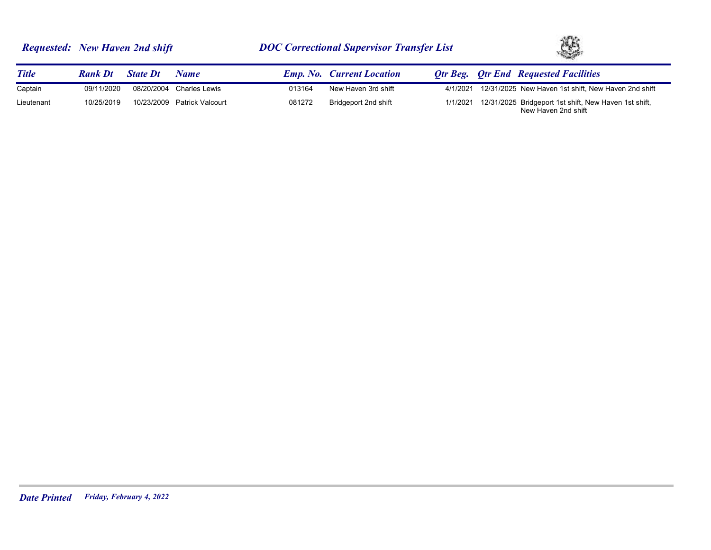|  | <b>Requested: New Haven 2nd shift</b> |  |
|--|---------------------------------------|--|
|--|---------------------------------------|--|



| <b>Title</b> | <b>Rank Dt</b> | <b>State Dt</b> | Name                        |        | <b>Emp. No. Current Location</b> |          | <b>Otr Beg.</b> Otr End Requested Facilities                                          |
|--------------|----------------|-----------------|-----------------------------|--------|----------------------------------|----------|---------------------------------------------------------------------------------------|
| Captain      | 09/11/2020     |                 | 08/20/2004 Charles Lewis    | 013164 | New Haven 3rd shift              | 4/1/2021 | 12/31/2025 New Haven 1st shift, New Haven 2nd shift                                   |
| Lieutenant   | 10/25/2019     |                 | 10/23/2009 Patrick Valcourt | 081272 | Bridgeport 2nd shift             |          | 1/1/2021 12/31/2025 Bridgeport 1st shift, New Haven 1st shift,<br>New Haven 2nd shift |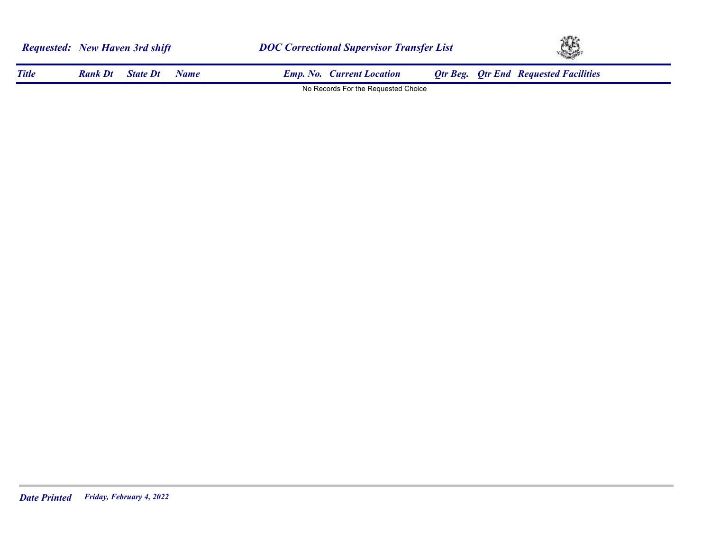|              | <b>Requested:</b> New Haven 3rd shift |                 |             |                                     | <b>DOC Correctional Supervisor Transfer List</b> |  |                                              |  |
|--------------|---------------------------------------|-----------------|-------------|-------------------------------------|--------------------------------------------------|--|----------------------------------------------|--|
| <b>Title</b> | <b>Rank Dt</b>                        | <b>State Dt</b> | <b>Name</b> | <b>Emp. No. Current Location</b>    |                                                  |  | <b>Qtr Beg.</b> Qtr End Requested Facilities |  |
|              |                                       |                 |             | No Records For the Requested Choice |                                                  |  |                                              |  |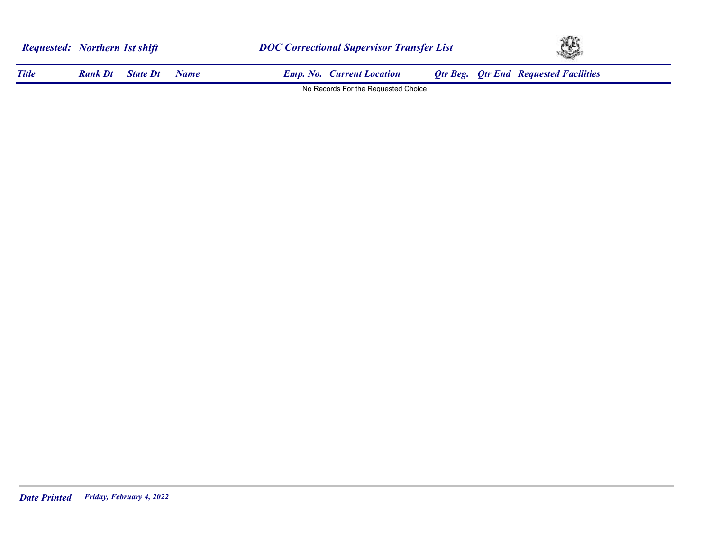|              | <b>Requested:</b> Northern 1st shift<br><b>State Dt</b><br><b>Rank Dt</b><br><b>Name</b> |  | <b>DOC Correctional Supervisor Transfer List</b> | Ą,                                           |  |
|--------------|------------------------------------------------------------------------------------------|--|--------------------------------------------------|----------------------------------------------|--|
| <b>Title</b> |                                                                                          |  | <b>Emp. No. Current Location</b>                 | <b>Otr Beg.</b> Otr End Requested Facilities |  |
|              |                                                                                          |  | No Records For the Requested Choice              |                                              |  |

**STARTING**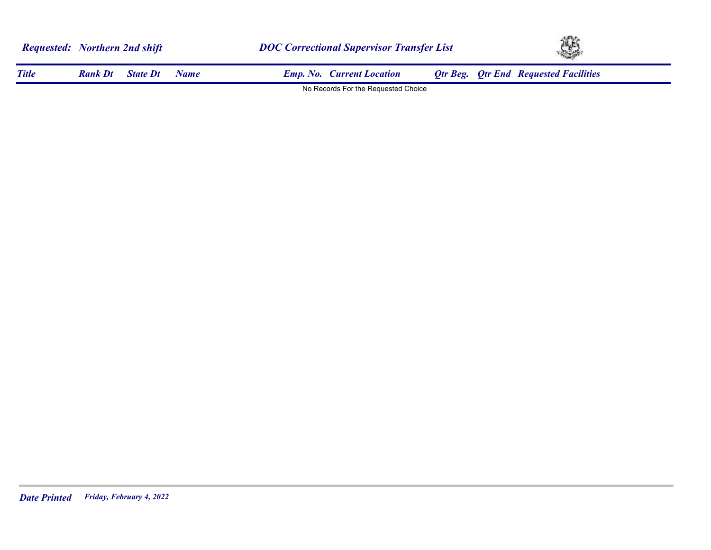|              | <b>Requested:</b> Northern 2nd shift |                 |      |                                     | <b>DOC Correctional Supervisor Transfer List</b> |  |                                              |  |
|--------------|--------------------------------------|-----------------|------|-------------------------------------|--------------------------------------------------|--|----------------------------------------------|--|
| <b>Title</b> | <b>Rank Dt</b>                       | <b>State Dt</b> | Name | <b>Emp. No. Current Location</b>    |                                                  |  | <b>Qtr Beg.</b> Qtr End Requested Facilities |  |
|              |                                      |                 |      | No Records For the Requested Choice |                                                  |  |                                              |  |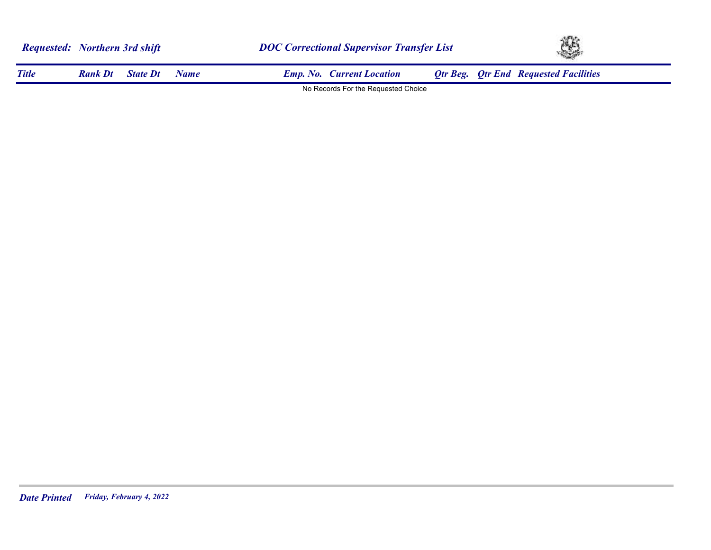| <b>Requested:</b> Northern 3rd shift |                |                 |             | <b>DOC Correctional Supervisor Transfer List</b> | Ą, |                                              |  |
|--------------------------------------|----------------|-----------------|-------------|--------------------------------------------------|----|----------------------------------------------|--|
| <b>Title</b>                         | <b>Rank Dt</b> | <b>State Dt</b> | <b>Name</b> | <b>Emp. No. Current Location</b>                 |    | <b>Qtr Beg. Qtr End Requested Facilities</b> |  |
|                                      |                |                 |             | No Records For the Requested Choice              |    |                                              |  |

**STARTING**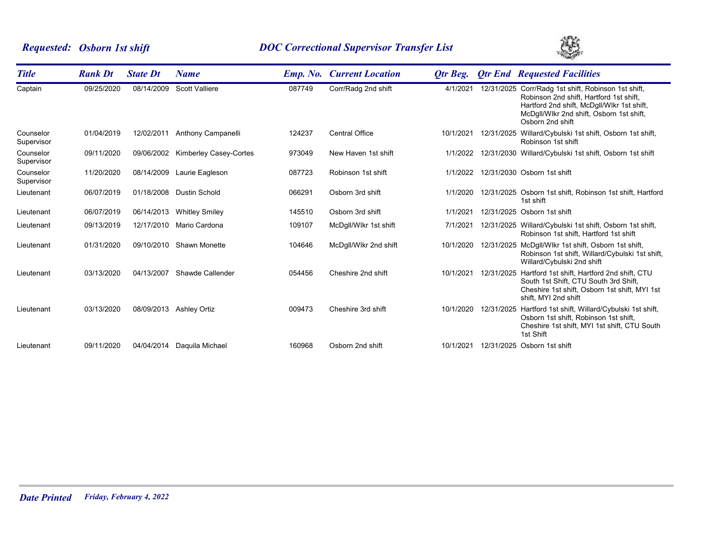# *Requested: Osborn 1st shift DOC Correctional Supervisor Transfer List*



| <b>Title</b>            | <b>Rank Dt</b> | <b>State Dt</b> | <b>Name</b>            | <b>Emp.</b> No. | <b>Current Location</b> | Otr Beg.  | <b>Qtr End Requested Facilities</b>                                                                                                                                                                          |
|-------------------------|----------------|-----------------|------------------------|-----------------|-------------------------|-----------|--------------------------------------------------------------------------------------------------------------------------------------------------------------------------------------------------------------|
| Captain                 | 09/25/2020     | 08/14/2009      | <b>Scott Valliere</b>  | 087749          | Corr/Radg 2nd shift     | 4/1/2021  | 12/31/2025 Corr/Radg 1st shift, Robinson 1st shift,<br>Robinson 2nd shift, Hartford 1st shift,<br>Hartford 2nd shift, McDgll/Wlkr 1st shift,<br>McDgll/Wlkr 2nd shift, Osborn 1st shift,<br>Osborn 2nd shift |
| Counselor<br>Supervisor | 01/04/2019     | 12/02/2011      | Anthony Campanelli     | 124237          | <b>Central Office</b>   | 10/1/2021 | 12/31/2025 Willard/Cybulski 1st shift, Osborn 1st shift,<br>Robinson 1st shift                                                                                                                               |
| Counselor<br>Supervisor | 09/11/2020     | 09/06/2002      | Kimberley Casey-Cortes | 973049          | New Haven 1st shift     | 1/1/2022  | 12/31/2030 Willard/Cybulski 1st shift, Osborn 1st shift                                                                                                                                                      |
| Counselor<br>Supervisor | 11/20/2020     | 08/14/2009      | Laurie Eagleson        | 087723          | Robinson 1st shift      | 1/1/2022  | 12/31/2030 Osborn 1st shift                                                                                                                                                                                  |
| Lieutenant              | 06/07/2019     | 01/18/2008      | <b>Dustin Schold</b>   | 066291          | Osborn 3rd shift        | 1/1/2020  | 12/31/2025 Osborn 1st shift, Robinson 1st shift, Hartford<br>1st shift                                                                                                                                       |
| Lieutenant              | 06/07/2019     | 06/14/2013      | <b>Whitley Smiley</b>  | 145510          | Osborn 3rd shift        | 1/1/2021  | 12/31/2025 Osborn 1st shift                                                                                                                                                                                  |
| Lieutenant              | 09/13/2019     | 12/17/2010      | Mario Cardona          | 109107          | McDgll/Wlkr 1st shift   | 7/1/2021  | 12/31/2025 Willard/Cybulski 1st shift, Osborn 1st shift,<br>Robinson 1st shift, Hartford 1st shift                                                                                                           |
| Lieutenant              | 01/31/2020     | 09/10/2010      | Shawn Monette          | 104646          | McDgll/Wlkr 2nd shift   | 10/1/2020 | 12/31/2025 McDgll/Wlkr 1st shift, Osborn 1st shift,<br>Robinson 1st shift, Willard/Cybulski 1st shift,<br>Willard/Cybulski 2nd shift                                                                         |
| Lieutenant              | 03/13/2020     | 04/13/2007      | Shawde Callender       | 054456          | Cheshire 2nd shift      | 10/1/2021 | 12/31/2025 Hartford 1st shift, Hartford 2nd shift, CTU<br>South 1st Shift. CTU South 3rd Shift.<br>Cheshire 1st shift, Osborn 1st shift, MYI 1st<br>shift, MYI 2nd shift                                     |
| Lieutenant              | 03/13/2020     | 08/09/2013      | <b>Ashley Ortiz</b>    | 009473          | Cheshire 3rd shift      | 10/1/2020 | 12/31/2025 Hartford 1st shift, Willard/Cybulski 1st shift,<br>Osborn 1st shift. Robinson 1st shift.<br>Cheshire 1st shift, MYI 1st shift, CTU South<br>1st Shift                                             |
| Lieutenant              | 09/11/2020     | 04/04/2014      | Daquila Michael        | 160968          | Osborn 2nd shift        | 10/1/2021 | 12/31/2025 Osborn 1st shift                                                                                                                                                                                  |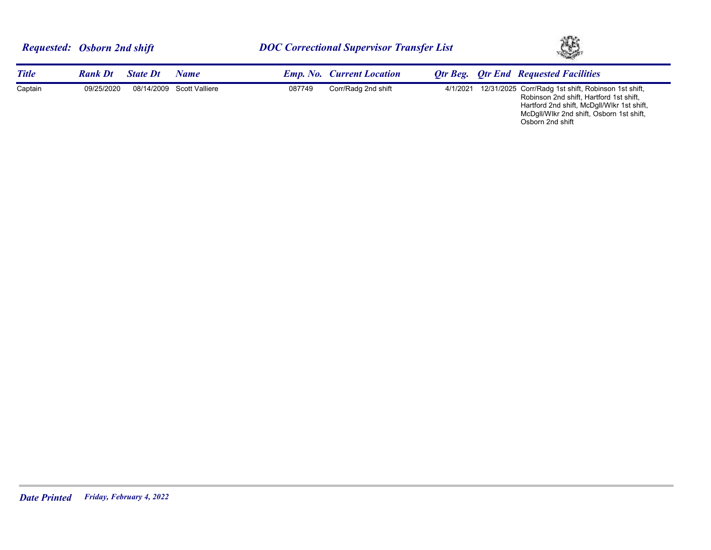|              | <b>Requested: Osborn 2nd shift</b> |                 |                           |        | <b>DOC Correctional Supervisor Transfer List</b> | Ą,       |  |                                                                                                                                              |
|--------------|------------------------------------|-----------------|---------------------------|--------|--------------------------------------------------|----------|--|----------------------------------------------------------------------------------------------------------------------------------------------|
| <b>Title</b> | <b>Rank Dt</b>                     | <b>State Dt</b> | <b>Name</b>               |        | <b>Emp. No. Current Location</b>                 |          |  | <b>Otr Beg.</b> Otr End Requested Facilities                                                                                                 |
| Captain      | 09/25/2020                         |                 | 08/14/2009 Scott Valliere | 087749 | Corr/Radg 2nd shift                              | 4/1/2021 |  | 12/31/2025 Corr/Radg 1st shift, Robinson 1st shift,<br>Robinson 2nd shift, Hartford 1st shift,<br>Hartford 2nd shift, McDgII/WIkr 1st shift, |

McDgll/Wlkr 2nd shift, Osborn 1st shift,

Osborn 2nd shift

*Date Printed Friday, February 4, 2022*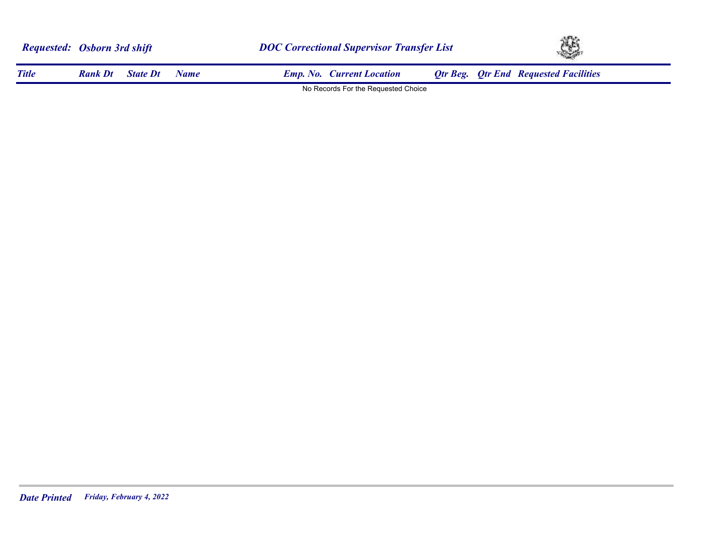|              | <b>Requested:</b> Osborn 3rd shift |                 |      | <b>DOC Correctional Supervisor Transfer List</b> |                                     |  | XB.                                          |
|--------------|------------------------------------|-----------------|------|--------------------------------------------------|-------------------------------------|--|----------------------------------------------|
| <b>Title</b> | <b>Rank Dt</b>                     | <b>State Dt</b> | Name |                                                  | <b>Emp. No. Current Location</b>    |  | <b>Qtr Beg. Qtr End Requested Facilities</b> |
|              |                                    |                 |      |                                                  | No Records For the Requested Choice |  |                                              |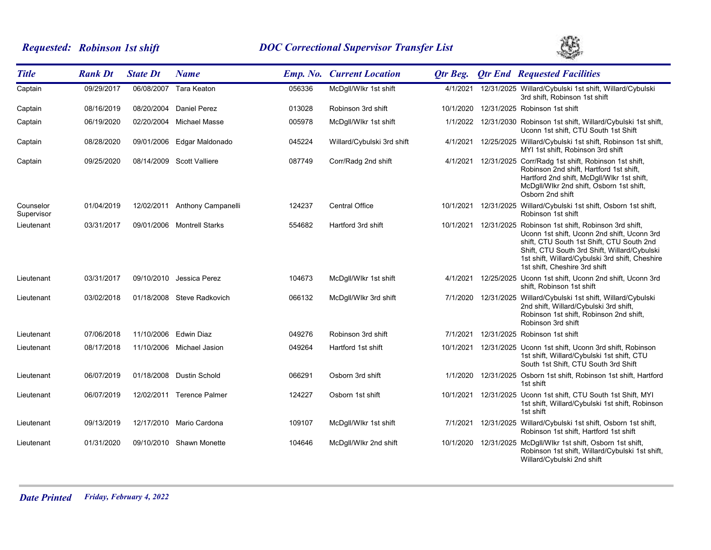# *Requested: Robinson 1st shift DOC Correctional Supervisor Transfer List*



| <b>Title</b>            | <b>Rank Dt</b> | <b>State Dt</b> | <b>Name</b>                |        | <b>Emp. No. Current Location</b> | <b>Qtr Beg.</b> | <b>Qtr End Requested Facilities</b>                                                                                                                                                                                                                                                          |
|-------------------------|----------------|-----------------|----------------------------|--------|----------------------------------|-----------------|----------------------------------------------------------------------------------------------------------------------------------------------------------------------------------------------------------------------------------------------------------------------------------------------|
| Captain                 | 09/29/2017     | 06/08/2007      | <b>Tara Keaton</b>         | 056336 | McDgll/Wlkr 1st shift            | 4/1/2021        | 12/31/2025 Willard/Cybulski 1st shift, Willard/Cybulski<br>3rd shift, Robinson 1st shift                                                                                                                                                                                                     |
| Captain                 | 08/16/2019     |                 | 08/20/2004 Daniel Perez    | 013028 | Robinson 3rd shift               |                 | 10/1/2020 12/31/2025 Robinson 1st shift                                                                                                                                                                                                                                                      |
| Captain                 | 06/19/2020     |                 | 02/20/2004 Michael Masse   | 005978 | McDgll/Wlkr 1st shift            |                 | 1/1/2022 12/31/2030 Robinson 1st shift, Willard/Cybulski 1st shift,<br>Uconn 1st shift, CTU South 1st Shift                                                                                                                                                                                  |
| Captain                 | 08/28/2020     |                 | 09/01/2006 Edgar Maldonado | 045224 | Willard/Cybulski 3rd shift       | 4/1/2021        | 12/25/2025 Willard/Cybulski 1st shift, Robinson 1st shift,<br>MYI 1st shift, Robinson 3rd shift                                                                                                                                                                                              |
| Captain                 | 09/25/2020     |                 | 08/14/2009 Scott Valliere  | 087749 | Corr/Radg 2nd shift              | 4/1/2021        | 12/31/2025 Corr/Radg 1st shift, Robinson 1st shift,<br>Robinson 2nd shift, Hartford 1st shift,<br>Hartford 2nd shift, McDgll/Wlkr 1st shift,<br>McDgll/Wlkr 2nd shift, Osborn 1st shift,<br>Osborn 2nd shift                                                                                 |
| Counselor<br>Supervisor | 01/04/2019     | 12/02/2011      | Anthony Campanelli         | 124237 | <b>Central Office</b>            | 10/1/2021       | 12/31/2025 Willard/Cybulski 1st shift, Osborn 1st shift,<br>Robinson 1st shift                                                                                                                                                                                                               |
| Lieutenant              | 03/31/2017     |                 | 09/01/2006 Montrell Starks | 554682 | Hartford 3rd shift               |                 | 10/1/2021 12/31/2025 Robinson 1st shift, Robinson 3rd shift,<br>Uconn 1st shift, Uconn 2nd shift, Uconn 3rd<br>shift, CTU South 1st Shift, CTU South 2nd<br>Shift, CTU South 3rd Shift, Willard/Cybulski<br>1st shift, Willard/Cybulski 3rd shift, Cheshire<br>1st shift, Cheshire 3rd shift |
| Lieutenant              | 03/31/2017     |                 | 09/10/2010 Jessica Perez   | 104673 | McDqll/Wlkr 1st shift            | 4/1/2021        | 12/25/2025 Uconn 1st shift, Uconn 2nd shift, Uconn 3rd<br>shift, Robinson 1st shift                                                                                                                                                                                                          |
| Lieutenant              | 03/02/2018     |                 | 01/18/2008 Steve Radkovich | 066132 | McDgll/Wlkr 3rd shift            |                 | 7/1/2020 12/31/2025 Willard/Cybulski 1st shift, Willard/Cybulski<br>2nd shift, Willard/Cybulski 3rd shift,<br>Robinson 1st shift, Robinson 2nd shift,<br>Robinson 3rd shift                                                                                                                  |
| Lieutenant              | 07/06/2018     |                 | 11/10/2006 Edwin Diaz      | 049276 | Robinson 3rd shift               | 7/1/2021        | 12/31/2025 Robinson 1st shift                                                                                                                                                                                                                                                                |
| Lieutenant              | 08/17/2018     |                 | 11/10/2006 Michael Jasion  | 049264 | Hartford 1st shift               |                 | 10/1/2021 12/31/2025 Uconn 1st shift, Uconn 3rd shift, Robinson<br>1st shift, Willard/Cybulski 1st shift, CTU<br>South 1st Shift, CTU South 3rd Shift                                                                                                                                        |
| Lieutenant              | 06/07/2019     |                 | 01/18/2008 Dustin Schold   | 066291 | Osborn 3rd shift                 | 1/1/2020        | 12/31/2025 Osborn 1st shift, Robinson 1st shift, Hartford<br>1st shift                                                                                                                                                                                                                       |
| Lieutenant              | 06/07/2019     |                 | 12/02/2011 Terence Palmer  | 124227 | Osborn 1st shift                 |                 | 10/1/2021  12/31/2025  Uconn 1st shift, CTU South 1st Shift, MYI<br>1st shift, Willard/Cybulski 1st shift, Robinson<br>1st shift                                                                                                                                                             |
| Lieutenant              | 09/13/2019     |                 | 12/17/2010 Mario Cardona   | 109107 | McDgll/Wlkr 1st shift            | 7/1/2021        | 12/31/2025 Willard/Cybulski 1st shift, Osborn 1st shift,<br>Robinson 1st shift, Hartford 1st shift                                                                                                                                                                                           |
| Lieutenant              | 01/31/2020     |                 | 09/10/2010 Shawn Monette   | 104646 | McDgll/Wlkr 2nd shift            |                 | 10/1/2020 12/31/2025 McDgll/Wikr 1st shift, Osborn 1st shift,<br>Robinson 1st shift, Willard/Cybulski 1st shift,<br>Willard/Cybulski 2nd shift                                                                                                                                               |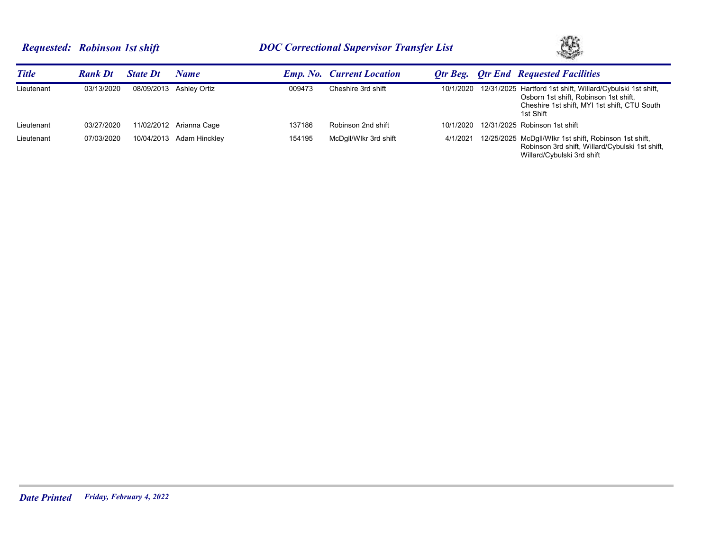# *Requested: Robinson 1st shift DOC Correctional Supervisor Transfer List*



| <b>Title</b> | <b>Rank Dt</b> | <b>State Dt</b> | Name                    |        | <b>Emp. No. Current Location</b> |           | <b>Otr Beg. Qtr End</b> Requested Facilities                                                                                                                     |
|--------------|----------------|-----------------|-------------------------|--------|----------------------------------|-----------|------------------------------------------------------------------------------------------------------------------------------------------------------------------|
| Lieutenant   | 03/13/2020     |                 | 08/09/2013 Ashley Ortiz | 009473 | Cheshire 3rd shift               | 10/1/2020 | 12/31/2025 Hartford 1st shift, Willard/Cybulski 1st shift,<br>Osborn 1st shift, Robinson 1st shift,<br>Cheshire 1st shift, MYI 1st shift, CTU South<br>1st Shift |
| Lieutenant   | 03/27/2020     |                 | 11/02/2012 Arianna Cage | 137186 | Robinson 2nd shift               | 10/1/2020 | 12/31/2025 Robinson 1st shift                                                                                                                                    |
| Lieutenant   | 07/03/2020     | 10/04/2013      | Adam Hinckley           | 154195 | McDgll/Wlkr 3rd shift            | 4/1/2021  | 12/25/2025 McDgll/Wlkr 1st shift, Robinson 1st shift,<br>Robinson 3rd shift, Willard/Cybulski 1st shift,<br>Willard/Cybulski 3rd shift                           |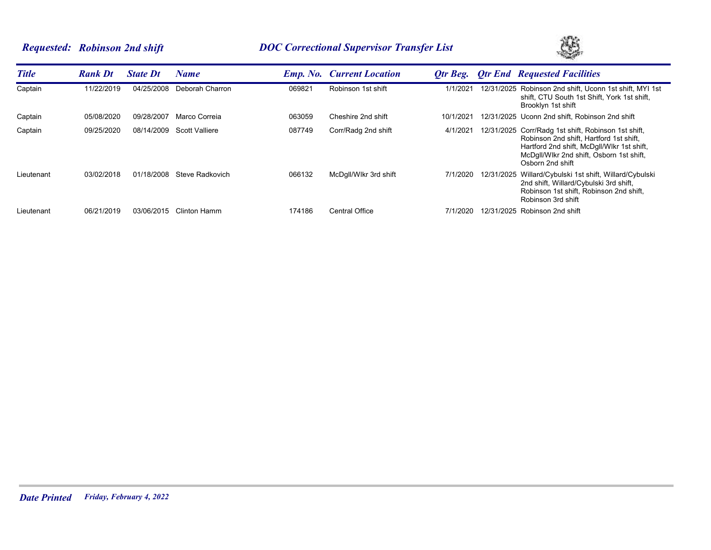# *Requested: Robinson 2nd shift DOC Correctional Supervisor Transfer List*



| <b>Title</b> | <b>Rank Dt</b> | <b>State Dt</b> | Name            |        | <b>Emp. No.</b> Current Location | Otr Beg.  | <b>Otr End Requested Facilities</b>                                                                                                                                                                          |
|--------------|----------------|-----------------|-----------------|--------|----------------------------------|-----------|--------------------------------------------------------------------------------------------------------------------------------------------------------------------------------------------------------------|
| Captain      | 11/22/2019     | 04/25/2008      | Deborah Charron | 069821 | Robinson 1st shift               | 1/1/2021  | 12/31/2025 Robinson 2nd shift, Uconn 1st shift, MYI 1st<br>shift, CTU South 1st Shift, York 1st shift,<br>Brooklyn 1st shift                                                                                 |
| Captain      | 05/08/2020     | 09/28/2007      | Marco Correia   | 063059 | Cheshire 2nd shift               | 10/1/2021 | 12/31/2025 Uconn 2nd shift. Robinson 2nd shift                                                                                                                                                               |
| Captain      | 09/25/2020     | 08/14/2009      | Scott Valliere  | 087749 | Corr/Radg 2nd shift              | 4/1/2021  | 12/31/2025 Corr/Radg 1st shift, Robinson 1st shift,<br>Robinson 2nd shift. Hartford 1st shift.<br>Hartford 2nd shift, McDgll/Wlkr 1st shift,<br>McDgll/Wlkr 2nd shift, Osborn 1st shift,<br>Osborn 2nd shift |
| Lieutenant   | 03/02/2018     | 01/18/2008      | Steve Radkovich | 066132 | McDgll/Wlkr 3rd shift            | 7/1/2020  | 12/31/2025 Willard/Cybulski 1st shift, Willard/Cybulski<br>2nd shift, Willard/Cybulski 3rd shift,<br>Robinson 1st shift, Robinson 2nd shift,<br>Robinson 3rd shift                                           |
| Lieutenant   | 06/21/2019     | 03/06/2015      | Clinton Hamm    | 174186 | <b>Central Office</b>            | 7/1/2020  | 12/31/2025 Robinson 2nd shift                                                                                                                                                                                |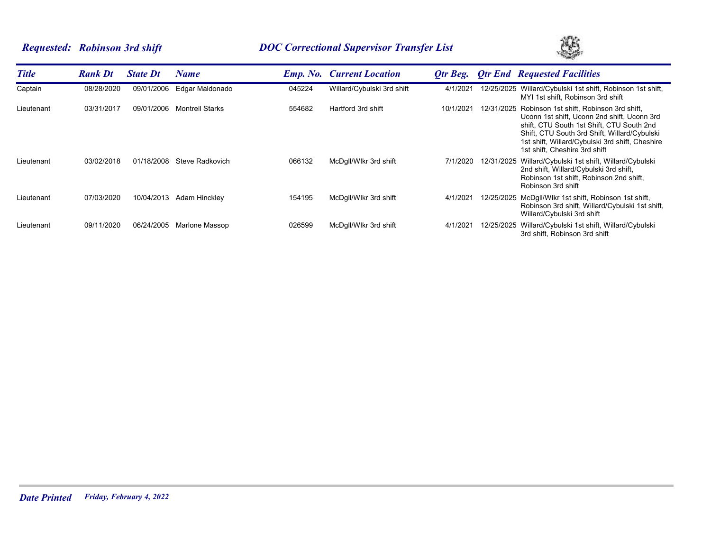## *Requested: Robinson 3rd shift DOC Correctional Supervisor Transfer List*



| <b>Title</b> | <b>Rank Dt</b> | <b>State Dt</b> | Name                   |        | <b>Emp. No. Current Location</b> | Otr Beg.  |            | <b>Otr End Requested Facilities</b>                                                                                                                                                                                                                                     |
|--------------|----------------|-----------------|------------------------|--------|----------------------------------|-----------|------------|-------------------------------------------------------------------------------------------------------------------------------------------------------------------------------------------------------------------------------------------------------------------------|
| Captain      | 08/28/2020     | 09/01/2006      | Edgar Maldonado        | 045224 | Willard/Cybulski 3rd shift       | 4/1/2021  | 12/25/2025 | Willard/Cybulski 1st shift, Robinson 1st shift,<br>MYI 1st shift, Robinson 3rd shift                                                                                                                                                                                    |
| Lieutenant   | 03/31/2017     | 09/01/2006      | <b>Montrell Starks</b> | 554682 | Hartford 3rd shift               | 10/1/2021 | 12/31/2025 | Robinson 1st shift, Robinson 3rd shift,<br>Uconn 1st shift, Uconn 2nd shift, Uconn 3rd<br>shift, CTU South 1st Shift, CTU South 2nd<br>Shift, CTU South 3rd Shift, Willard/Cybulski<br>1st shift, Willard/Cybulski 3rd shift, Cheshire<br>1st shift, Cheshire 3rd shift |
| Lieutenant   | 03/02/2018     | 01/18/2008      | Steve Radkovich        | 066132 | McDgll/Wlkr 3rd shift            | 7/1/2020  | 12/31/2025 | Willard/Cybulski 1st shift, Willard/Cybulski<br>2nd shift, Willard/Cybulski 3rd shift,<br>Robinson 1st shift, Robinson 2nd shift,<br>Robinson 3rd shift                                                                                                                 |
| Lieutenant   | 07/03/2020     | 10/04/2013      | Adam Hinckley          | 154195 | McDgll/Wlkr 3rd shift            | 4/1/2021  | 12/25/2025 | McDgll/Wlkr 1st shift, Robinson 1st shift,<br>Robinson 3rd shift, Willard/Cybulski 1st shift,<br>Willard/Cybulski 3rd shift                                                                                                                                             |
| Lieutenant   | 09/11/2020     | 06/24/2005      | Marlone Massop         | 026599 | McDgll/Wlkr 3rd shift            | 4/1/2021  | 12/25/2025 | Willard/Cybulski 1st shift, Willard/Cybulski<br>3rd shift, Robinson 3rd shift                                                                                                                                                                                           |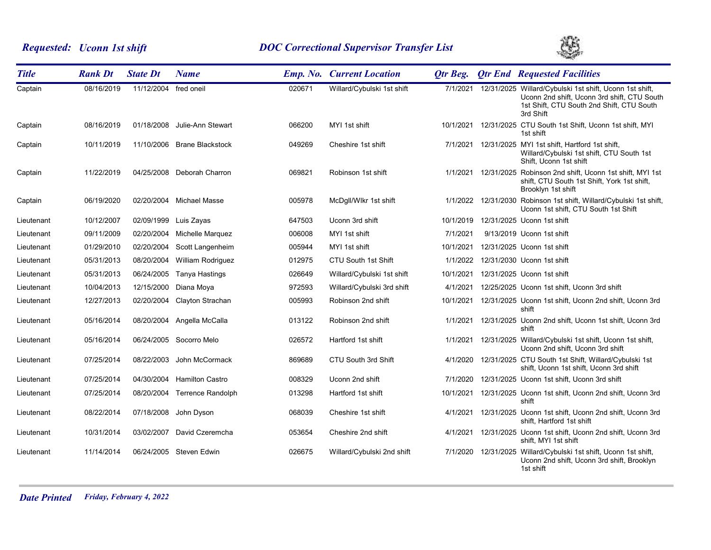# *Requested: Uconn 1st shift DOC Correctional Supervisor Transfer List*



| <b>Title</b> | <b>Rank Dt</b> | <b>State Dt</b>       | <b>Name</b>                  |        | <b>Emp. No. Current Location</b> | Otr Beg.  |                     | <b>Qtr End Requested Facilities</b>                                                                                                                                       |
|--------------|----------------|-----------------------|------------------------------|--------|----------------------------------|-----------|---------------------|---------------------------------------------------------------------------------------------------------------------------------------------------------------------------|
| Captain      | 08/16/2019     | 11/12/2004 fred oneil |                              | 020671 | Willard/Cybulski 1st shift       |           |                     | 7/1/2021 12/31/2025 Willard/Cybulski 1st shift, Uconn 1st shift,<br>Uconn 2nd shift, Uconn 3rd shift, CTU South<br>1st Shift, CTU South 2nd Shift, CTU South<br>3rd Shift |
| Captain      | 08/16/2019     | 01/18/2008            | Julie-Ann Stewart            | 066200 | MYI 1st shift                    | 10/1/2021 |                     | 12/31/2025 CTU South 1st Shift, Uconn 1st shift, MYI<br>1st shift                                                                                                         |
| Captain      | 10/11/2019     |                       | 11/10/2006 Brane Blackstock  | 049269 | Cheshire 1st shift               |           |                     | 7/1/2021 12/31/2025 MYI 1st shift, Hartford 1st shift,<br>Willard/Cybulski 1st shift, CTU South 1st<br>Shift, Uconn 1st shift                                             |
| Captain      | 11/22/2019     |                       | 04/25/2008 Deborah Charron   | 069821 | Robinson 1st shift               |           | 1/1/2021 12/31/2025 | Robinson 2nd shift, Uconn 1st shift, MYI 1st<br>shift, CTU South 1st Shift, York 1st shift,<br>Brooklyn 1st shift                                                         |
| Captain      | 06/19/2020     | 02/20/2004            | Michael Masse                | 005978 | McDgll/Wlkr 1st shift            |           |                     | 1/1/2022 12/31/2030 Robinson 1st shift, Willard/Cybulski 1st shift,<br>Uconn 1st shift, CTU South 1st Shift                                                               |
| Lieutenant   | 10/12/2007     | 02/09/1999            | Luis Zayas                   | 647503 | Uconn 3rd shift                  |           |                     | 10/1/2019 12/31/2025 Uconn 1st shift                                                                                                                                      |
| Lieutenant   | 09/11/2009     |                       | 02/20/2004 Michelle Marquez  | 006008 | MYI 1st shift                    | 7/1/2021  |                     | 9/13/2019 Uconn 1st shift                                                                                                                                                 |
| Lieutenant   | 01/29/2010     | 02/20/2004            | Scott Langenheim             | 005944 | MYI 1st shift                    | 10/1/2021 |                     | 12/31/2025 Uconn 1st shift                                                                                                                                                |
| Lieutenant   | 05/31/2013     | 08/20/2004            | William Rodriguez            | 012975 | CTU South 1st Shift              |           |                     | 1/1/2022 12/31/2030 Uconn 1st shift                                                                                                                                       |
| Lieutenant   | 05/31/2013     | 06/24/2005            | Tanya Hastings               | 026649 | Willard/Cybulski 1st shift       | 10/1/2021 |                     | 12/31/2025 Uconn 1st shift                                                                                                                                                |
| Lieutenant   | 10/04/2013     | 12/15/2000            | Diana Moya                   | 972593 | Willard/Cybulski 3rd shift       | 4/1/2021  |                     | 12/25/2025 Uconn 1st shift, Uconn 3rd shift                                                                                                                               |
| Lieutenant   | 12/27/2013     | 02/20/2004            | Clayton Strachan             | 005993 | Robinson 2nd shift               |           |                     | 10/1/2021 12/31/2025 Uconn 1st shift, Uconn 2nd shift, Uconn 3rd<br>shift                                                                                                 |
| Lieutenant   | 05/16/2014     |                       | 08/20/2004 Angella McCalla   | 013122 | Robinson 2nd shift               |           |                     | 1/1/2021 12/31/2025 Uconn 2nd shift, Uconn 1st shift, Uconn 3rd<br>shift                                                                                                  |
| Lieutenant   | 05/16/2014     |                       | 06/24/2005 Socorro Melo      | 026572 | Hartford 1st shift               |           |                     | 1/1/2021 12/31/2025 Willard/Cybulski 1st shift, Uconn 1st shift,<br>Uconn 2nd shift, Uconn 3rd shift                                                                      |
| Lieutenant   | 07/25/2014     | 08/22/2003            | John McCormack               | 869689 | CTU South 3rd Shift              |           |                     | 4/1/2020 12/31/2025 CTU South 1st Shift, Willard/Cybulski 1st<br>shift, Uconn 1st shift, Uconn 3rd shift                                                                  |
| Lieutenant   | 07/25/2014     | 04/30/2004            | <b>Hamilton Castro</b>       | 008329 | Uconn 2nd shift                  | 7/1/2020  |                     | 12/31/2025 Uconn 1st shift, Uconn 3rd shift                                                                                                                               |
| Lieutenant   | 07/25/2014     |                       | 08/20/2004 Terrence Randolph | 013298 | Hartford 1st shift               | 10/1/2021 |                     | 12/31/2025 Uconn 1st shift, Uconn 2nd shift, Uconn 3rd<br>shift                                                                                                           |
| Lieutenant   | 08/22/2014     | 07/18/2008            | John Dyson                   | 068039 | Cheshire 1st shift               |           |                     | 4/1/2021 12/31/2025 Uconn 1st shift, Uconn 2nd shift, Uconn 3rd<br>shift, Hartford 1st shift                                                                              |
| Lieutenant   | 10/31/2014     |                       | 03/02/2007 David Czeremcha   | 053654 | Cheshire 2nd shift               |           |                     | 4/1/2021 12/31/2025 Uconn 1st shift, Uconn 2nd shift, Uconn 3rd<br>shift, MYI 1st shift                                                                                   |
| Lieutenant   | 11/14/2014     |                       | 06/24/2005 Steven Edwin      | 026675 | Willard/Cybulski 2nd shift       |           |                     | 7/1/2020 12/31/2025 Willard/Cybulski 1st shift, Uconn 1st shift,<br>Uconn 2nd shift, Uconn 3rd shift, Brooklyn<br>1st shift                                               |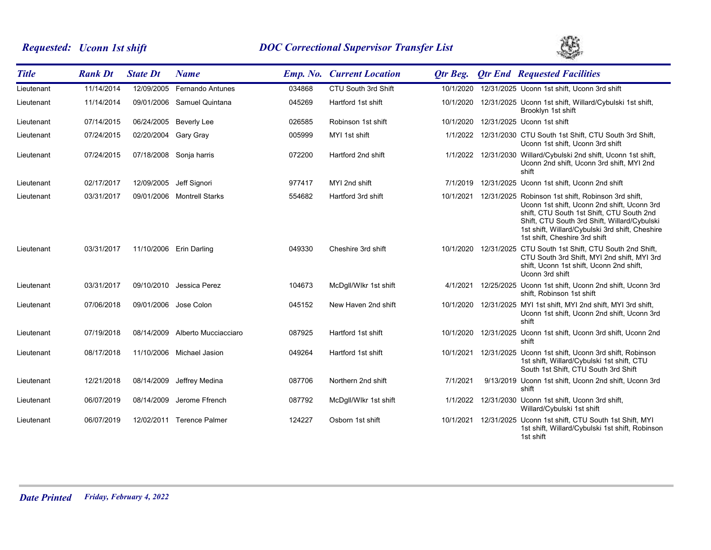# *Requested: Uconn 1st shift DOC Correctional Supervisor Transfer List*



| <b>Title</b> | <b>Rank Dt</b> | <b>State Dt</b>      | <b>Name</b>                     |        | <b>Emp. No. Current Location</b> | <b>Qtr Beg.</b> | <b>Qtr End Requested Facilities</b>                                                                                                                                                                                                                                                          |
|--------------|----------------|----------------------|---------------------------------|--------|----------------------------------|-----------------|----------------------------------------------------------------------------------------------------------------------------------------------------------------------------------------------------------------------------------------------------------------------------------------------|
| Lieutenant   | 11/14/2014     | 12/09/2005           | <b>Fernando Antunes</b>         | 034868 | CTU South 3rd Shift              | 10/1/2020       | 12/31/2025 Uconn 1st shift, Uconn 3rd shift                                                                                                                                                                                                                                                  |
| Lieutenant   | 11/14/2014     |                      | 09/01/2006 Samuel Quintana      | 045269 | Hartford 1st shift               | 10/1/2020       | 12/31/2025 Uconn 1st shift, Willard/Cybulski 1st shift,<br>Brooklyn 1st shift                                                                                                                                                                                                                |
| Lieutenant   | 07/14/2015     |                      | 06/24/2005 Beverly Lee          | 026585 | Robinson 1st shift               | 10/1/2020       | 12/31/2025 Uconn 1st shift                                                                                                                                                                                                                                                                   |
| Lieutenant   | 07/24/2015     | 02/20/2004 Gary Gray |                                 | 005999 | MYI 1st shift                    | 1/1/2022        | 12/31/2030 CTU South 1st Shift, CTU South 3rd Shift,<br>Uconn 1st shift, Uconn 3rd shift                                                                                                                                                                                                     |
| Lieutenant   | 07/24/2015     |                      | 07/18/2008 Sonja harris         | 072200 | Hartford 2nd shift               |                 | 1/1/2022 12/31/2030 Willard/Cybulski 2nd shift, Uconn 1st shift,<br>Uconn 2nd shift, Uconn 3rd shift, MYI 2nd<br>shift                                                                                                                                                                       |
| Lieutenant   | 02/17/2017     | 12/09/2005           | Jeff Signori                    | 977417 | MYI 2nd shift                    | 7/1/2019        | 12/31/2025 Uconn 1st shift, Uconn 2nd shift                                                                                                                                                                                                                                                  |
| Lieutenant   | 03/31/2017     |                      | 09/01/2006 Montrell Starks      | 554682 | Hartford 3rd shift               |                 | 10/1/2021 12/31/2025 Robinson 1st shift, Robinson 3rd shift,<br>Uconn 1st shift, Uconn 2nd shift, Uconn 3rd<br>shift, CTU South 1st Shift, CTU South 2nd<br>Shift, CTU South 3rd Shift, Willard/Cybulski<br>1st shift, Willard/Cybulski 3rd shift, Cheshire<br>1st shift, Cheshire 3rd shift |
| Lieutenant   | 03/31/2017     |                      | 11/10/2006 Erin Darling         | 049330 | Cheshire 3rd shift               |                 | 10/1/2020 12/31/2025 CTU South 1st Shift, CTU South 2nd Shift,<br>CTU South 3rd Shift, MYI 2nd shift, MYI 3rd<br>shift, Uconn 1st shift, Uconn 2nd shift,<br>Uconn 3rd shift                                                                                                                 |
| Lieutenant   | 03/31/2017     |                      | 09/10/2010 Jessica Perez        | 104673 | McDgll/Wlkr 1st shift            | 4/1/2021        | 12/25/2025 Uconn 1st shift, Uconn 2nd shift, Uconn 3rd<br>shift, Robinson 1st shift                                                                                                                                                                                                          |
| Lieutenant   | 07/06/2018     |                      | 09/01/2006 Jose Colon           | 045152 | New Haven 2nd shift              | 10/1/2020       | 12/31/2025 MYI 1st shift, MYI 2nd shift, MYI 3rd shift,<br>Uconn 1st shift, Uconn 2nd shift, Uconn 3rd<br>shift                                                                                                                                                                              |
| Lieutenant   | 07/19/2018     |                      | 08/14/2009 Alberto Mucciacciaro | 087925 | Hartford 1st shift               | 10/1/2020       | 12/31/2025 Uconn 1st shift, Uconn 3rd shift, Uconn 2nd<br>shift                                                                                                                                                                                                                              |
| Lieutenant   | 08/17/2018     |                      | 11/10/2006 Michael Jasion       | 049264 | Hartford 1st shift               | 10/1/2021       | 12/31/2025 Uconn 1st shift, Uconn 3rd shift, Robinson<br>1st shift, Willard/Cybulski 1st shift, CTU<br>South 1st Shift, CTU South 3rd Shift                                                                                                                                                  |
| Lieutenant   | 12/21/2018     | 08/14/2009           | Jeffrey Medina                  | 087706 | Northern 2nd shift               | 7/1/2021        | 9/13/2019 Uconn 1st shift, Uconn 2nd shift, Uconn 3rd<br>shift                                                                                                                                                                                                                               |
| Lieutenant   | 06/07/2019     | 08/14/2009           | Jerome Ffrench                  | 087792 | McDgll/Wlkr 1st shift            | 1/1/2022        | 12/31/2030 Uconn 1st shift, Uconn 3rd shift,<br>Willard/Cybulski 1st shift                                                                                                                                                                                                                   |
| Lieutenant   | 06/07/2019     |                      | 12/02/2011 Terence Palmer       | 124227 | Osborn 1st shift                 |                 | 10/1/2021 12/31/2025 Uconn 1st shift, CTU South 1st Shift, MYI<br>1st shift, Willard/Cybulski 1st shift, Robinson<br>1st shift                                                                                                                                                               |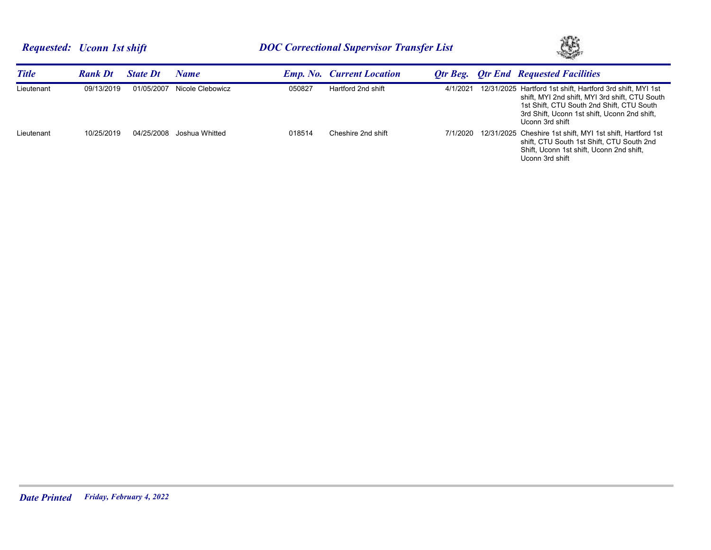

| <b>Title</b> | <b>Rank Dt</b> | <b>State Dt</b> | Name             |        | <b>Emp. No. Current Location</b> | Otr Beg. | <b>Otr End Requested Facilities</b>                                                                                                                                                                                          |
|--------------|----------------|-----------------|------------------|--------|----------------------------------|----------|------------------------------------------------------------------------------------------------------------------------------------------------------------------------------------------------------------------------------|
| Lieutenant   | 09/13/2019     | 01/05/2007      | Nicole Clebowicz | 050827 | Hartford 2nd shift               | 4/1/2021 | 12/31/2025 Hartford 1st shift, Hartford 3rd shift, MYI 1st<br>shift. MYI 2nd shift. MYI 3rd shift. CTU South<br>1st Shift, CTU South 2nd Shift, CTU South<br>3rd Shift, Uconn 1st shift, Uconn 2nd shift,<br>Uconn 3rd shift |
| Lieutenant   | 10/25/2019     | 04/25/2008      | Joshua Whitted   | 018514 | Cheshire 2nd shift               | 7/1/2020 | 12/31/2025 Cheshire 1st shift, MYI 1st shift, Hartford 1st<br>shift, CTU South 1st Shift, CTU South 2nd<br>Shift, Uconn 1st shift, Uconn 2nd shift,<br>Uconn 3rd shift                                                       |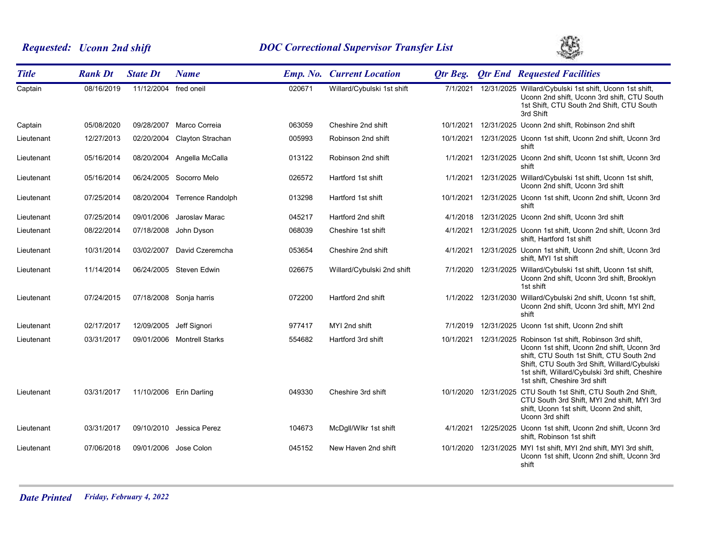# *Requested: Uconn 2nd shift DOC Correctional Supervisor Transfer List*



| <b>Title</b> | <b>Rank Dt</b> | <b>State Dt</b>       | <b>Name</b>                |        | <b>Emp. No. Current Location</b> | <b>Qtr Beg.</b> | <b>Qtr End Requested Facilities</b>                                                                                                                                                                                                                                                            |
|--------------|----------------|-----------------------|----------------------------|--------|----------------------------------|-----------------|------------------------------------------------------------------------------------------------------------------------------------------------------------------------------------------------------------------------------------------------------------------------------------------------|
| Captain      | 08/16/2019     | 11/12/2004 fred oneil |                            | 020671 | Willard/Cybulski 1st shift       |                 | 7/1/2021 12/31/2025 Willard/Cybulski 1st shift, Uconn 1st shift,<br>Uconn 2nd shift, Uconn 3rd shift, CTU South<br>1st Shift, CTU South 2nd Shift, CTU South<br>3rd Shift                                                                                                                      |
| Captain      | 05/08/2020     | 09/28/2007            | Marco Correia              | 063059 | Cheshire 2nd shift               | 10/1/2021       | 12/31/2025 Uconn 2nd shift, Robinson 2nd shift                                                                                                                                                                                                                                                 |
| Lieutenant   | 12/27/2013     | 02/20/2004            | Clayton Strachan           | 005993 | Robinson 2nd shift               |                 | 10/1/2021 12/31/2025 Uconn 1st shift, Uconn 2nd shift, Uconn 3rd<br>shift                                                                                                                                                                                                                      |
| Lieutenant   | 05/16/2014     |                       | 08/20/2004 Angella McCalla | 013122 | Robinson 2nd shift               |                 | 1/1/2021 12/31/2025 Uconn 2nd shift, Uconn 1st shift, Uconn 3rd<br>shift                                                                                                                                                                                                                       |
| Lieutenant   | 05/16/2014     |                       | 06/24/2005 Socorro Melo    | 026572 | Hartford 1st shift               |                 | 1/1/2021 12/31/2025 Willard/Cybulski 1st shift, Uconn 1st shift,<br>Uconn 2nd shift, Uconn 3rd shift                                                                                                                                                                                           |
| Lieutenant   | 07/25/2014     | 08/20/2004            | Terrence Randolph          | 013298 | Hartford 1st shift               |                 | 10/1/2021  12/31/2025  Uconn 1st shift, Uconn 2nd shift, Uconn 3rd<br>shift                                                                                                                                                                                                                    |
| Lieutenant   | 07/25/2014     | 09/01/2006            | Jaroslav Marac             | 045217 | Hartford 2nd shift               |                 | 4/1/2018 12/31/2025 Uconn 2nd shift, Uconn 3rd shift                                                                                                                                                                                                                                           |
| Lieutenant   | 08/22/2014     | 07/18/2008            | John Dyson                 | 068039 | Cheshire 1st shift               |                 | 4/1/2021 12/31/2025 Uconn 1st shift, Uconn 2nd shift, Uconn 3rd<br>shift, Hartford 1st shift                                                                                                                                                                                                   |
| Lieutenant   | 10/31/2014     | 03/02/2007            | David Czeremcha            | 053654 | Cheshire 2nd shift               |                 | 4/1/2021 12/31/2025 Uconn 1st shift, Uconn 2nd shift, Uconn 3rd<br>shift. MYI 1st shift                                                                                                                                                                                                        |
| Lieutenant   | 11/14/2014     |                       | 06/24/2005 Steven Edwin    | 026675 | Willard/Cybulski 2nd shift       | 7/1/2020        | 12/31/2025 Willard/Cybulski 1st shift, Uconn 1st shift,<br>Uconn 2nd shift, Uconn 3rd shift, Brooklyn<br>1st shift                                                                                                                                                                             |
| Lieutenant   | 07/24/2015     |                       | 07/18/2008 Sonja harris    | 072200 | Hartford 2nd shift               |                 | 1/1/2022 12/31/2030 Willard/Cybulski 2nd shift, Uconn 1st shift,<br>Uconn 2nd shift, Uconn 3rd shift, MYI 2nd<br>shift                                                                                                                                                                         |
| Lieutenant   | 02/17/2017     | 12/09/2005            | Jeff Signori               | 977417 | MYI 2nd shift                    | 7/1/2019        | 12/31/2025 Uconn 1st shift, Uconn 2nd shift                                                                                                                                                                                                                                                    |
| Lieutenant   | 03/31/2017     |                       | 09/01/2006 Montrell Starks | 554682 | Hartford 3rd shift               |                 | 10/1/2021  12/31/2025  Robinson 1st shift, Robinson 3rd shift,<br>Uconn 1st shift, Uconn 2nd shift, Uconn 3rd<br>shift, CTU South 1st Shift, CTU South 2nd<br>Shift, CTU South 3rd Shift, Willard/Cybulski<br>1st shift, Willard/Cybulski 3rd shift, Cheshire<br>1st shift, Cheshire 3rd shift |
| Lieutenant   | 03/31/2017     |                       | 11/10/2006 Erin Darling    | 049330 | Cheshire 3rd shift               |                 | 10/1/2020 12/31/2025 CTU South 1st Shift, CTU South 2nd Shift,<br>CTU South 3rd Shift, MYI 2nd shift, MYI 3rd<br>shift, Uconn 1st shift, Uconn 2nd shift,<br>Uconn 3rd shift                                                                                                                   |
| Lieutenant   | 03/31/2017     |                       | 09/10/2010 Jessica Perez   | 104673 | McDgll/Wlkr 1st shift            |                 | 4/1/2021 12/25/2025 Uconn 1st shift, Uconn 2nd shift, Uconn 3rd<br>shift. Robinson 1st shift                                                                                                                                                                                                   |
| Lieutenant   | 07/06/2018     | 09/01/2006            | Jose Colon                 | 045152 | New Haven 2nd shift              | 10/1/2020       | 12/31/2025 MYI 1st shift, MYI 2nd shift, MYI 3rd shift,<br>Uconn 1st shift, Uconn 2nd shift, Uconn 3rd<br>shift                                                                                                                                                                                |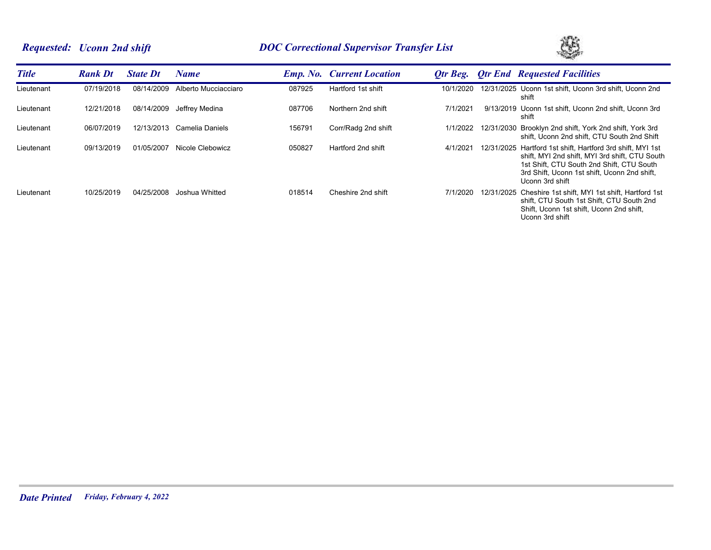# *Requested: Uconn 2nd shift DOC Correctional Supervisor Transfer List*



| <b>Title</b> | <b>Rank Dt</b> | <b>State Dt</b> | <b>Name</b>          |        | <b>Emp. No. Current Location</b> | Otr Beg.  | <b>Otr End Requested Facilities</b>                                                                                                                                                                                          |
|--------------|----------------|-----------------|----------------------|--------|----------------------------------|-----------|------------------------------------------------------------------------------------------------------------------------------------------------------------------------------------------------------------------------------|
| Lieutenant   | 07/19/2018     | 08/14/2009      | Alberto Mucciacciaro | 087925 | Hartford 1st shift               | 10/1/2020 | 12/31/2025 Uconn 1st shift, Uconn 3rd shift, Uconn 2nd<br>shift                                                                                                                                                              |
| Lieutenant   | 12/21/2018     | 08/14/2009      | Jeffrey Medina       | 087706 | Northern 2nd shift               | 7/1/2021  | 9/13/2019 Uconn 1st shift, Uconn 2nd shift, Uconn 3rd<br>shift                                                                                                                                                               |
| Lieutenant   | 06/07/2019     | 12/13/2013      | Camelia Daniels      | 156791 | Corr/Radg 2nd shift              | 1/1/2022  | 12/31/2030 Brooklyn 2nd shift, York 2nd shift, York 3rd<br>shift, Uconn 2nd shift, CTU South 2nd Shift                                                                                                                       |
| Lieutenant   | 09/13/2019     | 01/05/2007      | Nicole Clebowicz     | 050827 | Hartford 2nd shift               | 4/1/2021  | 12/31/2025 Hartford 1st shift, Hartford 3rd shift, MYI 1st<br>shift, MYI 2nd shift, MYI 3rd shift, CTU South<br>1st Shift, CTU South 2nd Shift, CTU South<br>3rd Shift, Uconn 1st shift, Uconn 2nd shift,<br>Uconn 3rd shift |
| Lieutenant   | 10/25/2019     | 04/25/2008      | Joshua Whitted       | 018514 | Cheshire 2nd shift               | 7/1/2020  | 12/31/2025 Cheshire 1st shift. MYI 1st shift. Hartford 1st<br>shift, CTU South 1st Shift, CTU South 2nd<br>Shift, Uconn 1st shift, Uconn 2nd shift,<br>Uconn 3rd shift                                                       |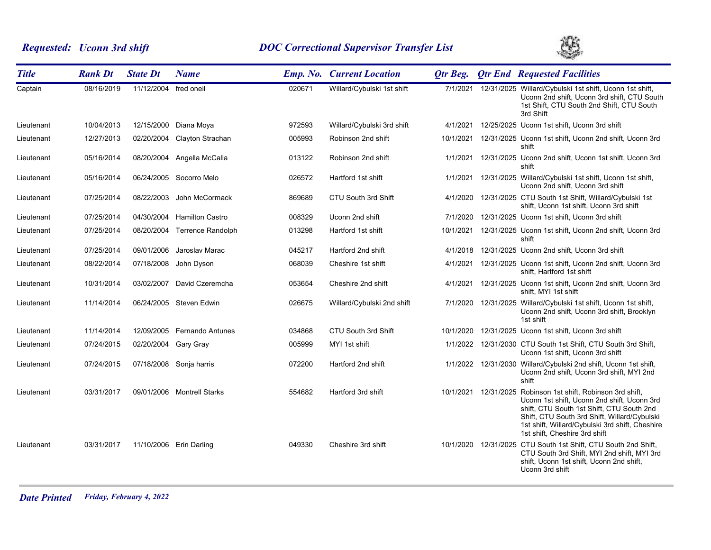# *Requested: Uconn 3rd shift DOC Correctional Supervisor Transfer List*



| <b>Title</b> | <b>Rank Dt</b> | <b>State Dt</b>       | <b>Name</b>                 |        | <b>Emp. No. Current Location</b> | Qtr Beg.  |            | <b>Qtr End Requested Facilities</b>                                                                                                                                                                                                                                     |
|--------------|----------------|-----------------------|-----------------------------|--------|----------------------------------|-----------|------------|-------------------------------------------------------------------------------------------------------------------------------------------------------------------------------------------------------------------------------------------------------------------------|
| Captain      | 08/16/2019     | 11/12/2004 fred oneil |                             | 020671 | Willard/Cybulski 1st shift       | 7/1/2021  |            | 12/31/2025 Willard/Cybulski 1st shift, Uconn 1st shift,<br>Uconn 2nd shift, Uconn 3rd shift, CTU South<br>1st Shift, CTU South 2nd Shift, CTU South<br>3rd Shift                                                                                                        |
| Lieutenant   | 10/04/2013     |                       | 12/15/2000 Diana Moya       | 972593 | Willard/Cybulski 3rd shift       | 4/1/2021  |            | 12/25/2025 Uconn 1st shift, Uconn 3rd shift                                                                                                                                                                                                                             |
| Lieutenant   | 12/27/2013     |                       | 02/20/2004 Clayton Strachan | 005993 | Robinson 2nd shift               | 10/1/2021 |            | 12/31/2025 Uconn 1st shift, Uconn 2nd shift, Uconn 3rd<br>shift                                                                                                                                                                                                         |
| Lieutenant   | 05/16/2014     | 08/20/2004            | Angella McCalla             | 013122 | Robinson 2nd shift               | 1/1/2021  |            | 12/31/2025 Uconn 2nd shift, Uconn 1st shift, Uconn 3rd<br>shift                                                                                                                                                                                                         |
| Lieutenant   | 05/16/2014     |                       | 06/24/2005 Socorro Melo     | 026572 | Hartford 1st shift               | 1/1/2021  |            | 12/31/2025 Willard/Cybulski 1st shift, Uconn 1st shift,<br>Uconn 2nd shift, Uconn 3rd shift                                                                                                                                                                             |
| Lieutenant   | 07/25/2014     | 08/22/2003            | John McCormack              | 869689 | CTU South 3rd Shift              | 4/1/2020  |            | 12/31/2025 CTU South 1st Shift, Willard/Cybulski 1st<br>shift, Uconn 1st shift, Uconn 3rd shift                                                                                                                                                                         |
| Lieutenant   | 07/25/2014     | 04/30/2004            | <b>Hamilton Castro</b>      | 008329 | Uconn 2nd shift                  | 7/1/2020  |            | 12/31/2025 Uconn 1st shift, Uconn 3rd shift                                                                                                                                                                                                                             |
| Lieutenant   | 07/25/2014     | 08/20/2004            | Terrence Randolph           | 013298 | Hartford 1st shift               | 10/1/2021 |            | 12/31/2025 Uconn 1st shift, Uconn 2nd shift, Uconn 3rd<br>shift                                                                                                                                                                                                         |
| Lieutenant   | 07/25/2014     | 09/01/2006            | Jaroslav Marac              | 045217 | Hartford 2nd shift               | 4/1/2018  |            | 12/31/2025 Uconn 2nd shift, Uconn 3rd shift                                                                                                                                                                                                                             |
| Lieutenant   | 08/22/2014     | 07/18/2008            | John Dyson                  | 068039 | Cheshire 1st shift               | 4/1/2021  |            | 12/31/2025 Uconn 1st shift, Uconn 2nd shift, Uconn 3rd<br>shift, Hartford 1st shift                                                                                                                                                                                     |
| Lieutenant   | 10/31/2014     |                       | 03/02/2007 David Czeremcha  | 053654 | Cheshire 2nd shift               | 4/1/2021  |            | 12/31/2025 Uconn 1st shift, Uconn 2nd shift, Uconn 3rd<br>shift, MYI 1st shift                                                                                                                                                                                          |
| Lieutenant   | 11/14/2014     |                       | 06/24/2005 Steven Edwin     | 026675 | Willard/Cybulski 2nd shift       | 7/1/2020  |            | 12/31/2025 Willard/Cybulski 1st shift, Uconn 1st shift,<br>Uconn 2nd shift, Uconn 3rd shift, Brooklyn<br>1st shift                                                                                                                                                      |
| Lieutenant   | 11/14/2014     |                       | 12/09/2005 Fernando Antunes | 034868 | CTU South 3rd Shift              | 10/1/2020 |            | 12/31/2025 Uconn 1st shift, Uconn 3rd shift                                                                                                                                                                                                                             |
| Lieutenant   | 07/24/2015     | 02/20/2004 Gary Gray  |                             | 005999 | MYI 1st shift                    |           |            | 1/1/2022 12/31/2030 CTU South 1st Shift, CTU South 3rd Shift,<br>Uconn 1st shift, Uconn 3rd shift                                                                                                                                                                       |
| Lieutenant   | 07/24/2015     |                       | 07/18/2008 Sonja harris     | 072200 | Hartford 2nd shift               | 1/1/2022  |            | 12/31/2030 Willard/Cybulski 2nd shift, Uconn 1st shift,<br>Uconn 2nd shift, Uconn 3rd shift, MYI 2nd<br>shift                                                                                                                                                           |
| Lieutenant   | 03/31/2017     |                       | 09/01/2006 Montrell Starks  | 554682 | Hartford 3rd shift               | 10/1/2021 | 12/31/2025 | Robinson 1st shift, Robinson 3rd shift,<br>Uconn 1st shift, Uconn 2nd shift, Uconn 3rd<br>shift, CTU South 1st Shift, CTU South 2nd<br>Shift, CTU South 3rd Shift, Willard/Cybulski<br>1st shift, Willard/Cybulski 3rd shift, Cheshire<br>1st shift, Cheshire 3rd shift |
| Lieutenant   | 03/31/2017     |                       | 11/10/2006 Erin Darling     | 049330 | Cheshire 3rd shift               | 10/1/2020 |            | 12/31/2025 CTU South 1st Shift, CTU South 2nd Shift,<br>CTU South 3rd Shift, MYI 2nd shift, MYI 3rd<br>shift, Uconn 1st shift, Uconn 2nd shift,<br>Uconn 3rd shift                                                                                                      |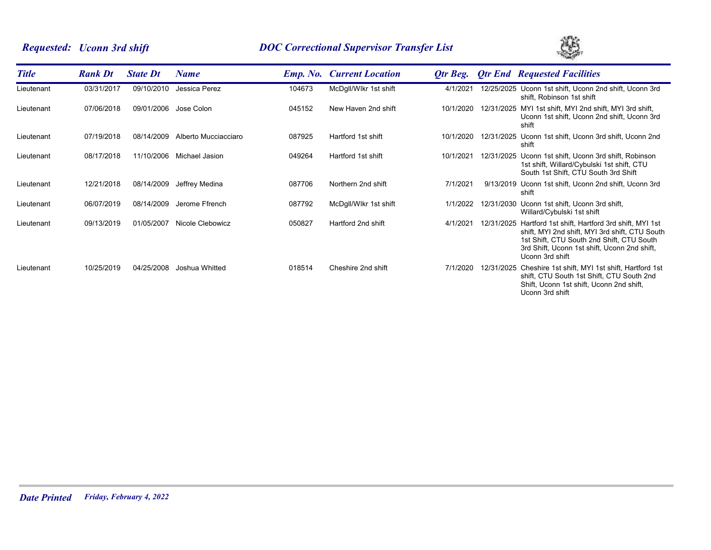# *Requested: Uconn 3rd shift DOC Correctional Supervisor Transfer List*



| <b>Title</b> | <b>Rank Dt</b> | <b>State Dt</b> | <b>Name</b>          |        | <b>Emp. No.</b> Current Location | Otr Beg.  |            | <b>Qtr End Requested Facilities</b>                                                                                                                                                                               |
|--------------|----------------|-----------------|----------------------|--------|----------------------------------|-----------|------------|-------------------------------------------------------------------------------------------------------------------------------------------------------------------------------------------------------------------|
| Lieutenant   | 03/31/2017     | 09/10/2010      | Jessica Perez        | 104673 | McDgll/Wlkr 1st shift            | 4/1/2021  |            | 12/25/2025 Uconn 1st shift, Uconn 2nd shift, Uconn 3rd<br>shift, Robinson 1st shift                                                                                                                               |
| Lieutenant   | 07/06/2018     | 09/01/2006      | Jose Colon           | 045152 | New Haven 2nd shift              | 10/1/2020 |            | 12/31/2025 MYI 1st shift, MYI 2nd shift, MYI 3rd shift,<br>Uconn 1st shift, Uconn 2nd shift, Uconn 3rd<br>shift                                                                                                   |
| Lieutenant   | 07/19/2018     | 08/14/2009      | Alberto Mucciacciaro | 087925 | Hartford 1st shift               | 10/1/2020 |            | 12/31/2025 Uconn 1st shift, Uconn 3rd shift, Uconn 2nd<br>shift                                                                                                                                                   |
| Lieutenant   | 08/17/2018     | 11/10/2006      | Michael Jasion       | 049264 | Hartford 1st shift               | 10/1/2021 |            | 12/31/2025 Uconn 1st shift, Uconn 3rd shift, Robinson<br>1st shift, Willard/Cybulski 1st shift, CTU<br>South 1st Shift, CTU South 3rd Shift                                                                       |
| Lieutenant   | 12/21/2018     | 08/14/2009      | Jeffrey Medina       | 087706 | Northern 2nd shift               | 7/1/2021  |            | 9/13/2019 Uconn 1st shift, Uconn 2nd shift, Uconn 3rd<br>shift                                                                                                                                                    |
| Lieutenant   | 06/07/2019     | 08/14/2009      | Jerome Ffrench       | 087792 | McDgll/Wlkr 1st shift            | 1/1/2022  |            | 12/31/2030 Uconn 1st shift, Uconn 3rd shift,<br>Willard/Cybulski 1st shift                                                                                                                                        |
| Lieutenant   | 09/13/2019     | 01/05/2007      | Nicole Clebowicz     | 050827 | Hartford 2nd shift               | 4/1/2021  | 12/31/2025 | Hartford 1st shift, Hartford 3rd shift, MYI 1st<br>shift, MYI 2nd shift, MYI 3rd shift, CTU South<br>1st Shift, CTU South 2nd Shift, CTU South<br>3rd Shift, Uconn 1st shift, Uconn 2nd shift,<br>Uconn 3rd shift |
| Lieutenant   | 10/25/2019     | 04/25/2008      | Joshua Whitted       | 018514 | Cheshire 2nd shift               | 7/1/2020  | 12/31/2025 | Cheshire 1st shift, MYI 1st shift, Hartford 1st<br>shift, CTU South 1st Shift, CTU South 2nd<br>Shift, Uconn 1st shift, Uconn 2nd shift,<br>Uconn 3rd shift                                                       |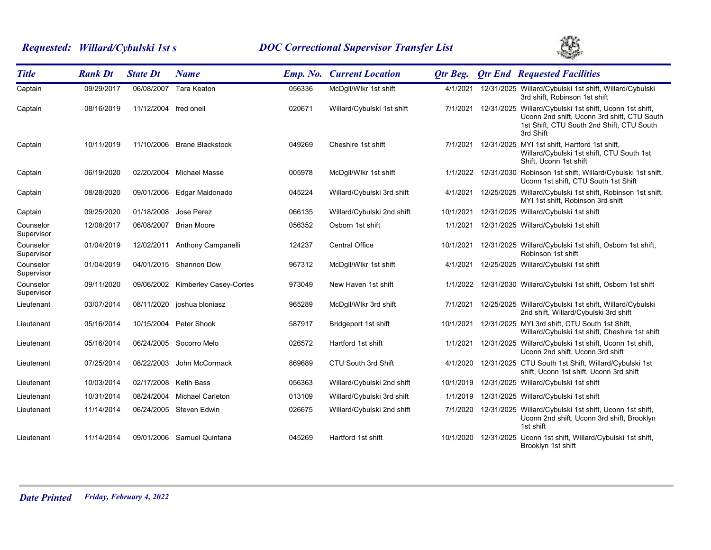# *Requested: Willard/Cybulski 1st s DOC Correctional Supervisor Transfer List*



| <b>Title</b>            | <b>Rank Dt</b> | <b>State Dt</b>       | <b>Name</b>                       |        | <b>Emp. No. Current Location</b> | <b>Qtr Beg.</b> | <b>Qtr End Requested Facilities</b>                                                                                                                              |
|-------------------------|----------------|-----------------------|-----------------------------------|--------|----------------------------------|-----------------|------------------------------------------------------------------------------------------------------------------------------------------------------------------|
| Captain                 | 09/29/2017     | 06/08/2007            | Tara Keaton                       | 056336 | McDgll/Wlkr 1st shift            | 4/1/2021        | 12/31/2025 Willard/Cybulski 1st shift, Willard/Cybulski<br>3rd shift, Robinson 1st shift                                                                         |
| Captain                 | 08/16/2019     | 11/12/2004 fred oneil |                                   | 020671 | Willard/Cybulski 1st shift       | 7/1/2021        | 12/31/2025 Willard/Cybulski 1st shift, Uconn 1st shift,<br>Uconn 2nd shift, Uconn 3rd shift, CTU South<br>1st Shift, CTU South 2nd Shift, CTU South<br>3rd Shift |
| Captain                 | 10/11/2019     |                       | 11/10/2006 Brane Blackstock       | 049269 | Cheshire 1st shift               | 7/1/2021        | 12/31/2025 MYI 1st shift, Hartford 1st shift,<br>Willard/Cybulski 1st shift, CTU South 1st<br>Shift, Uconn 1st shift                                             |
| Captain                 | 06/19/2020     | 02/20/2004            | <b>Michael Masse</b>              | 005978 | McDgll/Wlkr 1st shift            | 1/1/2022        | 12/31/2030 Robinson 1st shift, Willard/Cybulski 1st shift,<br>Uconn 1st shift, CTU South 1st Shift                                                               |
| Captain                 | 08/28/2020     |                       | 09/01/2006 Edgar Maldonado        | 045224 | Willard/Cybulski 3rd shift       | 4/1/2021        | 12/25/2025 Willard/Cybulski 1st shift, Robinson 1st shift,<br>MYI 1st shift, Robinson 3rd shift                                                                  |
| Captain                 | 09/25/2020     | 01/18/2008            | Jose Perez                        | 066135 | Willard/Cybulski 2nd shift       | 10/1/2021       | 12/31/2025 Willard/Cybulski 1st shift                                                                                                                            |
| Counselor<br>Supervisor | 12/08/2017     | 06/08/2007            | <b>Brian Moore</b>                | 056352 | Osborn 1st shift                 | 1/1/2021        | 12/31/2025 Willard/Cybulski 1st shift                                                                                                                            |
| Counselor<br>Supervisor | 01/04/2019     |                       | 12/02/2011 Anthony Campanelli     | 124237 | <b>Central Office</b>            | 10/1/2021       | 12/31/2025 Willard/Cybulski 1st shift, Osborn 1st shift,<br>Robinson 1st shift                                                                                   |
| Counselor<br>Supervisor | 01/04/2019     |                       | 04/01/2015 Shannon Dow            | 967312 | McDgll/Wlkr 1st shift            | 4/1/2021        | 12/25/2025 Willard/Cybulski 1st shift                                                                                                                            |
| Counselor<br>Supervisor | 09/11/2020     |                       | 09/06/2002 Kimberley Casey-Cortes | 973049 | New Haven 1st shift              | 1/1/2022        | 12/31/2030 Willard/Cybulski 1st shift, Osborn 1st shift                                                                                                          |
| Lieutenant              | 03/07/2014     | 08/11/2020            | joshua bloniasz                   | 965289 | McDgll/Wlkr 3rd shift            | 7/1/2021        | 12/25/2025 Willard/Cybulski 1st shift, Willard/Cybulski<br>2nd shift, Willard/Cybulski 3rd shift                                                                 |
| Lieutenant              | 05/16/2014     | 10/15/2004            | Peter Shook                       | 587917 | Bridgeport 1st shift             | 10/1/2021       | 12/31/2025 MYI 3rd shift. CTU South 1st Shift.<br>Willard/Cybulski 1st shift, Cheshire 1st shift                                                                 |
| Lieutenant              | 05/16/2014     |                       | 06/24/2005 Socorro Melo           | 026572 | Hartford 1st shift               | 1/1/2021        | 12/31/2025 Willard/Cybulski 1st shift, Uconn 1st shift,<br>Uconn 2nd shift, Uconn 3rd shift                                                                      |
| Lieutenant              | 07/25/2014     | 08/22/2003            | John McCormack                    | 869689 | CTU South 3rd Shift              | 4/1/2020        | 12/31/2025 CTU South 1st Shift, Willard/Cybulski 1st<br>shift, Uconn 1st shift, Uconn 3rd shift                                                                  |
| Lieutenant              | 10/03/2014     | 02/17/2008 Ketih Bass |                                   | 056363 | Willard/Cybulski 2nd shift       | 10/1/2019       | 12/31/2025 Willard/Cybulski 1st shift                                                                                                                            |
| Lieutenant              | 10/31/2014     | 08/24/2004            | <b>Michael Carleton</b>           | 013109 | Willard/Cybulski 3rd shift       | 1/1/2019        | 12/31/2025 Willard/Cybulski 1st shift                                                                                                                            |
| Lieutenant              | 11/14/2014     |                       | 06/24/2005 Steven Edwin           | 026675 | Willard/Cybulski 2nd shift       | 7/1/2020        | 12/31/2025 Willard/Cybulski 1st shift, Uconn 1st shift,<br>Uconn 2nd shift, Uconn 3rd shift, Brooklyn<br>1st shift                                               |
| Lieutenant              | 11/14/2014     | 09/01/2006            | Samuel Quintana                   | 045269 | Hartford 1st shift               | 10/1/2020       | 12/31/2025 Uconn 1st shift, Willard/Cybulski 1st shift,<br>Brooklyn 1st shift                                                                                    |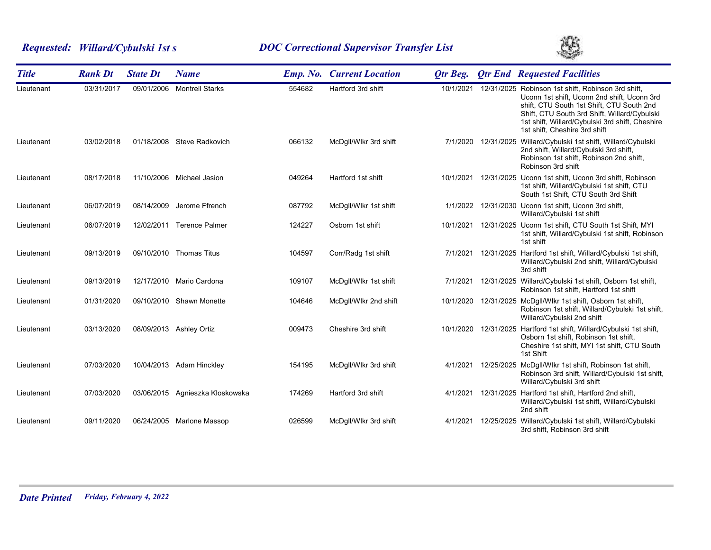# *Requested: Willard/Cybulski 1st s DOC Correctional Supervisor Transfer List*



| <b>Title</b> | <b>Rank Dt</b> | <b>State Dt</b> | <b>Name</b>                     |        | <b>Emp. No. Current Location</b> | <b>Qtr Beg.</b> | <b>Qtr End Requested Facilities</b>                                                                                                                                                                                                                                                |
|--------------|----------------|-----------------|---------------------------------|--------|----------------------------------|-----------------|------------------------------------------------------------------------------------------------------------------------------------------------------------------------------------------------------------------------------------------------------------------------------------|
| Lieutenant   | 03/31/2017     | 09/01/2006      | <b>Montrell Starks</b>          | 554682 | Hartford 3rd shift               | 10/1/2021       | 12/31/2025 Robinson 1st shift, Robinson 3rd shift,<br>Uconn 1st shift, Uconn 2nd shift, Uconn 3rd<br>shift, CTU South 1st Shift, CTU South 2nd<br>Shift, CTU South 3rd Shift, Willard/Cybulski<br>1st shift, Willard/Cybulski 3rd shift, Cheshire<br>1st shift, Cheshire 3rd shift |
| Lieutenant   | 03/02/2018     |                 | 01/18/2008 Steve Radkovich      | 066132 | McDgll/Wlkr 3rd shift            |                 | 7/1/2020 12/31/2025 Willard/Cybulski 1st shift, Willard/Cybulski<br>2nd shift, Willard/Cybulski 3rd shift,<br>Robinson 1st shift, Robinson 2nd shift,<br>Robinson 3rd shift                                                                                                        |
| Lieutenant   | 08/17/2018     | 11/10/2006      | Michael Jasion                  | 049264 | Hartford 1st shift               | 10/1/2021       | 12/31/2025 Uconn 1st shift, Uconn 3rd shift, Robinson<br>1st shift, Willard/Cybulski 1st shift, CTU<br>South 1st Shift, CTU South 3rd Shift                                                                                                                                        |
| Lieutenant   | 06/07/2019     | 08/14/2009      | Jerome Ffrench                  | 087792 | McDgll/Wlkr 1st shift            | 1/1/2022        | 12/31/2030 Uconn 1st shift, Uconn 3rd shift,<br>Willard/Cybulski 1st shift                                                                                                                                                                                                         |
| Lieutenant   | 06/07/2019     | 12/02/2011      | <b>Terence Palmer</b>           | 124227 | Osborn 1st shift                 | 10/1/2021       | 12/31/2025 Uconn 1st shift, CTU South 1st Shift, MYI<br>1st shift, Willard/Cybulski 1st shift, Robinson<br>1st shift                                                                                                                                                               |
| Lieutenant   | 09/13/2019     |                 | 09/10/2010 Thomas Titus         | 104597 | Corr/Radg 1st shift              | 7/1/2021        | 12/31/2025 Hartford 1st shift, Willard/Cybulski 1st shift,<br>Willard/Cybulski 2nd shift, Willard/Cybulski<br>3rd shift                                                                                                                                                            |
| Lieutenant   | 09/13/2019     |                 | 12/17/2010 Mario Cardona        | 109107 | McDgll/Wlkr 1st shift            | 7/1/2021        | 12/31/2025 Willard/Cybulski 1st shift, Osborn 1st shift,<br>Robinson 1st shift, Hartford 1st shift                                                                                                                                                                                 |
| Lieutenant   | 01/31/2020     |                 | 09/10/2010 Shawn Monette        | 104646 | McDgll/Wlkr 2nd shift            | 10/1/2020       | 12/31/2025 McDgll/Wlkr 1st shift, Osborn 1st shift,<br>Robinson 1st shift, Willard/Cybulski 1st shift,<br>Willard/Cybulski 2nd shift                                                                                                                                               |
| Lieutenant   | 03/13/2020     |                 | 08/09/2013 Ashley Ortiz         | 009473 | Cheshire 3rd shift               |                 | 10/1/2020 12/31/2025 Hartford 1st shift, Willard/Cybulski 1st shift,<br>Osborn 1st shift, Robinson 1st shift,<br>Cheshire 1st shift, MYI 1st shift, CTU South<br>1st Shift                                                                                                         |
| Lieutenant   | 07/03/2020     |                 | 10/04/2013 Adam Hinckley        | 154195 | McDgll/Wlkr 3rd shift            | 4/1/2021        | 12/25/2025 McDgll/Wlkr 1st shift, Robinson 1st shift,<br>Robinson 3rd shift, Willard/Cybulski 1st shift,<br>Willard/Cybulski 3rd shift                                                                                                                                             |
| Lieutenant   | 07/03/2020     |                 | 03/06/2015 Agnieszka Kloskowska | 174269 | Hartford 3rd shift               | 4/1/2021        | 12/31/2025 Hartford 1st shift, Hartford 2nd shift,<br>Willard/Cybulski 1st shift, Willard/Cybulski<br>2nd shift                                                                                                                                                                    |
| Lieutenant   | 09/11/2020     | 06/24/2005      | Marlone Massop                  | 026599 | McDgll/Wlkr 3rd shift            | 4/1/2021        | 12/25/2025 Willard/Cybulski 1st shift, Willard/Cybulski<br>3rd shift, Robinson 3rd shift                                                                                                                                                                                           |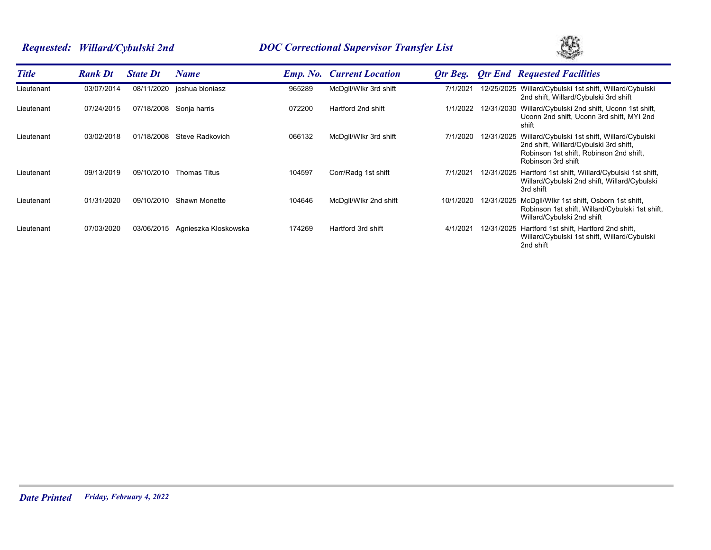# *Requested: Willard/Cybulski 2nd DOC Correctional Supervisor Transfer List*



| <b>Title</b> | <b>Rank Dt</b> | <b>State Dt</b> | Name                 |        | <b>Emp. No.</b> Current Location | Otr Beg.  |            | <b>Otr End Requested Facilities</b>                                                                                                                                |
|--------------|----------------|-----------------|----------------------|--------|----------------------------------|-----------|------------|--------------------------------------------------------------------------------------------------------------------------------------------------------------------|
| Lieutenant   | 03/07/2014     | 08/11/2020      | joshua bloniasz      | 965289 | McDgll/Wlkr 3rd shift            | 7/1/2021  | 12/25/2025 | Willard/Cybulski 1st shift, Willard/Cybulski<br>2nd shift, Willard/Cybulski 3rd shift                                                                              |
| Lieutenant   | 07/24/2015     | 07/18/2008      | Sonja harris         | 072200 | Hartford 2nd shift               | 1/1/2022  |            | 12/31/2030 Willard/Cybulski 2nd shift, Uconn 1st shift,<br>Uconn 2nd shift, Uconn 3rd shift, MYI 2nd<br>shift                                                      |
| Lieutenant   | 03/02/2018     | 01/18/2008      | Steve Radkovich      | 066132 | McDgll/Wlkr 3rd shift            | 7/1/2020  |            | 12/31/2025 Willard/Cybulski 1st shift, Willard/Cybulski<br>2nd shift, Willard/Cybulski 3rd shift,<br>Robinson 1st shift, Robinson 2nd shift,<br>Robinson 3rd shift |
| Lieutenant   | 09/13/2019     | 09/10/2010      | Thomas Titus         | 104597 | Corr/Radg 1st shift              | 7/1/2021  |            | 12/31/2025 Hartford 1st shift, Willard/Cybulski 1st shift,<br>Willard/Cybulski 2nd shift, Willard/Cybulski<br>3rd shift                                            |
| Lieutenant   | 01/31/2020     | 09/10/2010      | <b>Shawn Monette</b> | 104646 | McDgll/Wlkr 2nd shift            | 10/1/2020 |            | 12/31/2025 McDgll/Wlkr 1st shift, Osborn 1st shift,<br>Robinson 1st shift, Willard/Cybulski 1st shift,<br>Willard/Cybulski 2nd shift                               |
| Lieutenant   | 07/03/2020     | 03/06/2015      | Agnieszka Kloskowska | 174269 | Hartford 3rd shift               | 4/1/2021  |            | 12/31/2025 Hartford 1st shift, Hartford 2nd shift,<br>Willard/Cybulski 1st shift, Willard/Cybulski<br>2nd shift                                                    |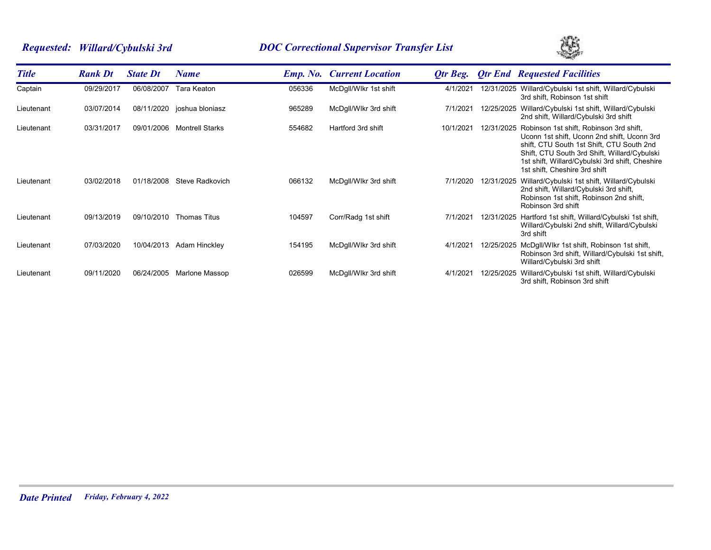# *Requested: Willard/Cybulski 3rd DOC Correctional Supervisor Transfer List*



| <b>Title</b> | <b>Rank Dt</b> | <b>State Dt</b> | Name                       |        | <b>Emp. No. Current Location</b> | Otr Beg.  |            | <b>Qtr End Requested Facilities</b>                                                                                                                                                                                                                                     |
|--------------|----------------|-----------------|----------------------------|--------|----------------------------------|-----------|------------|-------------------------------------------------------------------------------------------------------------------------------------------------------------------------------------------------------------------------------------------------------------------------|
| Captain      | 09/29/2017     | 06/08/2007      | Tara Keaton                | 056336 | McDgll/Wlkr 1st shift            | 4/1/2021  |            | 12/31/2025 Willard/Cybulski 1st shift, Willard/Cybulski<br>3rd shift, Robinson 1st shift                                                                                                                                                                                |
| Lieutenant   | 03/07/2014     |                 | 08/11/2020 joshua bloniasz | 965289 | McDgll/Wlkr 3rd shift            | 7/1/2021  | 12/25/2025 | Willard/Cybulski 1st shift, Willard/Cybulski<br>2nd shift, Willard/Cybulski 3rd shift                                                                                                                                                                                   |
| Lieutenant   | 03/31/2017     | 09/01/2006      | <b>Montrell Starks</b>     | 554682 | Hartford 3rd shift               | 10/1/2021 | 12/31/2025 | Robinson 1st shift, Robinson 3rd shift,<br>Uconn 1st shift, Uconn 2nd shift, Uconn 3rd<br>shift, CTU South 1st Shift, CTU South 2nd<br>Shift, CTU South 3rd Shift, Willard/Cybulski<br>1st shift, Willard/Cybulski 3rd shift, Cheshire<br>1st shift, Cheshire 3rd shift |
| Lieutenant   | 03/02/2018     | 01/18/2008      | Steve Radkovich            | 066132 | McDgll/Wlkr 3rd shift            | 7/1/2020  | 12/31/2025 | Willard/Cybulski 1st shift, Willard/Cybulski<br>2nd shift, Willard/Cybulski 3rd shift,<br>Robinson 1st shift, Robinson 2nd shift,<br>Robinson 3rd shift                                                                                                                 |
| Lieutenant   | 09/13/2019     | 09/10/2010      | <b>Thomas Titus</b>        | 104597 | Corr/Radg 1st shift              | 7/1/2021  | 12/31/2025 | Hartford 1st shift, Willard/Cybulski 1st shift,<br>Willard/Cybulski 2nd shift, Willard/Cybulski<br>3rd shift                                                                                                                                                            |
| Lieutenant   | 07/03/2020     | 10/04/2013      | Adam Hinckley              | 154195 | McDgll/Wlkr 3rd shift            | 4/1/2021  | 12/25/2025 | McDgll/Wlkr 1st shift, Robinson 1st shift,<br>Robinson 3rd shift, Willard/Cybulski 1st shift,<br>Willard/Cybulski 3rd shift                                                                                                                                             |
| Lieutenant   | 09/11/2020     | 06/24/2005      | Marlone Massop             | 026599 | McDgll/Wlkr 3rd shift            | 4/1/2021  | 12/25/2025 | Willard/Cybulski 1st shift, Willard/Cybulski<br>3rd shift. Robinson 3rd shift                                                                                                                                                                                           |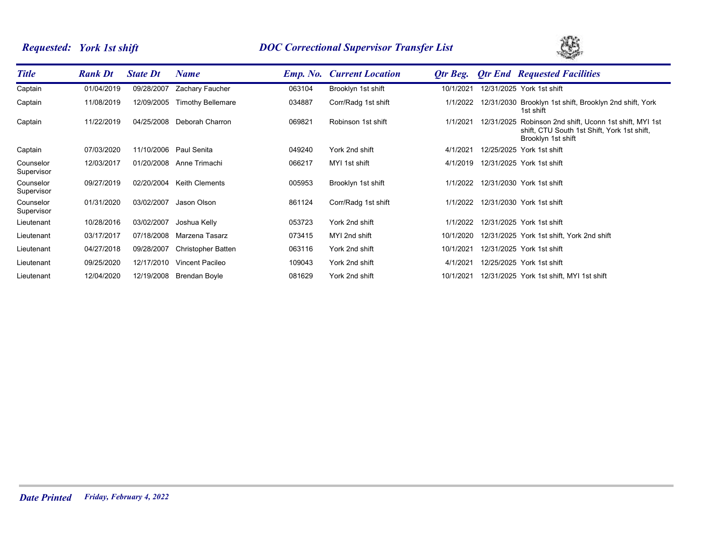# *Requested: York 1st shift DOC Correctional Supervisor Transfer List*



| <b>Title</b>            | <b>Rank Dt</b> | <b>State Dt</b> | Name                      |        | <b>Emp. No. Current Location</b> | Otr Beg.  | <b>Qtr End Requested Facilities</b>                                                                                          |
|-------------------------|----------------|-----------------|---------------------------|--------|----------------------------------|-----------|------------------------------------------------------------------------------------------------------------------------------|
| Captain                 | 01/04/2019     | 09/28/2007      | Zachary Faucher           | 063104 | Brooklyn 1st shift               | 10/1/2021 | 12/31/2025 York 1st shift                                                                                                    |
| Captain                 | 11/08/2019     | 12/09/2005      | <b>Timothy Bellemare</b>  | 034887 | Corr/Radg 1st shift              | 1/1/2022  | 12/31/2030 Brooklyn 1st shift, Brooklyn 2nd shift, York<br>1st shift                                                         |
| Captain                 | 11/22/2019     | 04/25/2008      | Deborah Charron           | 069821 | Robinson 1st shift               | 1/1/2021  | 12/31/2025 Robinson 2nd shift, Uconn 1st shift, MYI 1st<br>shift, CTU South 1st Shift, York 1st shift,<br>Brooklyn 1st shift |
| Captain                 | 07/03/2020     | 11/10/2006      | Paul Senita               | 049240 | York 2nd shift                   | 4/1/2021  | 12/25/2025 York 1st shift                                                                                                    |
| Counselor<br>Supervisor | 12/03/2017     | 01/20/2008      | Anne Trimachi             | 066217 | MYI 1st shift                    | 4/1/2019  | 12/31/2025 York 1st shift                                                                                                    |
| Counselor<br>Supervisor | 09/27/2019     | 02/20/2004      | <b>Keith Clements</b>     | 005953 | Brooklyn 1st shift               | 1/1/2022  | 12/31/2030 York 1st shift                                                                                                    |
| Counselor<br>Supervisor | 01/31/2020     | 03/02/2007      | Jason Olson               | 861124 | Corr/Radg 1st shift              | 1/1/2022  | 12/31/2030 York 1st shift                                                                                                    |
| Lieutenant              | 10/28/2016     | 03/02/2007      | Joshua Kelly              | 053723 | York 2nd shift                   | 1/1/2022  | 12/31/2025 York 1st shift                                                                                                    |
| Lieutenant              | 03/17/2017     | 07/18/2008      | Marzena Tasarz            | 073415 | MYI 2nd shift                    | 10/1/2020 | 12/31/2025 York 1st shift, York 2nd shift                                                                                    |
| Lieutenant              | 04/27/2018     | 09/28/2007      | <b>Christopher Batten</b> | 063116 | York 2nd shift                   | 10/1/2021 | 12/31/2025 York 1st shift                                                                                                    |
| Lieutenant              | 09/25/2020     | 12/17/2010      | Vincent Pacileo           | 109043 | York 2nd shift                   | 4/1/2021  | 12/25/2025 York 1st shift                                                                                                    |
| Lieutenant              | 12/04/2020     | 12/19/2008      | Brendan Boyle             | 081629 | York 2nd shift                   | 10/1/2021 | 12/31/2025 York 1st shift, MYI 1st shift                                                                                     |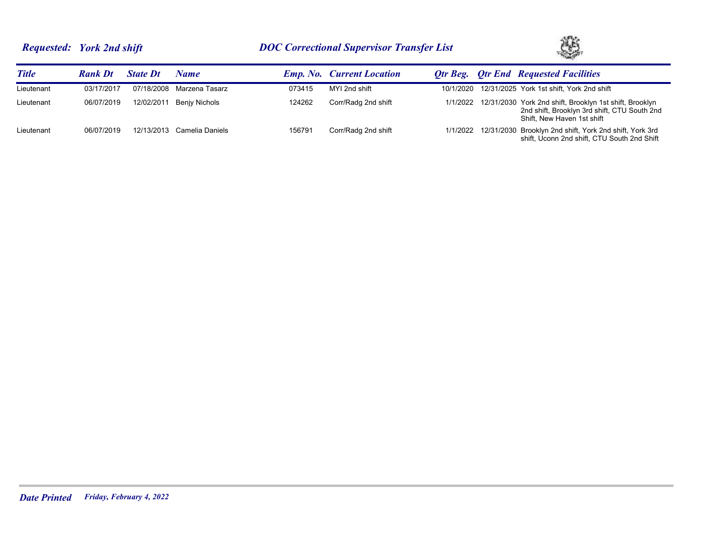# *Requested: York 2nd shift DOC Correctional Supervisor Transfer List*



| <b>Title</b> | <b>Rank Dt</b> | <b>State Dt</b> | Name            |        | <b>Emp. No. Current Location</b> |  | <b>Otr Beg.</b> Otr End Requested Facilities                                                                                                   |
|--------------|----------------|-----------------|-----------------|--------|----------------------------------|--|------------------------------------------------------------------------------------------------------------------------------------------------|
| Lieutenant   | 03/17/2017     | 07/18/2008      | Marzena Tasarz  | 073415 | MYI 2nd shift                    |  | 10/1/2020 12/31/2025 York 1st shift, York 2nd shift                                                                                            |
| Lieutenant   | 06/07/2019     | 12/02/2011      | Benjy Nichols   | 124262 | Corr/Radg 2nd shift              |  | 1/1/2022 12/31/2030 York 2nd shift, Brooklyn 1st shift, Brooklyn<br>2nd shift, Brooklyn 3rd shift, CTU South 2nd<br>Shift, New Haven 1st shift |
| Lieutenant   | 06/07/2019     | 12/13/2013      | Camelia Daniels | 156791 | Corr/Radg 2nd shift              |  | 1/1/2022 12/31/2030 Brooklyn 2nd shift, York 2nd shift, York 3rd<br>shift, Uconn 2nd shift, CTU South 2nd Shift                                |